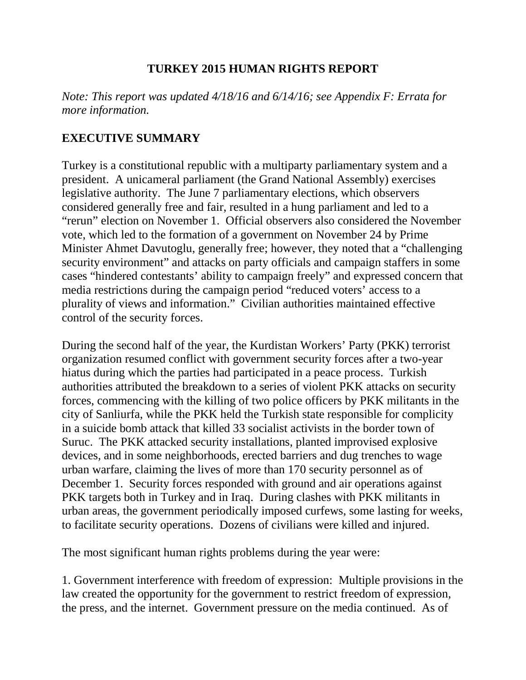## **TURKEY 2015 HUMAN RIGHTS REPORT**

*Note: This report was updated 4/18/16 and 6/14/16; see Appendix F: Errata for more information.*

## **EXECUTIVE SUMMARY**

Turkey is a constitutional republic with a multiparty parliamentary system and a president. A unicameral parliament (the Grand National Assembly) exercises legislative authority. The June 7 parliamentary elections, which observers considered generally free and fair, resulted in a hung parliament and led to a "rerun" election on November 1. Official observers also considered the November vote, which led to the formation of a government on November 24 by Prime Minister Ahmet Davutoglu, generally free; however, they noted that a "challenging security environment" and attacks on party officials and campaign staffers in some cases "hindered contestants' ability to campaign freely" and expressed concern that media restrictions during the campaign period "reduced voters' access to a plurality of views and information." Civilian authorities maintained effective control of the security forces.

During the second half of the year, the Kurdistan Workers' Party (PKK) terrorist organization resumed conflict with government security forces after a two-year hiatus during which the parties had participated in a peace process. Turkish authorities attributed the breakdown to a series of violent PKK attacks on security forces, commencing with the killing of two police officers by PKK militants in the city of Sanliurfa, while the PKK held the Turkish state responsible for complicity in a suicide bomb attack that killed 33 socialist activists in the border town of Suruc. The PKK attacked security installations, planted improvised explosive devices, and in some neighborhoods, erected barriers and dug trenches to wage urban warfare, claiming the lives of more than 170 security personnel as of December 1. Security forces responded with ground and air operations against PKK targets both in Turkey and in Iraq. During clashes with PKK militants in urban areas, the government periodically imposed curfews, some lasting for weeks, to facilitate security operations. Dozens of civilians were killed and injured.

The most significant human rights problems during the year were:

1. Government interference with freedom of expression: Multiple provisions in the law created the opportunity for the government to restrict freedom of expression, the press, and the internet. Government pressure on the media continued. As of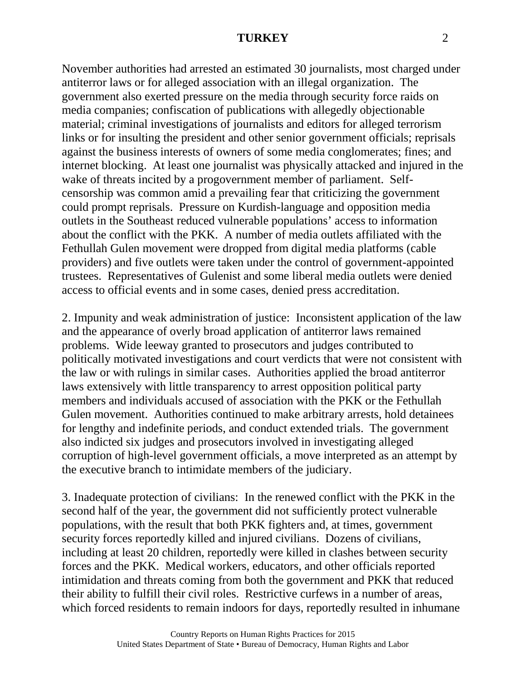November authorities had arrested an estimated 30 journalists, most charged under antiterror laws or for alleged association with an illegal organization. The government also exerted pressure on the media through security force raids on media companies; confiscation of publications with allegedly objectionable material; criminal investigations of journalists and editors for alleged terrorism links or for insulting the president and other senior government officials; reprisals against the business interests of owners of some media conglomerates; fines; and internet blocking. At least one journalist was physically attacked and injured in the wake of threats incited by a progovernment member of parliament. Selfcensorship was common amid a prevailing fear that criticizing the government could prompt reprisals. Pressure on Kurdish-language and opposition media outlets in the Southeast reduced vulnerable populations' access to information about the conflict with the PKK. A number of media outlets affiliated with the Fethullah Gulen movement were dropped from digital media platforms (cable providers) and five outlets were taken under the control of government-appointed trustees. Representatives of Gulenist and some liberal media outlets were denied access to official events and in some cases, denied press accreditation.

2. Impunity and weak administration of justice: Inconsistent application of the law and the appearance of overly broad application of antiterror laws remained problems. Wide leeway granted to prosecutors and judges contributed to politically motivated investigations and court verdicts that were not consistent with the law or with rulings in similar cases. Authorities applied the broad antiterror laws extensively with little transparency to arrest opposition political party members and individuals accused of association with the PKK or the Fethullah Gulen movement. Authorities continued to make arbitrary arrests, hold detainees for lengthy and indefinite periods, and conduct extended trials. The government also indicted six judges and prosecutors involved in investigating alleged corruption of high-level government officials, a move interpreted as an attempt by the executive branch to intimidate members of the judiciary.

3. Inadequate protection of civilians: In the renewed conflict with the PKK in the second half of the year, the government did not sufficiently protect vulnerable populations, with the result that both PKK fighters and, at times, government security forces reportedly killed and injured civilians. Dozens of civilians, including at least 20 children, reportedly were killed in clashes between security forces and the PKK. Medical workers, educators, and other officials reported intimidation and threats coming from both the government and PKK that reduced their ability to fulfill their civil roles. Restrictive curfews in a number of areas, which forced residents to remain indoors for days, reportedly resulted in inhumane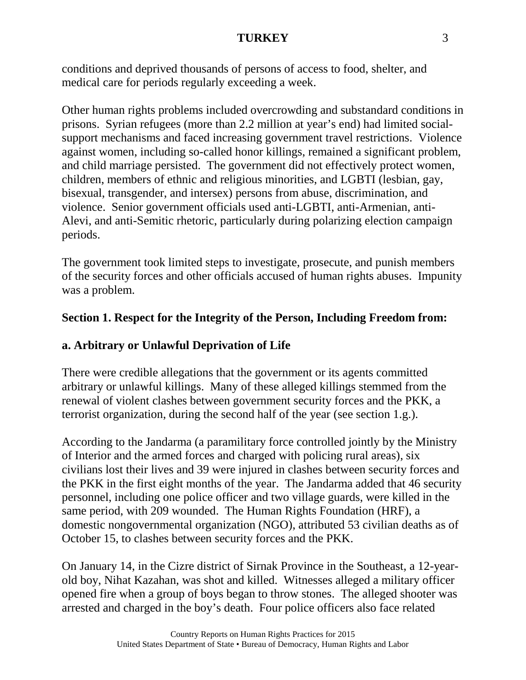conditions and deprived thousands of persons of access to food, shelter, and medical care for periods regularly exceeding a week.

Other human rights problems included overcrowding and substandard conditions in prisons. Syrian refugees (more than 2.2 million at year's end) had limited socialsupport mechanisms and faced increasing government travel restrictions. Violence against women, including so-called honor killings, remained a significant problem, and child marriage persisted. The government did not effectively protect women, children, members of ethnic and religious minorities, and LGBTI (lesbian, gay, bisexual, transgender, and intersex) persons from abuse, discrimination, and violence. Senior government officials used anti-LGBTI, anti-Armenian, anti-Alevi, and anti-Semitic rhetoric, particularly during polarizing election campaign periods.

The government took limited steps to investigate, prosecute, and punish members of the security forces and other officials accused of human rights abuses. Impunity was a problem.

## **Section 1. Respect for the Integrity of the Person, Including Freedom from:**

## **a. Arbitrary or Unlawful Deprivation of Life**

There were credible allegations that the government or its agents committed arbitrary or unlawful killings. Many of these alleged killings stemmed from the renewal of violent clashes between government security forces and the PKK, a terrorist organization, during the second half of the year (see section 1.g.).

According to the Jandarma (a paramilitary force controlled jointly by the Ministry of Interior and the armed forces and charged with policing rural areas), six civilians lost their lives and 39 were injured in clashes between security forces and the PKK in the first eight months of the year. The Jandarma added that 46 security personnel, including one police officer and two village guards, were killed in the same period, with 209 wounded. The Human Rights Foundation (HRF), a domestic nongovernmental organization (NGO), attributed 53 civilian deaths as of October 15, to clashes between security forces and the PKK.

On January 14, in the Cizre district of Sirnak Province in the Southeast, a 12-yearold boy, Nihat Kazahan, was shot and killed. Witnesses alleged a military officer opened fire when a group of boys began to throw stones. The alleged shooter was arrested and charged in the boy's death. Four police officers also face related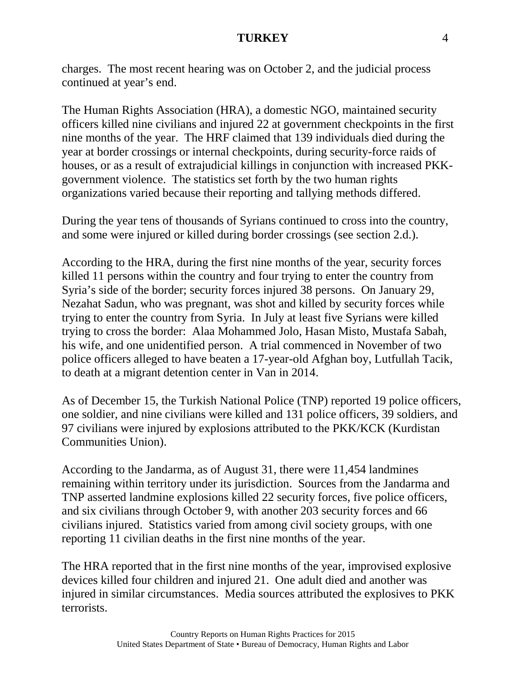charges. The most recent hearing was on October 2, and the judicial process continued at year's end.

The Human Rights Association (HRA), a domestic NGO, maintained security officers killed nine civilians and injured 22 at government checkpoints in the first nine months of the year. The HRF claimed that 139 individuals died during the year at border crossings or internal checkpoints, during security-force raids of houses, or as a result of extrajudicial killings in conjunction with increased PKKgovernment violence. The statistics set forth by the two human rights organizations varied because their reporting and tallying methods differed.

During the year tens of thousands of Syrians continued to cross into the country, and some were injured or killed during border crossings (see section 2.d.).

According to the HRA, during the first nine months of the year, security forces killed 11 persons within the country and four trying to enter the country from Syria's side of the border; security forces injured 38 persons. On January 29, Nezahat Sadun, who was pregnant, was shot and killed by security forces while trying to enter the country from Syria. In July at least five Syrians were killed trying to cross the border: Alaa Mohammed Jolo, Hasan Misto, Mustafa Sabah, his wife, and one unidentified person. A trial commenced in November of two police officers alleged to have beaten a 17-year-old Afghan boy, Lutfullah Tacik, to death at a migrant detention center in Van in 2014.

As of December 15, the Turkish National Police (TNP) reported 19 police officers, one soldier, and nine civilians were killed and 131 police officers, 39 soldiers, and 97 civilians were injured by explosions attributed to the PKK/KCK (Kurdistan Communities Union).

According to the Jandarma, as of August 31, there were 11,454 landmines remaining within territory under its jurisdiction. Sources from the Jandarma and TNP asserted landmine explosions killed 22 security forces, five police officers, and six civilians through October 9, with another 203 security forces and 66 civilians injured. Statistics varied from among civil society groups, with one reporting 11 civilian deaths in the first nine months of the year.

The HRA reported that in the first nine months of the year, improvised explosive devices killed four children and injured 21. One adult died and another was injured in similar circumstances. Media sources attributed the explosives to PKK terrorists.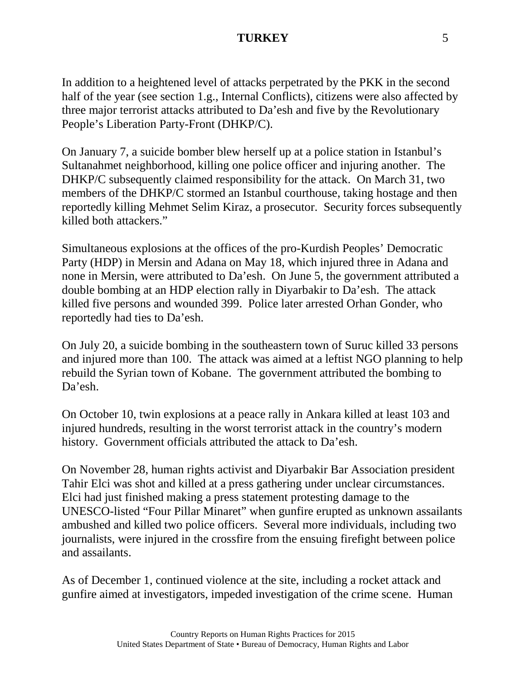In addition to a heightened level of attacks perpetrated by the PKK in the second half of the year (see section 1.g., Internal Conflicts), citizens were also affected by three major terrorist attacks attributed to Da'esh and five by the Revolutionary People's Liberation Party-Front (DHKP/C).

On January 7, a suicide bomber blew herself up at a police station in Istanbul's Sultanahmet neighborhood, killing one police officer and injuring another. The DHKP/C subsequently claimed responsibility for the attack. On March 31, two members of the DHKP/C stormed an Istanbul courthouse, taking hostage and then reportedly killing Mehmet Selim Kiraz, a prosecutor. Security forces subsequently killed both attackers."

Simultaneous explosions at the offices of the pro-Kurdish Peoples' Democratic Party (HDP) in Mersin and Adana on May 18, which injured three in Adana and none in Mersin, were attributed to Da'esh. On June 5, the government attributed a double bombing at an HDP election rally in Diyarbakir to Da'esh. The attack killed five persons and wounded 399. Police later arrested Orhan Gonder, who reportedly had ties to Da'esh.

On July 20, a suicide bombing in the southeastern town of Suruc killed 33 persons and injured more than 100. The attack was aimed at a leftist NGO planning to help rebuild the Syrian town of Kobane. The government attributed the bombing to Da'esh.

On October 10, twin explosions at a peace rally in Ankara killed at least 103 and injured hundreds, resulting in the worst terrorist attack in the country's modern history. Government officials attributed the attack to Da'esh.

On November 28, human rights activist and Diyarbakir Bar Association president Tahir Elci was shot and killed at a press gathering under unclear circumstances. Elci had just finished making a press statement protesting damage to the UNESCO-listed "Four Pillar Minaret" when gunfire erupted as unknown assailants ambushed and killed two police officers. Several more individuals, including two journalists, were injured in the crossfire from the ensuing firefight between police and assailants.

As of December 1, continued violence at the site, including a rocket attack and gunfire aimed at investigators, impeded investigation of the crime scene. Human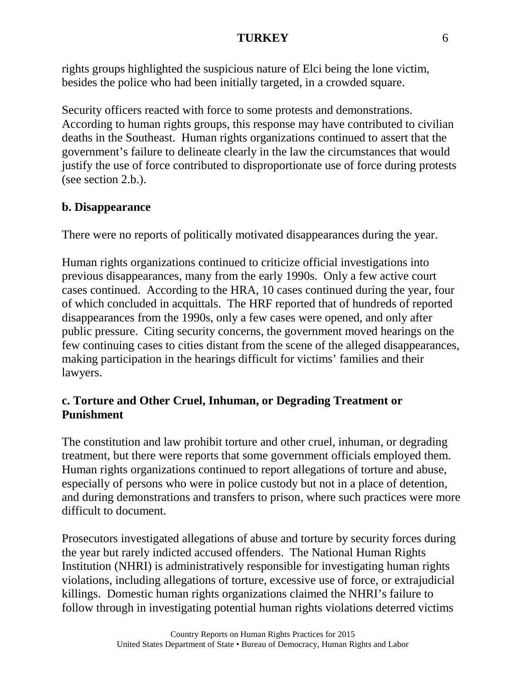rights groups highlighted the suspicious nature of Elci being the lone victim, besides the police who had been initially targeted, in a crowded square.

Security officers reacted with force to some protests and demonstrations. According to human rights groups, this response may have contributed to civilian deaths in the Southeast. Human rights organizations continued to assert that the government's failure to delineate clearly in the law the circumstances that would justify the use of force contributed to disproportionate use of force during protests (see section 2.b.).

## **b. Disappearance**

There were no reports of politically motivated disappearances during the year.

Human rights organizations continued to criticize official investigations into previous disappearances, many from the early 1990s. Only a few active court cases continued. According to the HRA, 10 cases continued during the year, four of which concluded in acquittals. The HRF reported that of hundreds of reported disappearances from the 1990s, only a few cases were opened, and only after public pressure. Citing security concerns, the government moved hearings on the few continuing cases to cities distant from the scene of the alleged disappearances, making participation in the hearings difficult for victims' families and their lawyers.

## **c. Torture and Other Cruel, Inhuman, or Degrading Treatment or Punishment**

The constitution and law prohibit torture and other cruel, inhuman, or degrading treatment, but there were reports that some government officials employed them. Human rights organizations continued to report allegations of torture and abuse, especially of persons who were in police custody but not in a place of detention, and during demonstrations and transfers to prison, where such practices were more difficult to document.

Prosecutors investigated allegations of abuse and torture by security forces during the year but rarely indicted accused offenders. The National Human Rights Institution (NHRI) is administratively responsible for investigating human rights violations, including allegations of torture, excessive use of force, or extrajudicial killings. Domestic human rights organizations claimed the NHRI's failure to follow through in investigating potential human rights violations deterred victims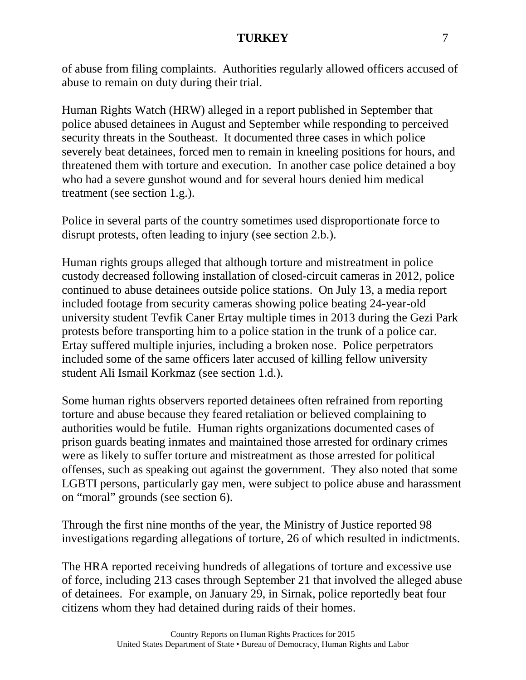of abuse from filing complaints. Authorities regularly allowed officers accused of abuse to remain on duty during their trial.

Human Rights Watch (HRW) alleged in a report published in September that police abused detainees in August and September while responding to perceived security threats in the Southeast. It documented three cases in which police severely beat detainees, forced men to remain in kneeling positions for hours, and threatened them with torture and execution. In another case police detained a boy who had a severe gunshot wound and for several hours denied him medical treatment (see section 1.g.).

Police in several parts of the country sometimes used disproportionate force to disrupt protests, often leading to injury (see section 2.b.).

Human rights groups alleged that although torture and mistreatment in police custody decreased following installation of closed-circuit cameras in 2012, police continued to abuse detainees outside police stations. On July 13, a media report included footage from security cameras showing police beating 24-year-old university student Tevfik Caner Ertay multiple times in 2013 during the Gezi Park protests before transporting him to a police station in the trunk of a police car. Ertay suffered multiple injuries, including a broken nose. Police perpetrators included some of the same officers later accused of killing fellow university student Ali Ismail Korkmaz (see section 1.d.).

Some human rights observers reported detainees often refrained from reporting torture and abuse because they feared retaliation or believed complaining to authorities would be futile. Human rights organizations documented cases of prison guards beating inmates and maintained those arrested for ordinary crimes were as likely to suffer torture and mistreatment as those arrested for political offenses, such as speaking out against the government. They also noted that some LGBTI persons, particularly gay men, were subject to police abuse and harassment on "moral" grounds (see section 6).

Through the first nine months of the year, the Ministry of Justice reported 98 investigations regarding allegations of torture, 26 of which resulted in indictments.

The HRA reported receiving hundreds of allegations of torture and excessive use of force, including 213 cases through September 21 that involved the alleged abuse of detainees. For example, on January 29, in Sirnak, police reportedly beat four citizens whom they had detained during raids of their homes.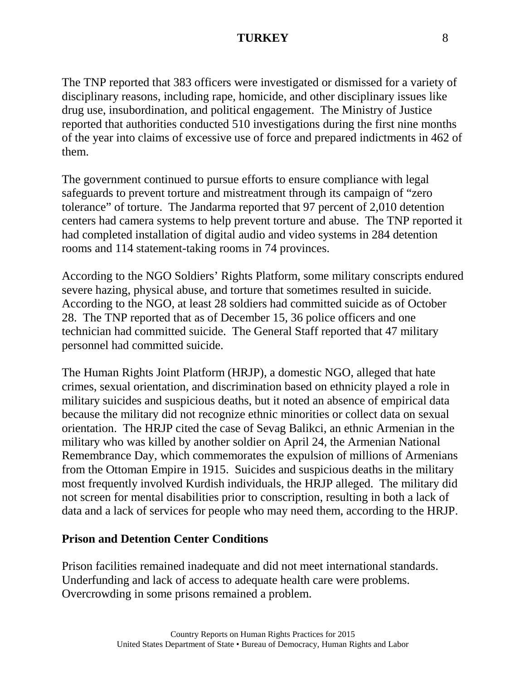The TNP reported that 383 officers were investigated or dismissed for a variety of disciplinary reasons, including rape, homicide, and other disciplinary issues like drug use, insubordination, and political engagement. The Ministry of Justice reported that authorities conducted 510 investigations during the first nine months of the year into claims of excessive use of force and prepared indictments in 462 of them.

The government continued to pursue efforts to ensure compliance with legal safeguards to prevent torture and mistreatment through its campaign of "zero tolerance" of torture. The Jandarma reported that 97 percent of 2,010 detention centers had camera systems to help prevent torture and abuse. The TNP reported it had completed installation of digital audio and video systems in 284 detention rooms and 114 statement-taking rooms in 74 provinces.

According to the NGO Soldiers' Rights Platform, some military conscripts endured severe hazing, physical abuse, and torture that sometimes resulted in suicide. According to the NGO, at least 28 soldiers had committed suicide as of October 28. The TNP reported that as of December 15, 36 police officers and one technician had committed suicide. The General Staff reported that 47 military personnel had committed suicide.

The Human Rights Joint Platform (HRJP), a domestic NGO, alleged that hate crimes, sexual orientation, and discrimination based on ethnicity played a role in military suicides and suspicious deaths, but it noted an absence of empirical data because the military did not recognize ethnic minorities or collect data on sexual orientation. The HRJP cited the case of Sevag Balikci, an ethnic Armenian in the military who was killed by another soldier on April 24, the Armenian National Remembrance Day, which commemorates the expulsion of millions of Armenians from the Ottoman Empire in 1915. Suicides and suspicious deaths in the military most frequently involved Kurdish individuals, the HRJP alleged. The military did not screen for mental disabilities prior to conscription, resulting in both a lack of data and a lack of services for people who may need them, according to the HRJP.

## **Prison and Detention Center Conditions**

Prison facilities remained inadequate and did not meet international standards. Underfunding and lack of access to adequate health care were problems. Overcrowding in some prisons remained a problem.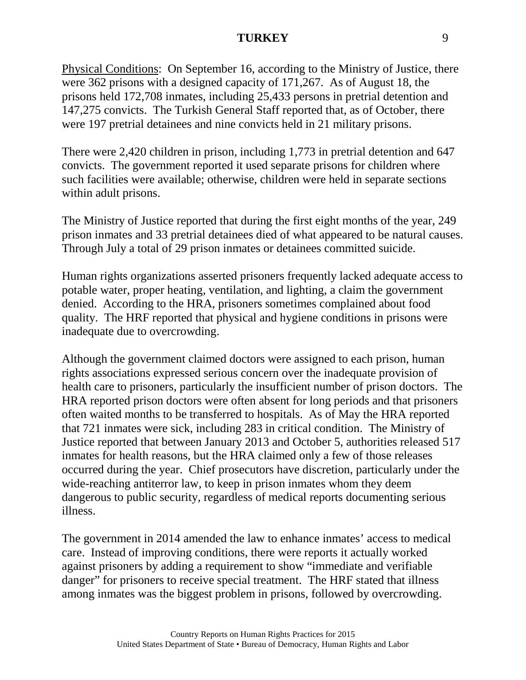Physical Conditions: On September 16, according to the Ministry of Justice, there were 362 prisons with a designed capacity of 171,267. As of August 18, the prisons held 172,708 inmates, including 25,433 persons in pretrial detention and 147,275 convicts. The Turkish General Staff reported that, as of October, there were 197 pretrial detainees and nine convicts held in 21 military prisons.

There were 2,420 children in prison, including 1,773 in pretrial detention and 647 convicts. The government reported it used separate prisons for children where such facilities were available; otherwise, children were held in separate sections within adult prisons.

The Ministry of Justice reported that during the first eight months of the year, 249 prison inmates and 33 pretrial detainees died of what appeared to be natural causes. Through July a total of 29 prison inmates or detainees committed suicide.

Human rights organizations asserted prisoners frequently lacked adequate access to potable water, proper heating, ventilation, and lighting, a claim the government denied. According to the HRA, prisoners sometimes complained about food quality. The HRF reported that physical and hygiene conditions in prisons were inadequate due to overcrowding.

Although the government claimed doctors were assigned to each prison, human rights associations expressed serious concern over the inadequate provision of health care to prisoners, particularly the insufficient number of prison doctors. The HRA reported prison doctors were often absent for long periods and that prisoners often waited months to be transferred to hospitals. As of May the HRA reported that 721 inmates were sick, including 283 in critical condition. The Ministry of Justice reported that between January 2013 and October 5, authorities released 517 inmates for health reasons, but the HRA claimed only a few of those releases occurred during the year. Chief prosecutors have discretion, particularly under the wide-reaching antiterror law, to keep in prison inmates whom they deem dangerous to public security, regardless of medical reports documenting serious illness.

The government in 2014 amended the law to enhance inmates' access to medical care. Instead of improving conditions, there were reports it actually worked against prisoners by adding a requirement to show "immediate and verifiable danger" for prisoners to receive special treatment. The HRF stated that illness among inmates was the biggest problem in prisons, followed by overcrowding.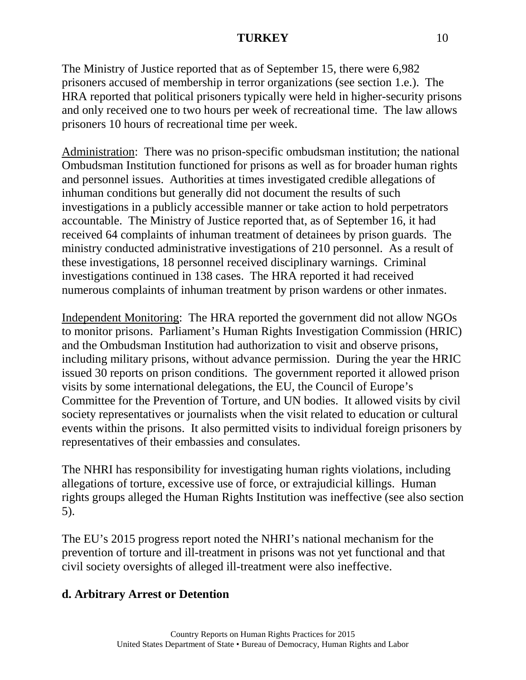The Ministry of Justice reported that as of September 15, there were 6,982 prisoners accused of membership in terror organizations (see section 1.e.). The HRA reported that political prisoners typically were held in higher-security prisons and only received one to two hours per week of recreational time. The law allows prisoners 10 hours of recreational time per week.

Administration: There was no prison-specific ombudsman institution; the national Ombudsman Institution functioned for prisons as well as for broader human rights and personnel issues. Authorities at times investigated credible allegations of inhuman conditions but generally did not document the results of such investigations in a publicly accessible manner or take action to hold perpetrators accountable. The Ministry of Justice reported that, as of September 16, it had received 64 complaints of inhuman treatment of detainees by prison guards. The ministry conducted administrative investigations of 210 personnel. As a result of these investigations, 18 personnel received disciplinary warnings. Criminal investigations continued in 138 cases. The HRA reported it had received numerous complaints of inhuman treatment by prison wardens or other inmates.

Independent Monitoring: The HRA reported the government did not allow NGOs to monitor prisons. Parliament's Human Rights Investigation Commission (HRIC) and the Ombudsman Institution had authorization to visit and observe prisons, including military prisons, without advance permission. During the year the HRIC issued 30 reports on prison conditions. The government reported it allowed prison visits by some international delegations, the EU, the Council of Europe's Committee for the Prevention of Torture, and UN bodies. It allowed visits by civil society representatives or journalists when the visit related to education or cultural events within the prisons. It also permitted visits to individual foreign prisoners by representatives of their embassies and consulates.

The NHRI has responsibility for investigating human rights violations, including allegations of torture, excessive use of force, or extrajudicial killings. Human rights groups alleged the Human Rights Institution was ineffective (see also section 5).

The EU's 2015 progress report noted the NHRI's national mechanism for the prevention of torture and ill-treatment in prisons was not yet functional and that civil society oversights of alleged ill-treatment were also ineffective.

## **d. Arbitrary Arrest or Detention**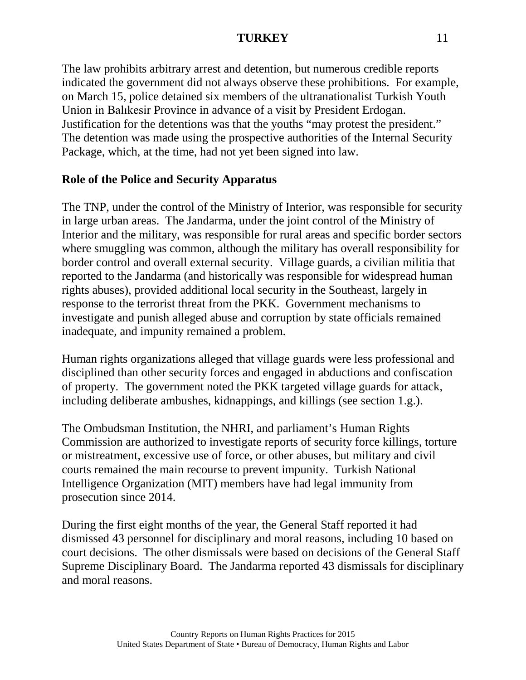The law prohibits arbitrary arrest and detention, but numerous credible reports indicated the government did not always observe these prohibitions. For example, on March 15, police detained six members of the ultranationalist Turkish Youth Union in Balıkesir Province in advance of a visit by President Erdogan. Justification for the detentions was that the youths "may protest the president." The detention was made using the prospective authorities of the Internal Security Package, which, at the time, had not yet been signed into law.

## **Role of the Police and Security Apparatus**

The TNP, under the control of the Ministry of Interior, was responsible for security in large urban areas. The Jandarma, under the joint control of the Ministry of Interior and the military, was responsible for rural areas and specific border sectors where smuggling was common, although the military has overall responsibility for border control and overall external security. Village guards, a civilian militia that reported to the Jandarma (and historically was responsible for widespread human rights abuses), provided additional local security in the Southeast, largely in response to the terrorist threat from the PKK. Government mechanisms to investigate and punish alleged abuse and corruption by state officials remained inadequate, and impunity remained a problem.

Human rights organizations alleged that village guards were less professional and disciplined than other security forces and engaged in abductions and confiscation of property. The government noted the PKK targeted village guards for attack, including deliberate ambushes, kidnappings, and killings (see section 1.g.).

The Ombudsman Institution, the NHRI, and parliament's Human Rights Commission are authorized to investigate reports of security force killings, torture or mistreatment, excessive use of force, or other abuses, but military and civil courts remained the main recourse to prevent impunity. Turkish National Intelligence Organization (MIT) members have had legal immunity from prosecution since 2014.

During the first eight months of the year, the General Staff reported it had dismissed 43 personnel for disciplinary and moral reasons, including 10 based on court decisions. The other dismissals were based on decisions of the General Staff Supreme Disciplinary Board. The Jandarma reported 43 dismissals for disciplinary and moral reasons.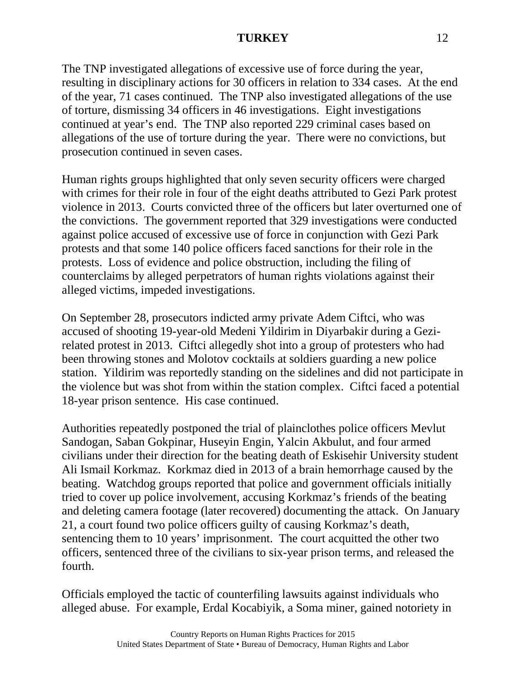The TNP investigated allegations of excessive use of force during the year, resulting in disciplinary actions for 30 officers in relation to 334 cases. At the end of the year, 71 cases continued. The TNP also investigated allegations of the use of torture, dismissing 34 officers in 46 investigations. Eight investigations continued at year's end. The TNP also reported 229 criminal cases based on allegations of the use of torture during the year. There were no convictions, but prosecution continued in seven cases.

Human rights groups highlighted that only seven security officers were charged with crimes for their role in four of the eight deaths attributed to Gezi Park protest violence in 2013. Courts convicted three of the officers but later overturned one of the convictions. The government reported that 329 investigations were conducted against police accused of excessive use of force in conjunction with Gezi Park protests and that some 140 police officers faced sanctions for their role in the protests. Loss of evidence and police obstruction, including the filing of counterclaims by alleged perpetrators of human rights violations against their alleged victims, impeded investigations.

On September 28, prosecutors indicted army private Adem Ciftci, who was accused of shooting 19-year-old Medeni Yildirim in Diyarbakir during a Gezirelated protest in 2013. Ciftci allegedly shot into a group of protesters who had been throwing stones and Molotov cocktails at soldiers guarding a new police station. Yildirim was reportedly standing on the sidelines and did not participate in the violence but was shot from within the station complex. Ciftci faced a potential 18-year prison sentence. His case continued.

Authorities repeatedly postponed the trial of plainclothes police officers Mevlut Sandogan, Saban Gokpinar, Huseyin Engin, Yalcin Akbulut, and four armed civilians under their direction for the beating death of Eskisehir University student Ali Ismail Korkmaz. Korkmaz died in 2013 of a brain hemorrhage caused by the beating. Watchdog groups reported that police and government officials initially tried to cover up police involvement, accusing Korkmaz's friends of the beating and deleting camera footage (later recovered) documenting the attack. On January 21, a court found two police officers guilty of causing Korkmaz's death, sentencing them to 10 years' imprisonment. The court acquitted the other two officers, sentenced three of the civilians to six-year prison terms, and released the fourth.

Officials employed the tactic of counterfiling lawsuits against individuals who alleged abuse. For example, Erdal Kocabiyik, a Soma miner, gained notoriety in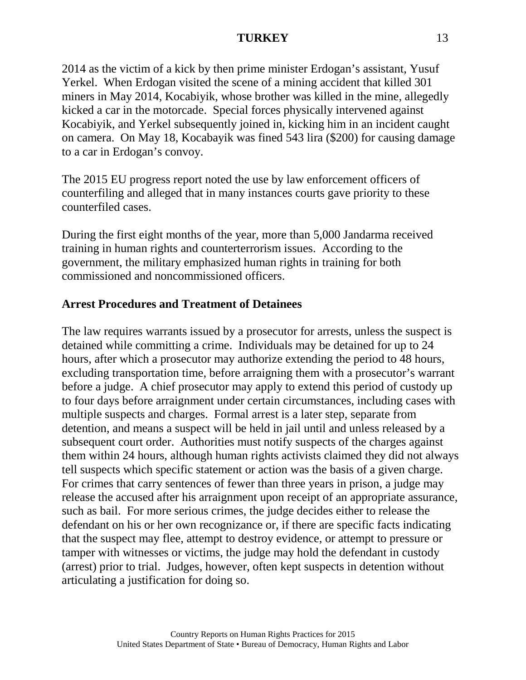2014 as the victim of a kick by then prime minister Erdogan's assistant, Yusuf Yerkel. When Erdogan visited the scene of a mining accident that killed 301 miners in May 2014, Kocabiyik, whose brother was killed in the mine, allegedly kicked a car in the motorcade. Special forces physically intervened against Kocabiyik, and Yerkel subsequently joined in, kicking him in an incident caught on camera. On May 18, Kocabayik was fined 543 lira (\$200) for causing damage to a car in Erdogan's convoy.

The 2015 EU progress report noted the use by law enforcement officers of counterfiling and alleged that in many instances courts gave priority to these counterfiled cases.

During the first eight months of the year, more than 5,000 Jandarma received training in human rights and counterterrorism issues. According to the government, the military emphasized human rights in training for both commissioned and noncommissioned officers.

## **Arrest Procedures and Treatment of Detainees**

The law requires warrants issued by a prosecutor for arrests, unless the suspect is detained while committing a crime. Individuals may be detained for up to 24 hours, after which a prosecutor may authorize extending the period to 48 hours, excluding transportation time, before arraigning them with a prosecutor's warrant before a judge. A chief prosecutor may apply to extend this period of custody up to four days before arraignment under certain circumstances, including cases with multiple suspects and charges. Formal arrest is a later step, separate from detention, and means a suspect will be held in jail until and unless released by a subsequent court order. Authorities must notify suspects of the charges against them within 24 hours, although human rights activists claimed they did not always tell suspects which specific statement or action was the basis of a given charge. For crimes that carry sentences of fewer than three years in prison, a judge may release the accused after his arraignment upon receipt of an appropriate assurance, such as bail. For more serious crimes, the judge decides either to release the defendant on his or her own recognizance or, if there are specific facts indicating that the suspect may flee, attempt to destroy evidence, or attempt to pressure or tamper with witnesses or victims, the judge may hold the defendant in custody (arrest) prior to trial. Judges, however, often kept suspects in detention without articulating a justification for doing so.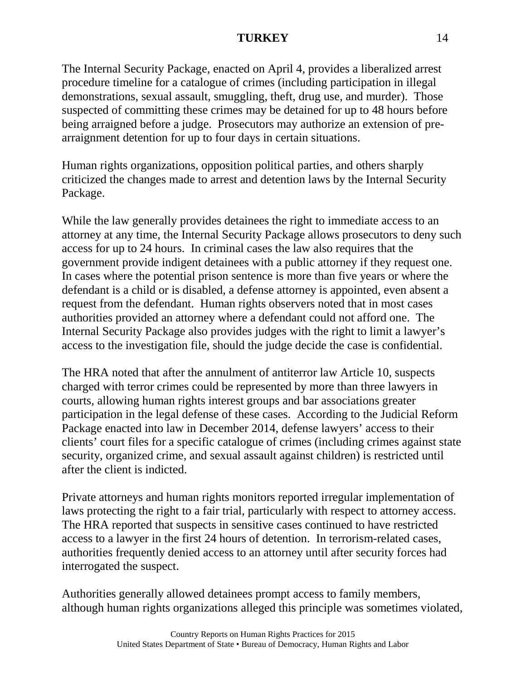The Internal Security Package, enacted on April 4, provides a liberalized arrest procedure timeline for a catalogue of crimes (including participation in illegal demonstrations, sexual assault, smuggling, theft, drug use, and murder). Those suspected of committing these crimes may be detained for up to 48 hours before being arraigned before a judge. Prosecutors may authorize an extension of prearraignment detention for up to four days in certain situations.

Human rights organizations, opposition political parties, and others sharply criticized the changes made to arrest and detention laws by the Internal Security Package.

While the law generally provides detainees the right to immediate access to an attorney at any time, the Internal Security Package allows prosecutors to deny such access for up to 24 hours. In criminal cases the law also requires that the government provide indigent detainees with a public attorney if they request one. In cases where the potential prison sentence is more than five years or where the defendant is a child or is disabled, a defense attorney is appointed, even absent a request from the defendant. Human rights observers noted that in most cases authorities provided an attorney where a defendant could not afford one. The Internal Security Package also provides judges with the right to limit a lawyer's access to the investigation file, should the judge decide the case is confidential.

The HRA noted that after the annulment of antiterror law Article 10, suspects charged with terror crimes could be represented by more than three lawyers in courts, allowing human rights interest groups and bar associations greater participation in the legal defense of these cases. According to the Judicial Reform Package enacted into law in December 2014, defense lawyers' access to their clients' court files for a specific catalogue of crimes (including crimes against state security, organized crime, and sexual assault against children) is restricted until after the client is indicted.

Private attorneys and human rights monitors reported irregular implementation of laws protecting the right to a fair trial, particularly with respect to attorney access. The HRA reported that suspects in sensitive cases continued to have restricted access to a lawyer in the first 24 hours of detention. In terrorism-related cases, authorities frequently denied access to an attorney until after security forces had interrogated the suspect.

Authorities generally allowed detainees prompt access to family members, although human rights organizations alleged this principle was sometimes violated,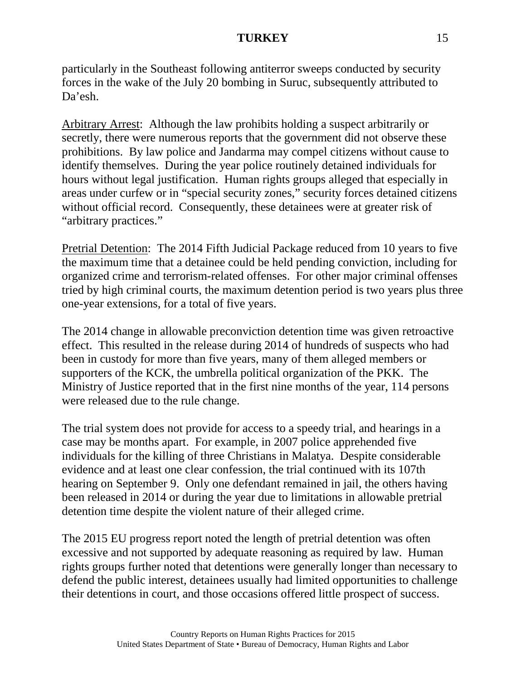particularly in the Southeast following antiterror sweeps conducted by security forces in the wake of the July 20 bombing in Suruc, subsequently attributed to Da'esh.

Arbitrary Arrest: Although the law prohibits holding a suspect arbitrarily or secretly, there were numerous reports that the government did not observe these prohibitions. By law police and Jandarma may compel citizens without cause to identify themselves. During the year police routinely detained individuals for hours without legal justification. Human rights groups alleged that especially in areas under curfew or in "special security zones," security forces detained citizens without official record. Consequently, these detainees were at greater risk of "arbitrary practices."

Pretrial Detention: The 2014 Fifth Judicial Package reduced from 10 years to five the maximum time that a detainee could be held pending conviction, including for organized crime and terrorism-related offenses. For other major criminal offenses tried by high criminal courts, the maximum detention period is two years plus three one-year extensions, for a total of five years.

The 2014 change in allowable preconviction detention time was given retroactive effect. This resulted in the release during 2014 of hundreds of suspects who had been in custody for more than five years, many of them alleged members or supporters of the KCK, the umbrella political organization of the PKK. The Ministry of Justice reported that in the first nine months of the year, 114 persons were released due to the rule change.

The trial system does not provide for access to a speedy trial, and hearings in a case may be months apart. For example, in 2007 police apprehended five individuals for the killing of three Christians in Malatya. Despite considerable evidence and at least one clear confession, the trial continued with its 107th hearing on September 9. Only one defendant remained in jail, the others having been released in 2014 or during the year due to limitations in allowable pretrial detention time despite the violent nature of their alleged crime.

The 2015 EU progress report noted the length of pretrial detention was often excessive and not supported by adequate reasoning as required by law. Human rights groups further noted that detentions were generally longer than necessary to defend the public interest, detainees usually had limited opportunities to challenge their detentions in court, and those occasions offered little prospect of success.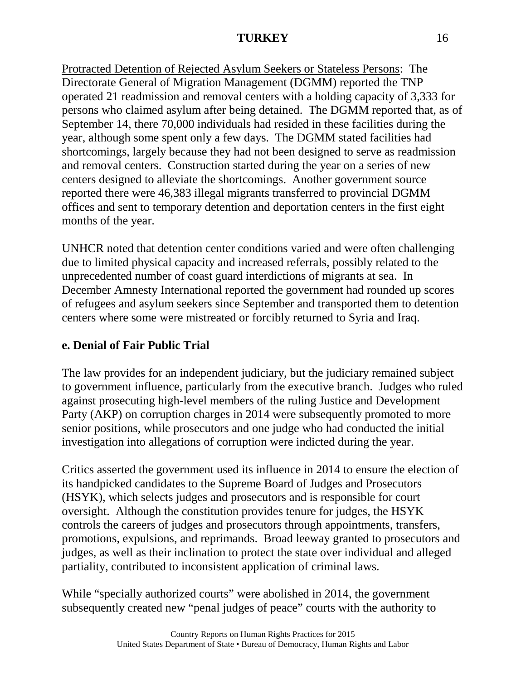Protracted Detention of Rejected Asylum Seekers or Stateless Persons: The Directorate General of Migration Management (DGMM) reported the TNP operated 21 readmission and removal centers with a holding capacity of 3,333 for persons who claimed asylum after being detained. The DGMM reported that, as of September 14, there 70,000 individuals had resided in these facilities during the year, although some spent only a few days. The DGMM stated facilities had shortcomings, largely because they had not been designed to serve as readmission and removal centers. Construction started during the year on a series of new centers designed to alleviate the shortcomings. Another government source reported there were 46,383 illegal migrants transferred to provincial DGMM offices and sent to temporary detention and deportation centers in the first eight months of the year.

UNHCR noted that detention center conditions varied and were often challenging due to limited physical capacity and increased referrals, possibly related to the unprecedented number of coast guard interdictions of migrants at sea. In December Amnesty International reported the government had rounded up scores of refugees and asylum seekers since September and transported them to detention centers where some were mistreated or forcibly returned to Syria and Iraq.

## **e. Denial of Fair Public Trial**

The law provides for an independent judiciary, but the judiciary remained subject to government influence, particularly from the executive branch. Judges who ruled against prosecuting high-level members of the ruling Justice and Development Party (AKP) on corruption charges in 2014 were subsequently promoted to more senior positions, while prosecutors and one judge who had conducted the initial investigation into allegations of corruption were indicted during the year.

Critics asserted the government used its influence in 2014 to ensure the election of its handpicked candidates to the Supreme Board of Judges and Prosecutors (HSYK), which selects judges and prosecutors and is responsible for court oversight. Although the constitution provides tenure for judges, the HSYK controls the careers of judges and prosecutors through appointments, transfers, promotions, expulsions, and reprimands. Broad leeway granted to prosecutors and judges, as well as their inclination to protect the state over individual and alleged partiality, contributed to inconsistent application of criminal laws.

While "specially authorized courts" were abolished in 2014, the government subsequently created new "penal judges of peace" courts with the authority to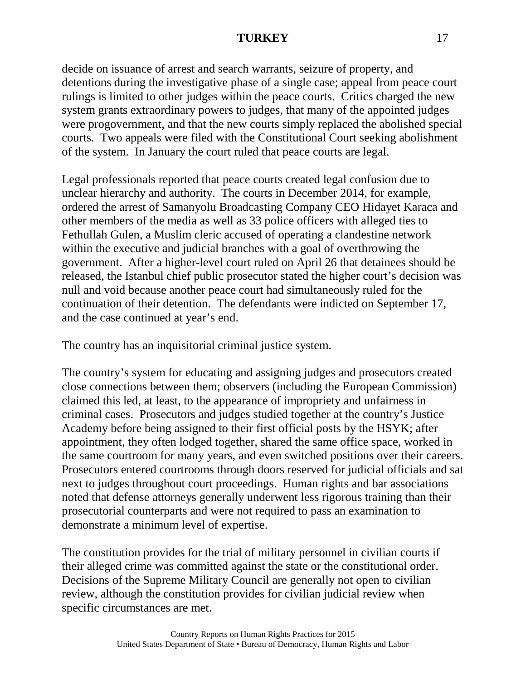decide on issuance of arrest and search warrants, seizure of property, and detentions during the investigative phase of a single case; appeal from peace court rulings is limited to other judges within the peace courts. Critics charged the new system grants extraordinary powers to judges, that many of the appointed judges were progovernment, and that the new courts simply replaced the abolished special courts. Two appeals were filed with the Constitutional Court seeking abolishment of the system. In January the court ruled that peace courts are legal.

Legal professionals reported that peace courts created legal confusion due to unclear hierarchy and authority. The courts in December 2014, for example, ordered the arrest of Samanyolu Broadcasting Company CEO Hidayet Karaca and other members of the media as well as 33 police officers with alleged ties to Fethullah Gulen, a Muslim cleric accused of operating a clandestine network within the executive and judicial branches with a goal of overthrowing the government. After a higher-level court ruled on April 26 that detainees should be released, the Istanbul chief public prosecutor stated the higher court's decision was null and void because another peace court had simultaneously ruled for the continuation of their detention. The defendants were indicted on September 17, and the case continued at year's end.

The country has an inquisitorial criminal justice system.

The country's system for educating and assigning judges and prosecutors created close connections between them; observers (including the European Commission) claimed this led, at least, to the appearance of impropriety and unfairness in criminal cases. Prosecutors and judges studied together at the country's Justice Academy before being assigned to their first official posts by the HSYK; after appointment, they often lodged together, shared the same office space, worked in the same courtroom for many years, and even switched positions over their careers. Prosecutors entered courtrooms through doors reserved for judicial officials and sat next to judges throughout court proceedings. Human rights and bar associations noted that defense attorneys generally underwent less rigorous training than their prosecutorial counterparts and were not required to pass an examination to demonstrate a minimum level of expertise.

The constitution provides for the trial of military personnel in civilian courts if their alleged crime was committed against the state or the constitutional order. Decisions of the Supreme Military Council are generally not open to civilian review, although the constitution provides for civilian judicial review when specific circumstances are met.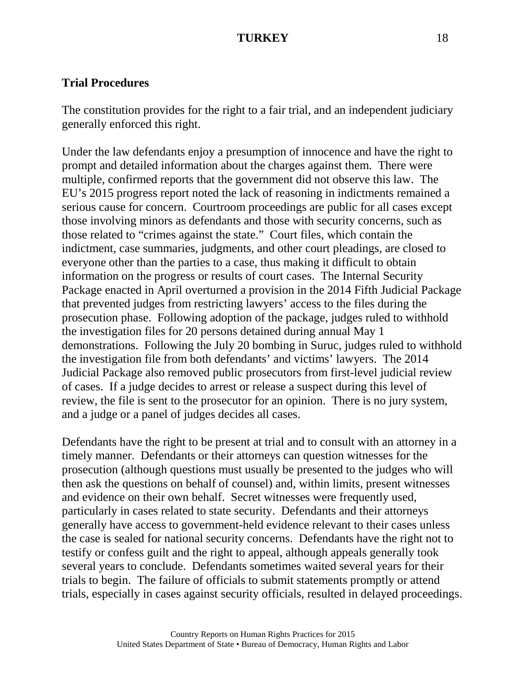#### **Trial Procedures**

The constitution provides for the right to a fair trial, and an independent judiciary generally enforced this right.

Under the law defendants enjoy a presumption of innocence and have the right to prompt and detailed information about the charges against them. There were multiple, confirmed reports that the government did not observe this law. The EU's 2015 progress report noted the lack of reasoning in indictments remained a serious cause for concern. Courtroom proceedings are public for all cases except those involving minors as defendants and those with security concerns, such as those related to "crimes against the state." Court files, which contain the indictment, case summaries, judgments, and other court pleadings, are closed to everyone other than the parties to a case, thus making it difficult to obtain information on the progress or results of court cases. The Internal Security Package enacted in April overturned a provision in the 2014 Fifth Judicial Package that prevented judges from restricting lawyers' access to the files during the prosecution phase. Following adoption of the package, judges ruled to withhold the investigation files for 20 persons detained during annual May 1 demonstrations. Following the July 20 bombing in Suruc, judges ruled to withhold the investigation file from both defendants' and victims' lawyers. The 2014 Judicial Package also removed public prosecutors from first-level judicial review of cases. If a judge decides to arrest or release a suspect during this level of review, the file is sent to the prosecutor for an opinion. There is no jury system, and a judge or a panel of judges decides all cases.

Defendants have the right to be present at trial and to consult with an attorney in a timely manner. Defendants or their attorneys can question witnesses for the prosecution (although questions must usually be presented to the judges who will then ask the questions on behalf of counsel) and, within limits, present witnesses and evidence on their own behalf. Secret witnesses were frequently used, particularly in cases related to state security. Defendants and their attorneys generally have access to government-held evidence relevant to their cases unless the case is sealed for national security concerns. Defendants have the right not to testify or confess guilt and the right to appeal, although appeals generally took several years to conclude. Defendants sometimes waited several years for their trials to begin. The failure of officials to submit statements promptly or attend trials, especially in cases against security officials, resulted in delayed proceedings.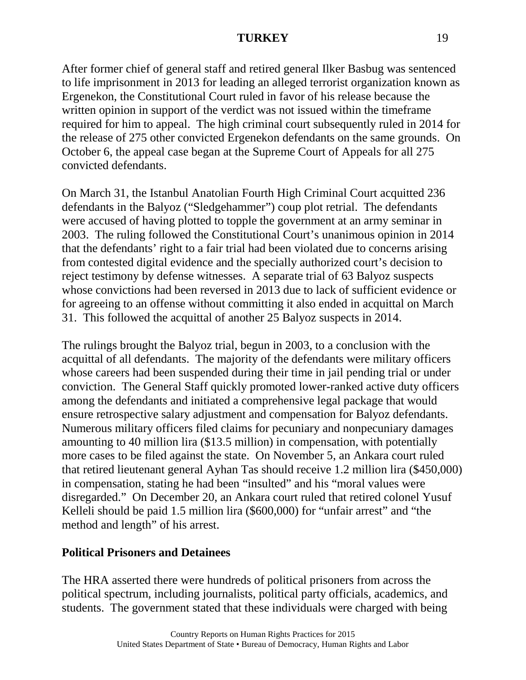After former chief of general staff and retired general Ilker Basbug was sentenced to life imprisonment in 2013 for leading an alleged terrorist organization known as Ergenekon, the Constitutional Court ruled in favor of his release because the written opinion in support of the verdict was not issued within the timeframe required for him to appeal. The high criminal court subsequently ruled in 2014 for the release of 275 other convicted Ergenekon defendants on the same grounds. On October 6, the appeal case began at the Supreme Court of Appeals for all 275 convicted defendants.

On March 31, the Istanbul Anatolian Fourth High Criminal Court acquitted 236 defendants in the Balyoz ("Sledgehammer") coup plot retrial. The defendants were accused of having plotted to topple the government at an army seminar in 2003. The ruling followed the Constitutional Court's unanimous opinion in 2014 that the defendants' right to a fair trial had been violated due to concerns arising from contested digital evidence and the specially authorized court's decision to reject testimony by defense witnesses. A separate trial of 63 Balyoz suspects whose convictions had been reversed in 2013 due to lack of sufficient evidence or for agreeing to an offense without committing it also ended in acquittal on March 31. This followed the acquittal of another 25 Balyoz suspects in 2014.

The rulings brought the Balyoz trial, begun in 2003, to a conclusion with the acquittal of all defendants. The majority of the defendants were military officers whose careers had been suspended during their time in jail pending trial or under conviction. The General Staff quickly promoted lower-ranked active duty officers among the defendants and initiated a comprehensive legal package that would ensure retrospective salary adjustment and compensation for Balyoz defendants. Numerous military officers filed claims for pecuniary and nonpecuniary damages amounting to 40 million lira (\$13.5 million) in compensation, with potentially more cases to be filed against the state. On November 5, an Ankara court ruled that retired lieutenant general Ayhan Tas should receive 1.2 million lira (\$450,000) in compensation, stating he had been "insulted" and his "moral values were disregarded." On December 20, an Ankara court ruled that retired colonel Yusuf Kelleli should be paid 1.5 million lira (\$600,000) for "unfair arrest" and "the method and length" of his arrest.

## **Political Prisoners and Detainees**

The HRA asserted there were hundreds of political prisoners from across the political spectrum, including journalists, political party officials, academics, and students. The government stated that these individuals were charged with being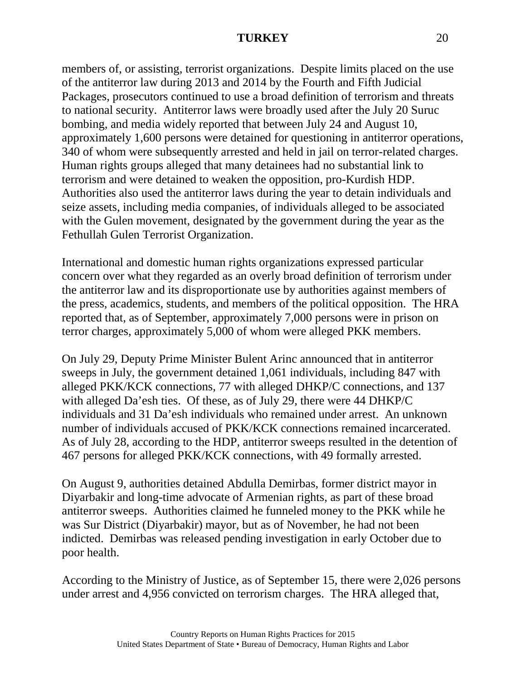members of, or assisting, terrorist organizations. Despite limits placed on the use of the antiterror law during 2013 and 2014 by the Fourth and Fifth Judicial Packages, prosecutors continued to use a broad definition of terrorism and threats to national security. Antiterror laws were broadly used after the July 20 Suruc bombing, and media widely reported that between July 24 and August 10, approximately 1,600 persons were detained for questioning in antiterror operations, 340 of whom were subsequently arrested and held in jail on terror-related charges. Human rights groups alleged that many detainees had no substantial link to terrorism and were detained to weaken the opposition, pro-Kurdish HDP. Authorities also used the antiterror laws during the year to detain individuals and seize assets, including media companies, of individuals alleged to be associated with the Gulen movement, designated by the government during the year as the Fethullah Gulen Terrorist Organization.

International and domestic human rights organizations expressed particular concern over what they regarded as an overly broad definition of terrorism under the antiterror law and its disproportionate use by authorities against members of the press, academics, students, and members of the political opposition. The HRA reported that, as of September, approximately 7,000 persons were in prison on terror charges, approximately 5,000 of whom were alleged PKK members.

On July 29, Deputy Prime Minister Bulent Arinc announced that in antiterror sweeps in July, the government detained 1,061 individuals, including 847 with alleged PKK/KCK connections, 77 with alleged DHKP/C connections, and 137 with alleged Da'esh ties. Of these, as of July 29, there were 44 DHKP/C individuals and 31 Da'esh individuals who remained under arrest. An unknown number of individuals accused of PKK/KCK connections remained incarcerated. As of July 28, according to the HDP, antiterror sweeps resulted in the detention of 467 persons for alleged PKK/KCK connections, with 49 formally arrested.

On August 9, authorities detained Abdulla Demirbas, former district mayor in Diyarbakir and long-time advocate of Armenian rights, as part of these broad antiterror sweeps. Authorities claimed he funneled money to the PKK while he was Sur District (Diyarbakir) mayor, but as of November, he had not been indicted. Demirbas was released pending investigation in early October due to poor health.

According to the Ministry of Justice, as of September 15, there were 2,026 persons under arrest and 4,956 convicted on terrorism charges. The HRA alleged that,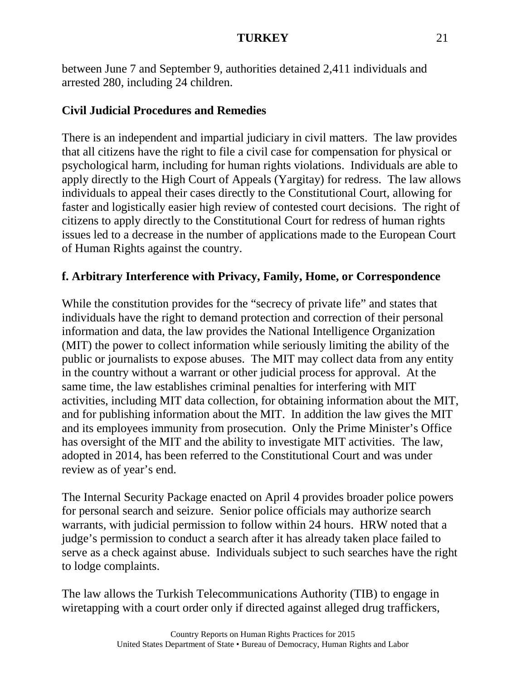between June 7 and September 9, authorities detained 2,411 individuals and arrested 280, including 24 children.

## **Civil Judicial Procedures and Remedies**

There is an independent and impartial judiciary in civil matters. The law provides that all citizens have the right to file a civil case for compensation for physical or psychological harm, including for human rights violations. Individuals are able to apply directly to the High Court of Appeals (Yargitay) for redress. The law allows individuals to appeal their cases directly to the Constitutional Court, allowing for faster and logistically easier high review of contested court decisions. The right of citizens to apply directly to the Constitutional Court for redress of human rights issues led to a decrease in the number of applications made to the European Court of Human Rights against the country.

## **f. Arbitrary Interference with Privacy, Family, Home, or Correspondence**

While the constitution provides for the "secrecy of private life" and states that individuals have the right to demand protection and correction of their personal information and data, the law provides the National Intelligence Organization (MIT) the power to collect information while seriously limiting the ability of the public or journalists to expose abuses. The MIT may collect data from any entity in the country without a warrant or other judicial process for approval. At the same time, the law establishes criminal penalties for interfering with MIT activities, including MIT data collection, for obtaining information about the MIT, and for publishing information about the MIT. In addition the law gives the MIT and its employees immunity from prosecution. Only the Prime Minister's Office has oversight of the MIT and the ability to investigate MIT activities. The law, adopted in 2014, has been referred to the Constitutional Court and was under review as of year's end.

The Internal Security Package enacted on April 4 provides broader police powers for personal search and seizure. Senior police officials may authorize search warrants, with judicial permission to follow within 24 hours. HRW noted that a judge's permission to conduct a search after it has already taken place failed to serve as a check against abuse. Individuals subject to such searches have the right to lodge complaints.

The law allows the Turkish Telecommunications Authority (TIB) to engage in wiretapping with a court order only if directed against alleged drug traffickers,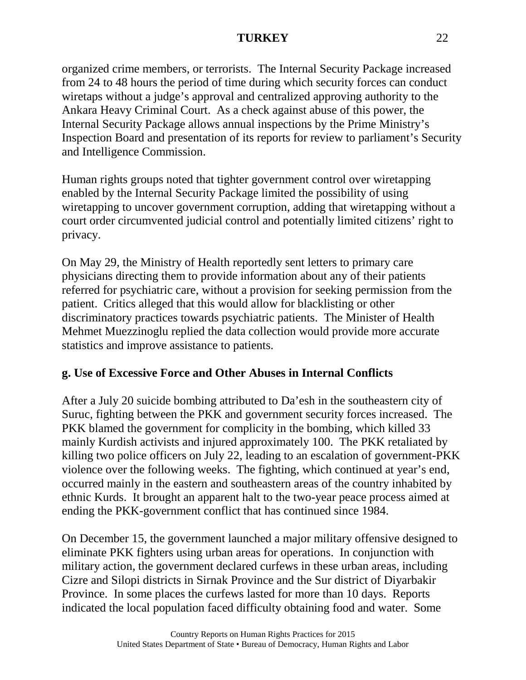organized crime members, or terrorists. The Internal Security Package increased from 24 to 48 hours the period of time during which security forces can conduct wiretaps without a judge's approval and centralized approving authority to the Ankara Heavy Criminal Court. As a check against abuse of this power, the Internal Security Package allows annual inspections by the Prime Ministry's Inspection Board and presentation of its reports for review to parliament's Security and Intelligence Commission.

Human rights groups noted that tighter government control over wiretapping enabled by the Internal Security Package limited the possibility of using wiretapping to uncover government corruption, adding that wiretapping without a court order circumvented judicial control and potentially limited citizens' right to privacy.

On May 29, the Ministry of Health reportedly sent letters to primary care physicians directing them to provide information about any of their patients referred for psychiatric care, without a provision for seeking permission from the patient. Critics alleged that this would allow for blacklisting or other discriminatory practices towards psychiatric patients. The Minister of Health Mehmet Muezzinoglu replied the data collection would provide more accurate statistics and improve assistance to patients.

## **g. Use of Excessive Force and Other Abuses in Internal Conflicts**

After a July 20 suicide bombing attributed to Da'esh in the southeastern city of Suruc, fighting between the PKK and government security forces increased. The PKK blamed the government for complicity in the bombing, which killed 33 mainly Kurdish activists and injured approximately 100. The PKK retaliated by killing two police officers on July 22, leading to an escalation of government-PKK violence over the following weeks. The fighting, which continued at year's end, occurred mainly in the eastern and southeastern areas of the country inhabited by ethnic Kurds. It brought an apparent halt to the two-year peace process aimed at ending the PKK-government conflict that has continued since 1984.

On December 15, the government launched a major military offensive designed to eliminate PKK fighters using urban areas for operations. In conjunction with military action, the government declared curfews in these urban areas, including Cizre and Silopi districts in Sirnak Province and the Sur district of Diyarbakir Province. In some places the curfews lasted for more than 10 days. Reports indicated the local population faced difficulty obtaining food and water. Some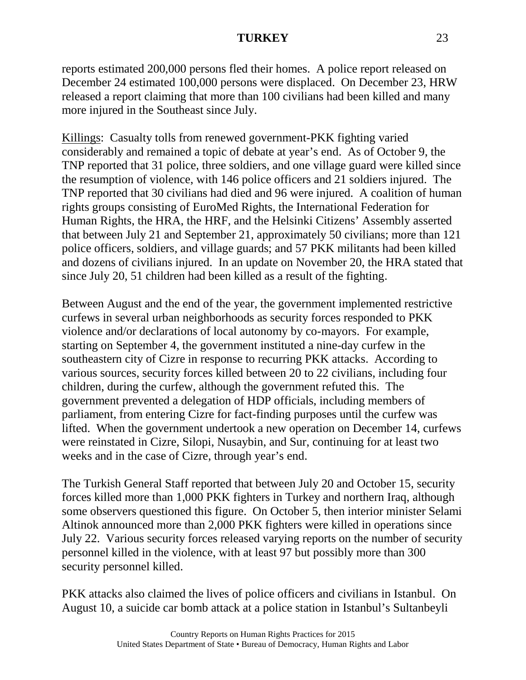reports estimated 200,000 persons fled their homes. A police report released on December 24 estimated 100,000 persons were displaced. On December 23, HRW released a report claiming that more than 100 civilians had been killed and many more injured in the Southeast since July.

Killings: Casualty tolls from renewed government-PKK fighting varied considerably and remained a topic of debate at year's end. As of October 9, the TNP reported that 31 police, three soldiers, and one village guard were killed since the resumption of violence, with 146 police officers and 21 soldiers injured. The TNP reported that 30 civilians had died and 96 were injured. A coalition of human rights groups consisting of EuroMed Rights, the International Federation for Human Rights, the HRA, the HRF, and the Helsinki Citizens' Assembly asserted that between July 21 and September 21, approximately 50 civilians; more than 121 police officers, soldiers, and village guards; and 57 PKK militants had been killed and dozens of civilians injured. In an update on November 20, the HRA stated that since July 20, 51 children had been killed as a result of the fighting.

Between August and the end of the year, the government implemented restrictive curfews in several urban neighborhoods as security forces responded to PKK violence and/or declarations of local autonomy by co-mayors. For example, starting on September 4, the government instituted a nine-day curfew in the southeastern city of Cizre in response to recurring PKK attacks. According to various sources, security forces killed between 20 to 22 civilians, including four children, during the curfew, although the government refuted this. The government prevented a delegation of HDP officials, including members of parliament, from entering Cizre for fact-finding purposes until the curfew was lifted. When the government undertook a new operation on December 14, curfews were reinstated in Cizre, Silopi, Nusaybin, and Sur, continuing for at least two weeks and in the case of Cizre, through year's end.

The Turkish General Staff reported that between July 20 and October 15, security forces killed more than 1,000 PKK fighters in Turkey and northern Iraq, although some observers questioned this figure. On October 5, then interior minister Selami Altinok announced more than 2,000 PKK fighters were killed in operations since July 22. Various security forces released varying reports on the number of security personnel killed in the violence, with at least 97 but possibly more than 300 security personnel killed.

PKK attacks also claimed the lives of police officers and civilians in Istanbul. On August 10, a suicide car bomb attack at a police station in Istanbul's Sultanbeyli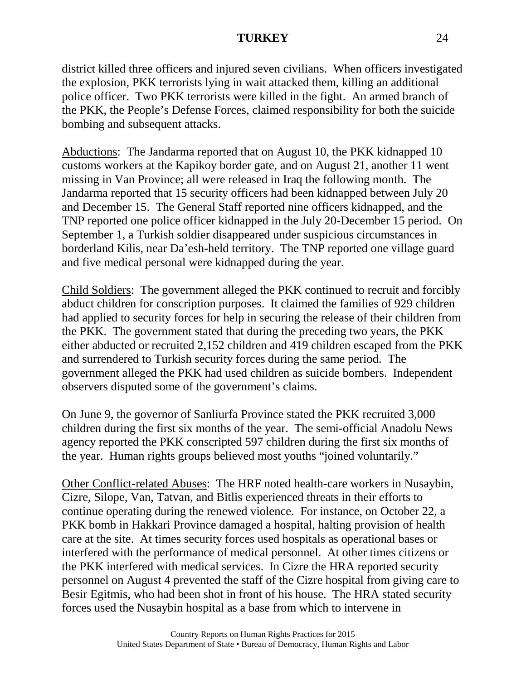district killed three officers and injured seven civilians. When officers investigated the explosion, PKK terrorists lying in wait attacked them, killing an additional police officer. Two PKK terrorists were killed in the fight. An armed branch of the PKK, the People's Defense Forces, claimed responsibility for both the suicide bombing and subsequent attacks.

Abductions: The Jandarma reported that on August 10, the PKK kidnapped 10 customs workers at the Kapikoy border gate, and on August 21, another 11 went missing in Van Province; all were released in Iraq the following month. The Jandarma reported that 15 security officers had been kidnapped between July 20 and December 15. The General Staff reported nine officers kidnapped, and the TNP reported one police officer kidnapped in the July 20-December 15 period. On September 1, a Turkish soldier disappeared under suspicious circumstances in borderland Kilis, near Da'esh-held territory. The TNP reported one village guard and five medical personal were kidnapped during the year.

Child Soldiers: The government alleged the PKK continued to recruit and forcibly abduct children for conscription purposes. It claimed the families of 929 children had applied to security forces for help in securing the release of their children from the PKK. The government stated that during the preceding two years, the PKK either abducted or recruited 2,152 children and 419 children escaped from the PKK and surrendered to Turkish security forces during the same period. The government alleged the PKK had used children as suicide bombers. Independent observers disputed some of the government's claims.

On June 9, the governor of Sanliurfa Province stated the PKK recruited 3,000 children during the first six months of the year. The semi-official Anadolu News agency reported the PKK conscripted 597 children during the first six months of the year. Human rights groups believed most youths "joined voluntarily."

Other Conflict-related Abuses: The HRF noted health-care workers in Nusaybin, Cizre, Silope, Van, Tatvan, and Bitlis experienced threats in their efforts to continue operating during the renewed violence. For instance, on October 22, a PKK bomb in Hakkari Province damaged a hospital, halting provision of health care at the site. At times security forces used hospitals as operational bases or interfered with the performance of medical personnel. At other times citizens or the PKK interfered with medical services. In Cizre the HRA reported security personnel on August 4 prevented the staff of the Cizre hospital from giving care to Besir Egitmis, who had been shot in front of his house. The HRA stated security forces used the Nusaybin hospital as a base from which to intervene in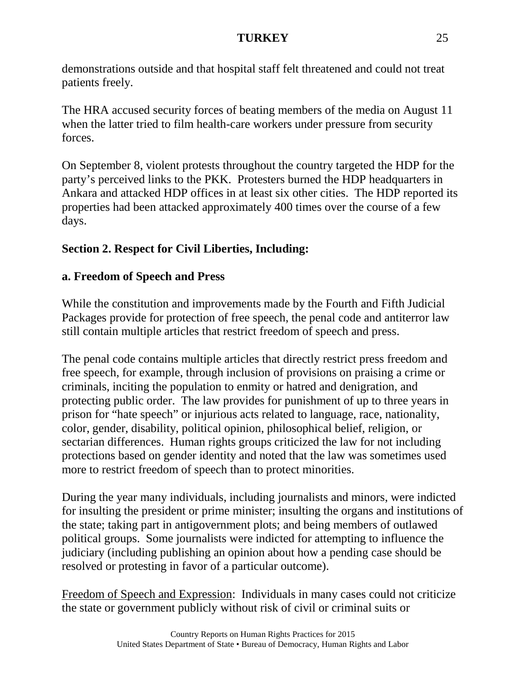demonstrations outside and that hospital staff felt threatened and could not treat patients freely.

The HRA accused security forces of beating members of the media on August 11 when the latter tried to film health-care workers under pressure from security forces.

On September 8, violent protests throughout the country targeted the HDP for the party's perceived links to the PKK. Protesters burned the HDP headquarters in Ankara and attacked HDP offices in at least six other cities. The HDP reported its properties had been attacked approximately 400 times over the course of a few days.

# **Section 2. Respect for Civil Liberties, Including:**

# **a. Freedom of Speech and Press**

While the constitution and improvements made by the Fourth and Fifth Judicial Packages provide for protection of free speech, the penal code and antiterror law still contain multiple articles that restrict freedom of speech and press.

The penal code contains multiple articles that directly restrict press freedom and free speech, for example, through inclusion of provisions on praising a crime or criminals, inciting the population to enmity or hatred and denigration, and protecting public order. The law provides for punishment of up to three years in prison for "hate speech" or injurious acts related to language, race, nationality, color, gender, disability, political opinion, philosophical belief, religion, or sectarian differences. Human rights groups criticized the law for not including protections based on gender identity and noted that the law was sometimes used more to restrict freedom of speech than to protect minorities.

During the year many individuals, including journalists and minors, were indicted for insulting the president or prime minister; insulting the organs and institutions of the state; taking part in antigovernment plots; and being members of outlawed political groups. Some journalists were indicted for attempting to influence the judiciary (including publishing an opinion about how a pending case should be resolved or protesting in favor of a particular outcome).

Freedom of Speech and Expression: Individuals in many cases could not criticize the state or government publicly without risk of civil or criminal suits or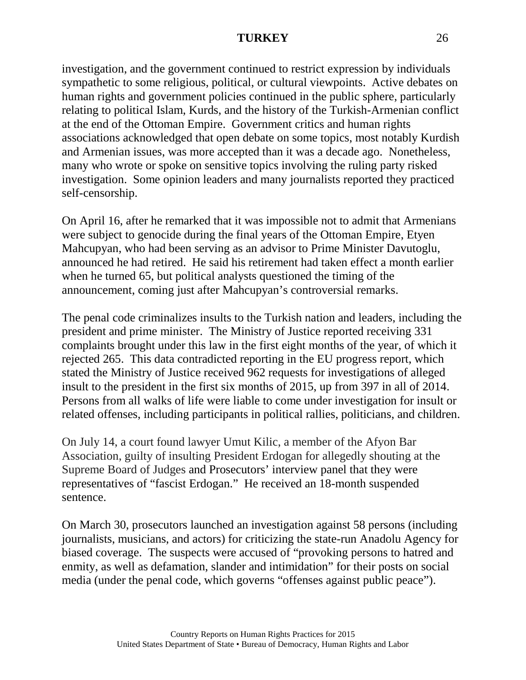investigation, and the government continued to restrict expression by individuals sympathetic to some religious, political, or cultural viewpoints. Active debates on human rights and government policies continued in the public sphere, particularly relating to political Islam, Kurds, and the history of the Turkish-Armenian conflict at the end of the Ottoman Empire. Government critics and human rights associations acknowledged that open debate on some topics, most notably Kurdish and Armenian issues, was more accepted than it was a decade ago. Nonetheless, many who wrote or spoke on sensitive topics involving the ruling party risked investigation. Some opinion leaders and many journalists reported they practiced self-censorship.

On April 16, after he remarked that it was impossible not to admit that Armenians were subject to genocide during the final years of the Ottoman Empire, Etyen Mahcupyan, who had been serving as an advisor to Prime Minister Davutoglu, announced he had retired. He said his retirement had taken effect a month earlier when he turned 65, but political analysts questioned the timing of the announcement, coming just after Mahcupyan's controversial remarks.

The penal code criminalizes insults to the Turkish nation and leaders, including the president and prime minister. The Ministry of Justice reported receiving 331 complaints brought under this law in the first eight months of the year, of which it rejected 265. This data contradicted reporting in the EU progress report, which stated the Ministry of Justice received 962 requests for investigations of alleged insult to the president in the first six months of 2015, up from 397 in all of 2014. Persons from all walks of life were liable to come under investigation for insult or related offenses, including participants in political rallies, politicians, and children.

On July 14, a court found lawyer Umut Kilic, a member of the Afyon Bar Association, guilty of insulting President Erdogan for allegedly shouting at the Supreme Board of Judges and Prosecutors' interview panel that they were representatives of "fascist Erdogan." He received an 18-month suspended sentence.

On March 30, prosecutors launched an investigation against 58 persons (including journalists, musicians, and actors) for criticizing the state-run Anadolu Agency for biased coverage. The suspects were accused of "provoking persons to hatred and enmity, as well as defamation, slander and intimidation" for their posts on social media (under the penal code, which governs "offenses against public peace").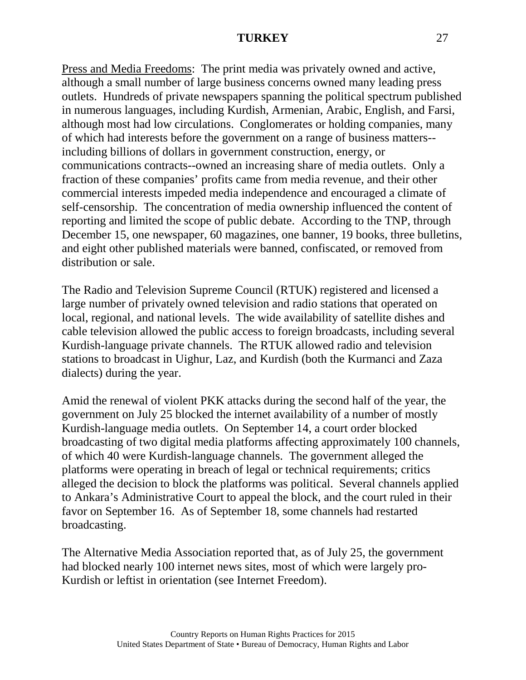Press and Media Freedoms: The print media was privately owned and active, although a small number of large business concerns owned many leading press outlets. Hundreds of private newspapers spanning the political spectrum published in numerous languages, including Kurdish, Armenian, Arabic, English, and Farsi, although most had low circulations. Conglomerates or holding companies, many of which had interests before the government on a range of business matters- including billions of dollars in government construction, energy, or communications contracts--owned an increasing share of media outlets. Only a fraction of these companies' profits came from media revenue, and their other commercial interests impeded media independence and encouraged a climate of self-censorship. The concentration of media ownership influenced the content of reporting and limited the scope of public debate. According to the TNP, through December 15, one newspaper, 60 magazines, one banner, 19 books, three bulletins, and eight other published materials were banned, confiscated, or removed from distribution or sale.

The Radio and Television Supreme Council (RTUK) registered and licensed a large number of privately owned television and radio stations that operated on local, regional, and national levels. The wide availability of satellite dishes and cable television allowed the public access to foreign broadcasts, including several Kurdish-language private channels. The RTUK allowed radio and television stations to broadcast in Uighur, Laz, and Kurdish (both the Kurmanci and Zaza dialects) during the year.

Amid the renewal of violent PKK attacks during the second half of the year, the government on July 25 blocked the internet availability of a number of mostly Kurdish-language media outlets. On September 14, a court order blocked broadcasting of two digital media platforms affecting approximately 100 channels, of which 40 were Kurdish-language channels. The government alleged the platforms were operating in breach of legal or technical requirements; critics alleged the decision to block the platforms was political. Several channels applied to Ankara's Administrative Court to appeal the block, and the court ruled in their favor on September 16. As of September 18, some channels had restarted broadcasting.

The Alternative Media Association reported that, as of July 25, the government had blocked nearly 100 internet news sites, most of which were largely pro-Kurdish or leftist in orientation (see Internet Freedom).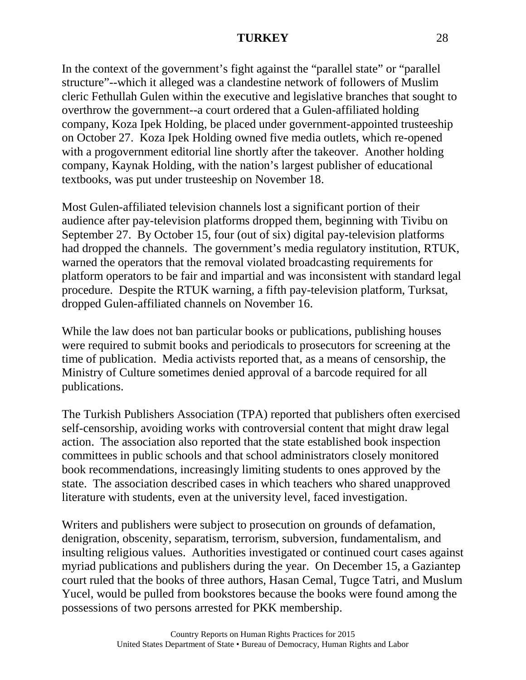In the context of the government's fight against the "parallel state" or "parallel" structure"--which it alleged was a clandestine network of followers of Muslim cleric Fethullah Gulen within the executive and legislative branches that sought to overthrow the government--a court ordered that a Gulen-affiliated holding company, Koza Ipek Holding, be placed under government-appointed trusteeship on October 27. Koza Ipek Holding owned five media outlets, which re-opened with a progovernment editorial line shortly after the takeover. Another holding company, Kaynak Holding, with the nation's largest publisher of educational textbooks, was put under trusteeship on November 18.

Most Gulen-affiliated television channels lost a significant portion of their audience after pay-television platforms dropped them, beginning with Tivibu on September 27. By October 15, four (out of six) digital pay-television platforms had dropped the channels. The government's media regulatory institution, RTUK, warned the operators that the removal violated broadcasting requirements for platform operators to be fair and impartial and was inconsistent with standard legal procedure. Despite the RTUK warning, a fifth pay-television platform, Turksat, dropped Gulen-affiliated channels on November 16.

While the law does not ban particular books or publications, publishing houses were required to submit books and periodicals to prosecutors for screening at the time of publication. Media activists reported that, as a means of censorship, the Ministry of Culture sometimes denied approval of a barcode required for all publications.

The Turkish Publishers Association (TPA) reported that publishers often exercised self-censorship, avoiding works with controversial content that might draw legal action. The association also reported that the state established book inspection committees in public schools and that school administrators closely monitored book recommendations, increasingly limiting students to ones approved by the state. The association described cases in which teachers who shared unapproved literature with students, even at the university level, faced investigation.

Writers and publishers were subject to prosecution on grounds of defamation, denigration, obscenity, separatism, terrorism, subversion, fundamentalism, and insulting religious values. Authorities investigated or continued court cases against myriad publications and publishers during the year. On December 15, a Gaziantep court ruled that the books of three authors, Hasan Cemal, Tugce Tatri, and Muslum Yucel, would be pulled from bookstores because the books were found among the possessions of two persons arrested for PKK membership.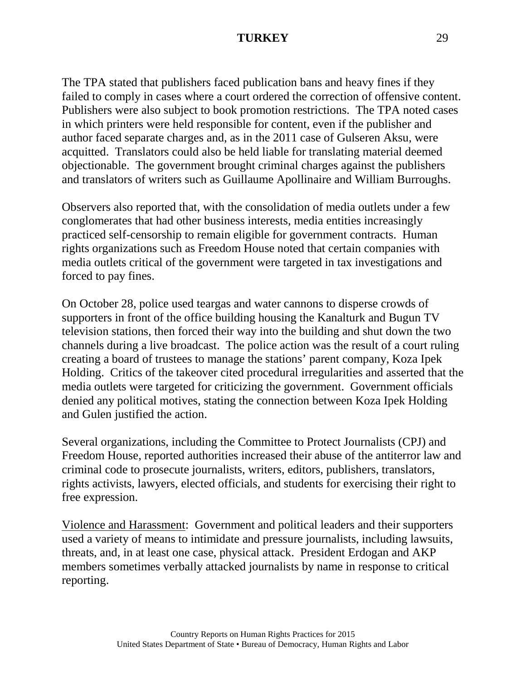The TPA stated that publishers faced publication bans and heavy fines if they failed to comply in cases where a court ordered the correction of offensive content. Publishers were also subject to book promotion restrictions. The TPA noted cases in which printers were held responsible for content, even if the publisher and author faced separate charges and, as in the 2011 case of Gulseren Aksu, were acquitted. Translators could also be held liable for translating material deemed objectionable. The government brought criminal charges against the publishers and translators of writers such as Guillaume Apollinaire and William Burroughs.

Observers also reported that, with the consolidation of media outlets under a few conglomerates that had other business interests, media entities increasingly practiced self-censorship to remain eligible for government contracts. Human rights organizations such as Freedom House noted that certain companies with media outlets critical of the government were targeted in tax investigations and forced to pay fines.

On October 28, police used teargas and water cannons to disperse crowds of supporters in front of the office building housing the Kanalturk and Bugun TV television stations, then forced their way into the building and shut down the two channels during a live broadcast. The police action was the result of a court ruling creating a board of trustees to manage the stations' parent company, Koza Ipek Holding. Critics of the takeover cited procedural irregularities and asserted that the media outlets were targeted for criticizing the government. Government officials denied any political motives, stating the connection between Koza Ipek Holding and Gulen justified the action.

Several organizations, including the Committee to Protect Journalists (CPJ) and Freedom House, reported authorities increased their abuse of the antiterror law and criminal code to prosecute journalists, writers, editors, publishers, translators, rights activists, lawyers, elected officials, and students for exercising their right to free expression.

Violence and Harassment: Government and political leaders and their supporters used a variety of means to intimidate and pressure journalists, including lawsuits, threats, and, in at least one case, physical attack. President Erdogan and AKP members sometimes verbally attacked journalists by name in response to critical reporting.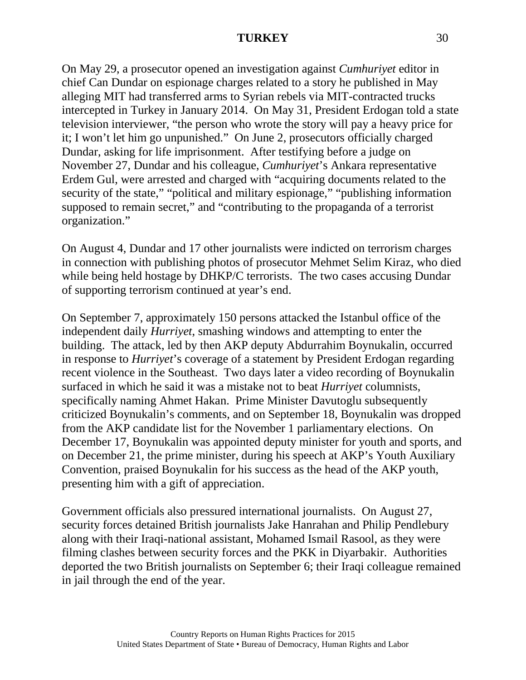On May 29, a prosecutor opened an investigation against *Cumhuriyet* editor in chief Can Dundar on espionage charges related to a story he published in May alleging MIT had transferred arms to Syrian rebels via MIT-contracted trucks intercepted in Turkey in January 2014. On May 31, President Erdogan told a state television interviewer, "the person who wrote the story will pay a heavy price for it; I won't let him go unpunished." On June 2, prosecutors officially charged Dundar, asking for life imprisonment. After testifying before a judge on November 27, Dundar and his colleague, *Cumhuriyet*'s Ankara representative Erdem Gul, were arrested and charged with "acquiring documents related to the security of the state," "political and military espionage," "publishing information supposed to remain secret," and "contributing to the propaganda of a terrorist organization."

On August 4, Dundar and 17 other journalists were indicted on terrorism charges in connection with publishing photos of prosecutor Mehmet Selim Kiraz, who died while being held hostage by DHKP/C terrorists. The two cases accusing Dundar of supporting terrorism continued at year's end.

On September 7, approximately 150 persons attacked the Istanbul office of the independent daily *Hurriyet*, smashing windows and attempting to enter the building. The attack, led by then AKP deputy Abdurrahim Boynukalin, occurred in response to *Hurriyet*'s coverage of a statement by President Erdogan regarding recent violence in the Southeast. Two days later a video recording of Boynukalin surfaced in which he said it was a mistake not to beat *Hurriyet* columnists, specifically naming Ahmet Hakan. Prime Minister Davutoglu subsequently criticized Boynukalin's comments, and on September 18, Boynukalin was dropped from the AKP candidate list for the November 1 parliamentary elections. On December 17, Boynukalin was appointed deputy minister for youth and sports, and on December 21, the prime minister, during his speech at AKP's Youth Auxiliary Convention, praised Boynukalin for his success as the head of the AKP youth, presenting him with a gift of appreciation.

Government officials also pressured international journalists. On August 27, security forces detained British journalists Jake Hanrahan and Philip Pendlebury along with their Iraqi-national assistant, Mohamed Ismail Rasool, as they were filming clashes between security forces and the PKK in Diyarbakir. Authorities deported the two British journalists on September 6; their Iraqi colleague remained in jail through the end of the year.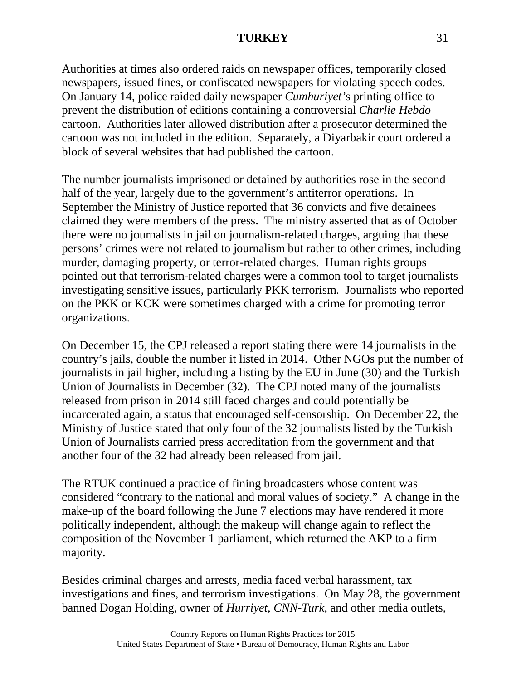Authorities at times also ordered raids on newspaper offices, temporarily closed newspapers, issued fines, or confiscated newspapers for violating speech codes. On January 14, police raided daily newspaper *Cumhuriyet'*s printing office to prevent the distribution of editions containing a controversial *Charlie Hebdo* cartoon. Authorities later allowed distribution after a prosecutor determined the cartoon was not included in the edition. Separately, a Diyarbakir court ordered a block of several websites that had published the cartoon.

The number journalists imprisoned or detained by authorities rose in the second half of the year, largely due to the government's antiterror operations. In September the Ministry of Justice reported that 36 convicts and five detainees claimed they were members of the press. The ministry asserted that as of October there were no journalists in jail on journalism-related charges, arguing that these persons' crimes were not related to journalism but rather to other crimes, including murder, damaging property, or terror-related charges. Human rights groups pointed out that terrorism-related charges were a common tool to target journalists investigating sensitive issues, particularly PKK terrorism. Journalists who reported on the PKK or KCK were sometimes charged with a crime for promoting terror organizations.

On December 15, the CPJ released a report stating there were 14 journalists in the country's jails, double the number it listed in 2014. Other NGOs put the number of journalists in jail higher, including a listing by the EU in June (30) and the Turkish Union of Journalists in December (32). The CPJ noted many of the journalists released from prison in 2014 still faced charges and could potentially be incarcerated again, a status that encouraged self-censorship. On December 22, the Ministry of Justice stated that only four of the 32 journalists listed by the Turkish Union of Journalists carried press accreditation from the government and that another four of the 32 had already been released from jail.

The RTUK continued a practice of fining broadcasters whose content was considered "contrary to the national and moral values of society." A change in the make-up of the board following the June 7 elections may have rendered it more politically independent, although the makeup will change again to reflect the composition of the November 1 parliament, which returned the AKP to a firm majority.

Besides criminal charges and arrests, media faced verbal harassment, tax investigations and fines, and terrorism investigations. On May 28, the government banned Dogan Holding, owner of *Hurriyet, CNN-Turk*, and other media outlets,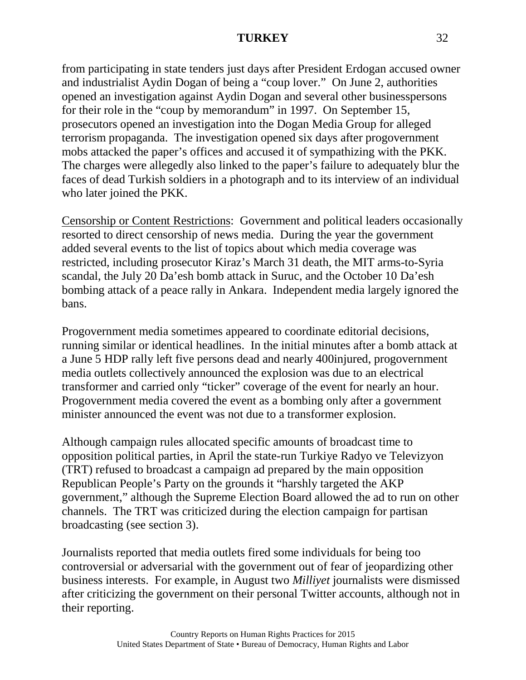from participating in state tenders just days after President Erdogan accused owner and industrialist Aydin Dogan of being a "coup lover." On June 2, authorities opened an investigation against Aydin Dogan and several other businesspersons for their role in the "coup by memorandum" in 1997. On September 15, prosecutors opened an investigation into the Dogan Media Group for alleged terrorism propaganda. The investigation opened six days after progovernment mobs attacked the paper's offices and accused it of sympathizing with the PKK. The charges were allegedly also linked to the paper's failure to adequately blur the faces of dead Turkish soldiers in a photograph and to its interview of an individual who later joined the PKK.

Censorship or Content Restrictions: Government and political leaders occasionally resorted to direct censorship of news media. During the year the government added several events to the list of topics about which media coverage was restricted, including prosecutor Kiraz's March 31 death, the MIT arms-to-Syria scandal, the July 20 Da'esh bomb attack in Suruc, and the October 10 Da'esh bombing attack of a peace rally in Ankara. Independent media largely ignored the bans.

Progovernment media sometimes appeared to coordinate editorial decisions, running similar or identical headlines. In the initial minutes after a bomb attack at a June 5 HDP rally left five persons dead and nearly 400injured, progovernment media outlets collectively announced the explosion was due to an electrical transformer and carried only "ticker" coverage of the event for nearly an hour. Progovernment media covered the event as a bombing only after a government minister announced the event was not due to a transformer explosion.

Although campaign rules allocated specific amounts of broadcast time to opposition political parties, in April the state-run Turkiye Radyo ve Televizyon (TRT) refused to broadcast a campaign ad prepared by the main opposition Republican People's Party on the grounds it "harshly targeted the AKP government," although the Supreme Election Board allowed the ad to run on other channels. The TRT was criticized during the election campaign for partisan broadcasting (see section 3).

Journalists reported that media outlets fired some individuals for being too controversial or adversarial with the government out of fear of jeopardizing other business interests. For example, in August two *Milliyet* journalists were dismissed after criticizing the government on their personal Twitter accounts, although not in their reporting.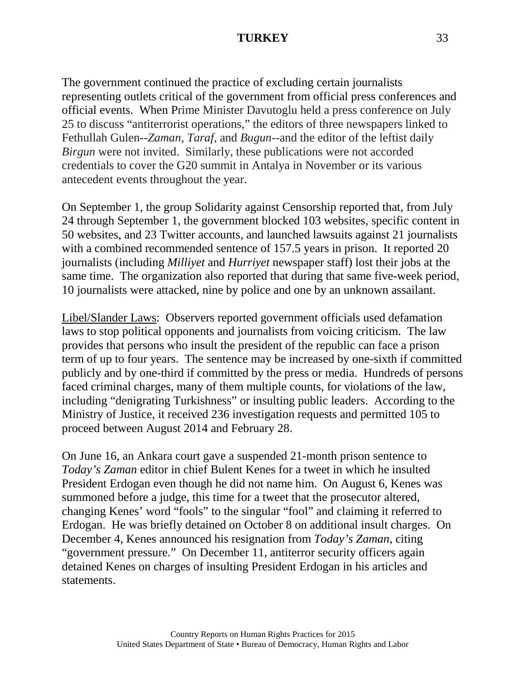The government continued the practice of excluding certain journalists representing outlets critical of the government from official press conferences and official events. When Prime Minister Davutoglu held a press conference on July 25 to discuss "antiterrorist operations," the editors of three newspapers linked to Fethullah Gulen--*Zaman*, *Taraf,* and *Bugun*--and the editor of the leftist daily *Birgun* were not invited. Similarly, these publications were not accorded credentials to cover the G20 summit in Antalya in November or its various antecedent events throughout the year.

On September 1, the group Solidarity against Censorship reported that, from July 24 through September 1, the government blocked 103 websites, specific content in 50 websites, and 23 Twitter accounts, and launched lawsuits against 21 journalists with a combined recommended sentence of 157.5 years in prison. It reported 20 journalists (including *Milliyet* and *Hurriyet* newspaper staff) lost their jobs at the same time. The organization also reported that during that same five-week period, 10 journalists were attacked, nine by police and one by an unknown assailant.

Libel/Slander Laws: Observers reported government officials used defamation laws to stop political opponents and journalists from voicing criticism. The law provides that persons who insult the president of the republic can face a prison term of up to four years. The sentence may be increased by one-sixth if committed publicly and by one-third if committed by the press or media. Hundreds of persons faced criminal charges, many of them multiple counts, for violations of the law, including "denigrating Turkishness" or insulting public leaders. According to the Ministry of Justice, it received 236 investigation requests and permitted 105 to proceed between August 2014 and February 28.

On June 16, an Ankara court gave a suspended 21-month prison sentence to *Today's Zaman* editor in chief Bulent Kenes for a tweet in which he insulted President Erdogan even though he did not name him. On August 6, Kenes was summoned before a judge, this time for a tweet that the prosecutor altered, changing Kenes' word "fools" to the singular "fool" and claiming it referred to Erdogan. He was briefly detained on October 8 on additional insult charges. On December 4, Kenes announced his resignation from *Today's Zaman*, citing "government pressure." On December 11, antiterror security officers again detained Kenes on charges of insulting President Erdogan in his articles and statements.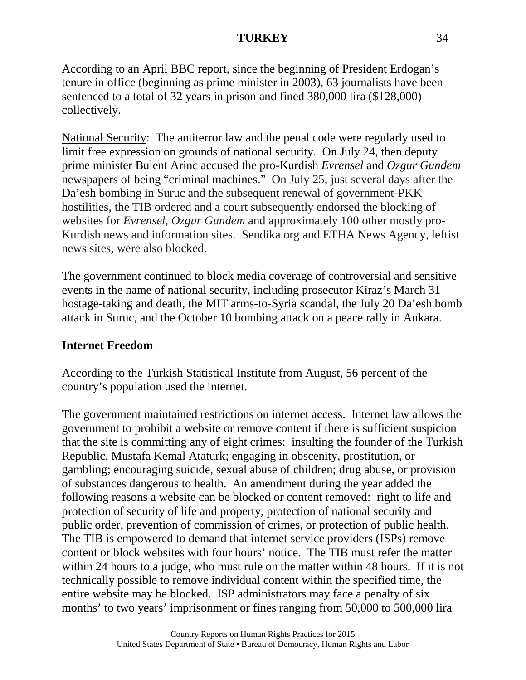According to an April BBC report, since the beginning of President Erdogan's tenure in office (beginning as prime minister in 2003), 63 journalists have been sentenced to a total of 32 years in prison and fined 380,000 lira (\$128,000) collectively.

National Security: The antiterror law and the penal code were regularly used to limit free expression on grounds of national security. On July 24, then deputy prime minister Bulent Arinc accused the pro-Kurdish *Evrensel* and *Ozgur Gundem*  newspapers of being "criminal machines." On July 25, just several days after the Da'esh bombing in Suruc and the subsequent renewal of government-PKK hostilities, the TIB ordered and a court subsequently endorsed the blocking of websites for *Evrensel, Ozgur Gundem* and approximately 100 other mostly pro-Kurdish news and information sites. Sendika.org and ETHA News Agency, leftist news sites, were also blocked.

The government continued to block media coverage of controversial and sensitive events in the name of national security, including prosecutor Kiraz's March 31 hostage-taking and death, the MIT arms-to-Syria scandal, the July 20 Da'esh bomb attack in Suruc, and the October 10 bombing attack on a peace rally in Ankara.

## **Internet Freedom**

According to the Turkish Statistical Institute from August, 56 percent of the country's population used the internet.

The government maintained restrictions on internet access. Internet law allows the government to prohibit a website or remove content if there is sufficient suspicion that the site is committing any of eight crimes: insulting the founder of the Turkish Republic, Mustafa Kemal Ataturk; engaging in obscenity, prostitution, or gambling; encouraging suicide, sexual abuse of children; drug abuse, or provision of substances dangerous to health. An amendment during the year added the following reasons a website can be blocked or content removed: right to life and protection of security of life and property, protection of national security and public order, prevention of commission of crimes, or protection of public health. The TIB is empowered to demand that internet service providers (ISPs) remove content or block websites with four hours' notice. The TIB must refer the matter within 24 hours to a judge, who must rule on the matter within 48 hours. If it is not technically possible to remove individual content within the specified time, the entire website may be blocked. ISP administrators may face a penalty of six months' to two years' imprisonment or fines ranging from 50,000 to 500,000 lira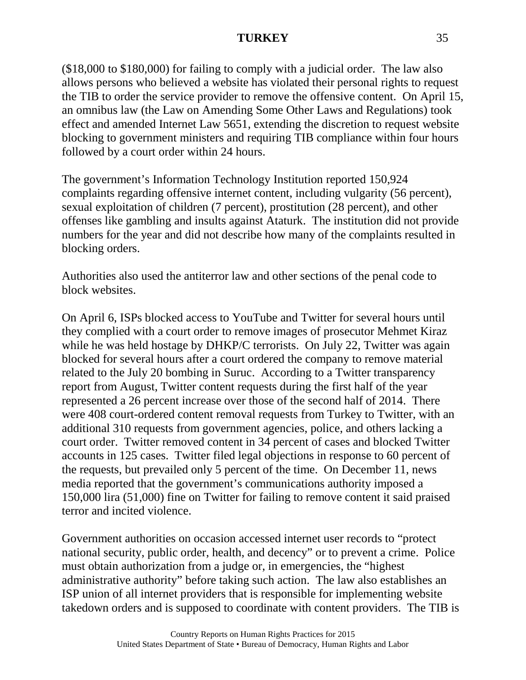(\$18,000 to \$180,000) for failing to comply with a judicial order. The law also allows persons who believed a website has violated their personal rights to request the TIB to order the service provider to remove the offensive content. On April 15, an omnibus law (the Law on Amending Some Other Laws and Regulations) took effect and amended Internet Law 5651, extending the discretion to request website blocking to government ministers and requiring TIB compliance within four hours followed by a court order within 24 hours.

The government's Information Technology Institution reported 150,924 complaints regarding offensive internet content, including vulgarity (56 percent), sexual exploitation of children (7 percent), prostitution (28 percent), and other offenses like gambling and insults against Ataturk. The institution did not provide numbers for the year and did not describe how many of the complaints resulted in blocking orders.

Authorities also used the antiterror law and other sections of the penal code to block websites.

On April 6, ISPs blocked access to YouTube and Twitter for several hours until they complied with a court order to remove images of prosecutor Mehmet Kiraz while he was held hostage by DHKP/C terrorists. On July 22, Twitter was again blocked for several hours after a court ordered the company to remove material related to the July 20 bombing in Suruc. According to a Twitter transparency report from August, Twitter content requests during the first half of the year represented a 26 percent increase over those of the second half of 2014. There were 408 court-ordered content removal requests from Turkey to Twitter, with an additional 310 requests from government agencies, police, and others lacking a court order. Twitter removed content in 34 percent of cases and blocked Twitter accounts in 125 cases. Twitter filed legal objections in response to 60 percent of the requests, but prevailed only 5 percent of the time. On December 11, news media reported that the government's communications authority imposed a 150,000 lira (51,000) fine on Twitter for failing to remove content it said praised terror and incited violence.

Government authorities on occasion accessed internet user records to "protect national security, public order, health, and decency" or to prevent a crime. Police must obtain authorization from a judge or, in emergencies, the "highest administrative authority" before taking such action. The law also establishes an ISP union of all internet providers that is responsible for implementing website takedown orders and is supposed to coordinate with content providers. The TIB is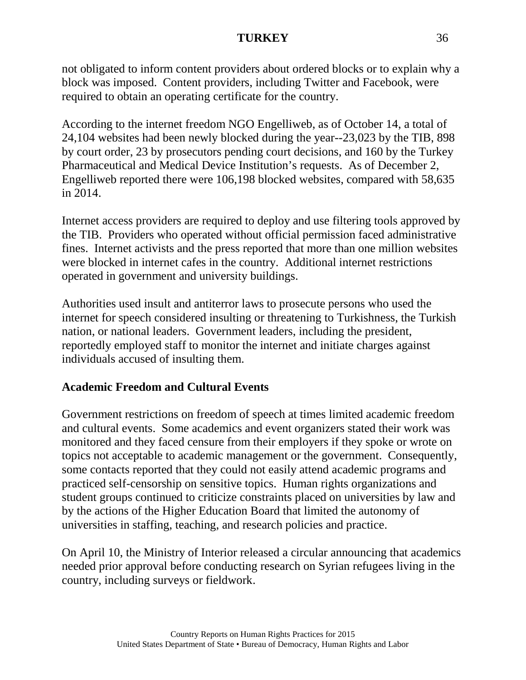not obligated to inform content providers about ordered blocks or to explain why a block was imposed. Content providers, including Twitter and Facebook, were required to obtain an operating certificate for the country.

According to the internet freedom NGO Engelliweb, as of October 14, a total of 24,104 websites had been newly blocked during the year--23,023 by the TIB, 898 by court order, 23 by prosecutors pending court decisions, and 160 by the Turkey Pharmaceutical and Medical Device Institution's requests. As of December 2, Engelliweb reported there were 106,198 blocked websites, compared with 58,635 in 2014.

Internet access providers are required to deploy and use filtering tools approved by the TIB. Providers who operated without official permission faced administrative fines. Internet activists and the press reported that more than one million websites were blocked in internet cafes in the country. Additional internet restrictions operated in government and university buildings.

Authorities used insult and antiterror laws to prosecute persons who used the internet for speech considered insulting or threatening to Turkishness, the Turkish nation, or national leaders. Government leaders, including the president, reportedly employed staff to monitor the internet and initiate charges against individuals accused of insulting them.

## **Academic Freedom and Cultural Events**

Government restrictions on freedom of speech at times limited academic freedom and cultural events. Some academics and event organizers stated their work was monitored and they faced censure from their employers if they spoke or wrote on topics not acceptable to academic management or the government. Consequently, some contacts reported that they could not easily attend academic programs and practiced self-censorship on sensitive topics. Human rights organizations and student groups continued to criticize constraints placed on universities by law and by the actions of the Higher Education Board that limited the autonomy of universities in staffing, teaching, and research policies and practice.

On April 10, the Ministry of Interior released a circular announcing that academics needed prior approval before conducting research on Syrian refugees living in the country, including surveys or fieldwork.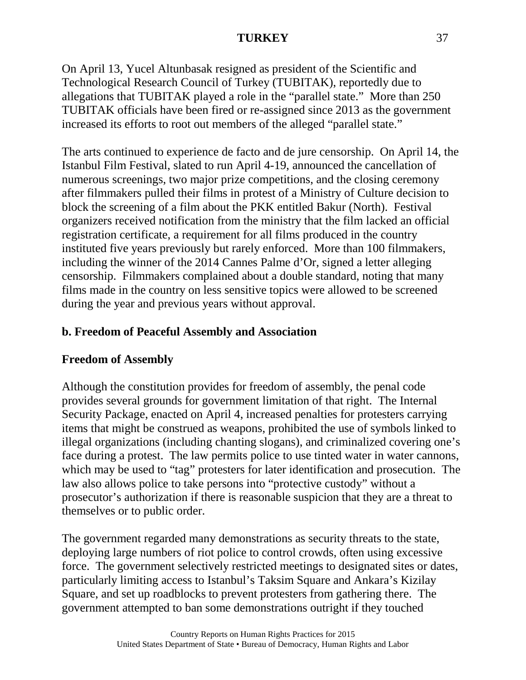On April 13, Yucel Altunbasak resigned as president of the Scientific and Technological Research Council of Turkey (TUBITAK), reportedly due to allegations that TUBITAK played a role in the "parallel state." More than 250 TUBITAK officials have been fired or re-assigned since 2013 as the government increased its efforts to root out members of the alleged "parallel state."

The arts continued to experience de facto and de jure censorship. On April 14, the Istanbul Film Festival, slated to run April 4-19, announced the cancellation of numerous screenings, two major prize competitions, and the closing ceremony after filmmakers pulled their films in protest of a Ministry of Culture decision to block the screening of a film about the PKK entitled Bakur (North). Festival organizers received notification from the ministry that the film lacked an official registration certificate, a requirement for all films produced in the country instituted five years previously but rarely enforced. More than 100 filmmakers, including the winner of the 2014 Cannes Palme d'Or, signed a letter alleging censorship. Filmmakers complained about a double standard, noting that many films made in the country on less sensitive topics were allowed to be screened during the year and previous years without approval.

# **b. Freedom of Peaceful Assembly and Association**

# **Freedom of Assembly**

Although the constitution provides for freedom of assembly, the penal code provides several grounds for government limitation of that right. The Internal Security Package, enacted on April 4, increased penalties for protesters carrying items that might be construed as weapons, prohibited the use of symbols linked to illegal organizations (including chanting slogans), and criminalized covering one's face during a protest. The law permits police to use tinted water in water cannons, which may be used to "tag" protesters for later identification and prosecution. The law also allows police to take persons into "protective custody" without a prosecutor's authorization if there is reasonable suspicion that they are a threat to themselves or to public order.

The government regarded many demonstrations as security threats to the state, deploying large numbers of riot police to control crowds, often using excessive force. The government selectively restricted meetings to designated sites or dates, particularly limiting access to Istanbul's Taksim Square and Ankara's Kizilay Square, and set up roadblocks to prevent protesters from gathering there. The government attempted to ban some demonstrations outright if they touched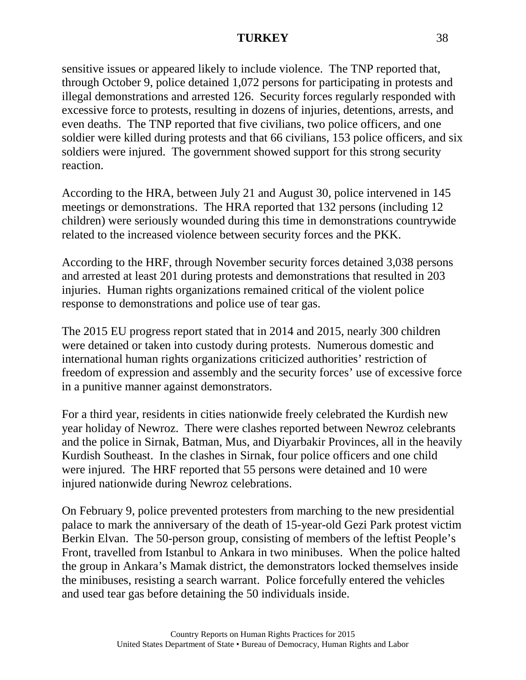sensitive issues or appeared likely to include violence. The TNP reported that, through October 9, police detained 1,072 persons for participating in protests and illegal demonstrations and arrested 126. Security forces regularly responded with excessive force to protests, resulting in dozens of injuries, detentions, arrests, and even deaths. The TNP reported that five civilians, two police officers, and one soldier were killed during protests and that 66 civilians, 153 police officers, and six soldiers were injured. The government showed support for this strong security reaction.

According to the HRA, between July 21 and August 30, police intervened in 145 meetings or demonstrations. The HRA reported that 132 persons (including 12 children) were seriously wounded during this time in demonstrations countrywide related to the increased violence between security forces and the PKK.

According to the HRF, through November security forces detained 3,038 persons and arrested at least 201 during protests and demonstrations that resulted in 203 injuries. Human rights organizations remained critical of the violent police response to demonstrations and police use of tear gas.

The 2015 EU progress report stated that in 2014 and 2015, nearly 300 children were detained or taken into custody during protests. Numerous domestic and international human rights organizations criticized authorities' restriction of freedom of expression and assembly and the security forces' use of excessive force in a punitive manner against demonstrators.

For a third year, residents in cities nationwide freely celebrated the Kurdish new year holiday of Newroz. There were clashes reported between Newroz celebrants and the police in Sirnak, Batman, Mus, and Diyarbakir Provinces, all in the heavily Kurdish Southeast. In the clashes in Sirnak, four police officers and one child were injured. The HRF reported that 55 persons were detained and 10 were injured nationwide during Newroz celebrations.

On February 9, police prevented protesters from marching to the new presidential palace to mark the anniversary of the death of 15-year-old Gezi Park protest victim Berkin Elvan. The 50-person group, consisting of members of the leftist People's Front, travelled from Istanbul to Ankara in two minibuses. When the police halted the group in Ankara's Mamak district, the demonstrators locked themselves inside the minibuses, resisting a search warrant. Police forcefully entered the vehicles and used tear gas before detaining the 50 individuals inside.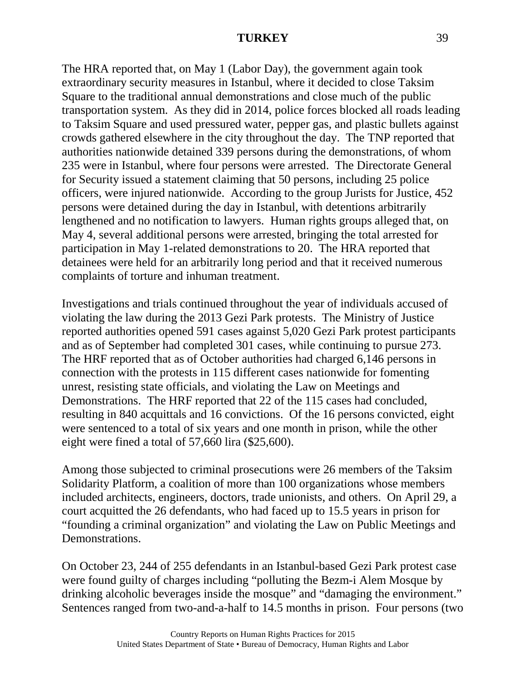The HRA reported that, on May 1 (Labor Day), the government again took extraordinary security measures in Istanbul, where it decided to close Taksim Square to the traditional annual demonstrations and close much of the public transportation system. As they did in 2014, police forces blocked all roads leading to Taksim Square and used pressured water, pepper gas, and plastic bullets against crowds gathered elsewhere in the city throughout the day. The TNP reported that authorities nationwide detained 339 persons during the demonstrations, of whom 235 were in Istanbul, where four persons were arrested. The Directorate General for Security issued a statement claiming that 50 persons, including 25 police officers, were injured nationwide. According to the group Jurists for Justice, 452 persons were detained during the day in Istanbul, with detentions arbitrarily lengthened and no notification to lawyers. Human rights groups alleged that, on May 4, several additional persons were arrested, bringing the total arrested for participation in May 1-related demonstrations to 20. The HRA reported that detainees were held for an arbitrarily long period and that it received numerous complaints of torture and inhuman treatment.

Investigations and trials continued throughout the year of individuals accused of violating the law during the 2013 Gezi Park protests. The Ministry of Justice reported authorities opened 591 cases against 5,020 Gezi Park protest participants and as of September had completed 301 cases, while continuing to pursue 273. The HRF reported that as of October authorities had charged 6,146 persons in connection with the protests in 115 different cases nationwide for fomenting unrest, resisting state officials, and violating the Law on Meetings and Demonstrations. The HRF reported that 22 of the 115 cases had concluded, resulting in 840 acquittals and 16 convictions. Of the 16 persons convicted, eight were sentenced to a total of six years and one month in prison, while the other eight were fined a total of 57,660 lira (\$25,600).

Among those subjected to criminal prosecutions were 26 members of the Taksim Solidarity Platform, a coalition of more than 100 organizations whose members included architects, engineers, doctors, trade unionists, and others. On April 29, a court acquitted the 26 defendants, who had faced up to 15.5 years in prison for "founding a criminal organization" and violating the Law on Public Meetings and Demonstrations.

On October 23, 244 of 255 defendants in an Istanbul-based Gezi Park protest case were found guilty of charges including "polluting the Bezm-i Alem Mosque by drinking alcoholic beverages inside the mosque" and "damaging the environment." Sentences ranged from two-and-a-half to 14.5 months in prison. Four persons (two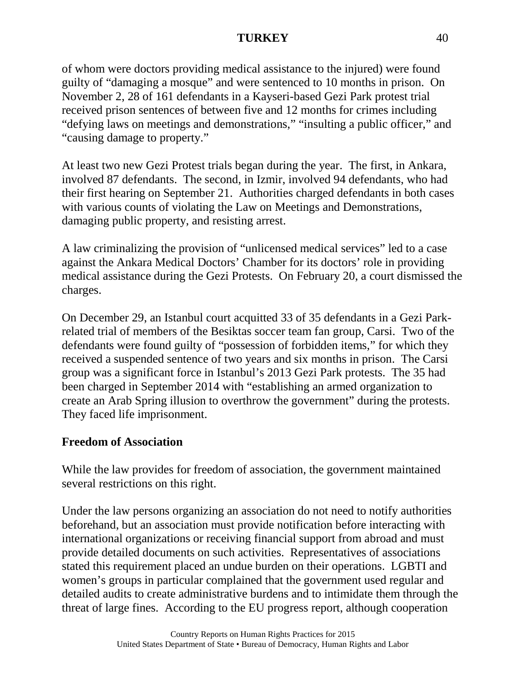of whom were doctors providing medical assistance to the injured) were found guilty of "damaging a mosque" and were sentenced to 10 months in prison. On November 2, 28 of 161 defendants in a Kayseri-based Gezi Park protest trial received prison sentences of between five and 12 months for crimes including "defying laws on meetings and demonstrations," "insulting a public officer," and "causing damage to property."

At least two new Gezi Protest trials began during the year. The first, in Ankara, involved 87 defendants. The second, in Izmir, involved 94 defendants, who had their first hearing on September 21. Authorities charged defendants in both cases with various counts of violating the Law on Meetings and Demonstrations, damaging public property, and resisting arrest.

A law criminalizing the provision of "unlicensed medical services" led to a case against the Ankara Medical Doctors' Chamber for its doctors' role in providing medical assistance during the Gezi Protests. On February 20, a court dismissed the charges.

On December 29, an Istanbul court acquitted 33 of 35 defendants in a Gezi Parkrelated trial of members of the Besiktas soccer team fan group, Carsi. Two of the defendants were found guilty of "possession of forbidden items," for which they received a suspended sentence of two years and six months in prison. The Carsi group was a significant force in Istanbul's 2013 Gezi Park protests. The 35 had been charged in September 2014 with "establishing an armed organization to create an Arab Spring illusion to overthrow the government" during the protests. They faced life imprisonment.

# **Freedom of Association**

While the law provides for freedom of association, the government maintained several restrictions on this right.

Under the law persons organizing an association do not need to notify authorities beforehand, but an association must provide notification before interacting with international organizations or receiving financial support from abroad and must provide detailed documents on such activities. Representatives of associations stated this requirement placed an undue burden on their operations. LGBTI and women's groups in particular complained that the government used regular and detailed audits to create administrative burdens and to intimidate them through the threat of large fines. According to the EU progress report, although cooperation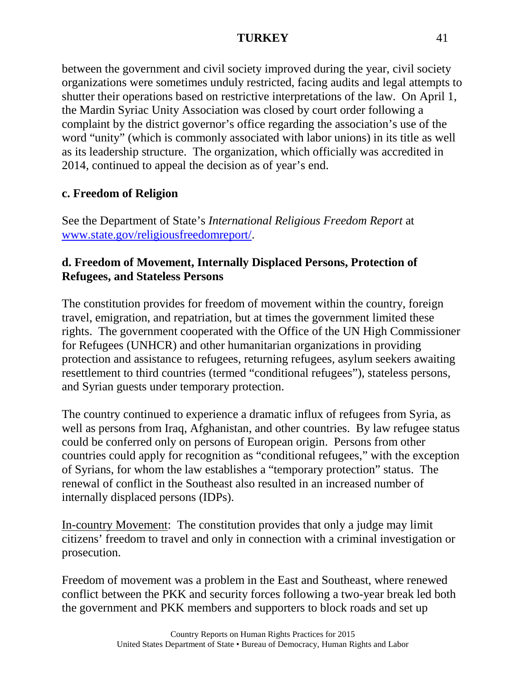between the government and civil society improved during the year, civil society organizations were sometimes unduly restricted, facing audits and legal attempts to shutter their operations based on restrictive interpretations of the law. On April 1, the Mardin Syriac Unity Association was closed by court order following a complaint by the district governor's office regarding the association's use of the word "unity" (which is commonly associated with labor unions) in its title as well as its leadership structure. The organization, which officially was accredited in 2014, continued to appeal the decision as of year's end.

# **c. Freedom of Religion**

See the Department of State's *International Religious Freedom Report* at [www.state.gov/religiousfreedomreport/.](http://www.state.gov/religiousfreedomreport/)

## **d. Freedom of Movement, Internally Displaced Persons, Protection of Refugees, and Stateless Persons**

The constitution provides for freedom of movement within the country, foreign travel, emigration, and repatriation, but at times the government limited these rights. The government cooperated with the Office of the UN High Commissioner for Refugees (UNHCR) and other humanitarian organizations in providing protection and assistance to refugees, returning refugees, asylum seekers awaiting resettlement to third countries (termed "conditional refugees"), stateless persons, and Syrian guests under temporary protection.

The country continued to experience a dramatic influx of refugees from Syria, as well as persons from Iraq, Afghanistan, and other countries. By law refugee status could be conferred only on persons of European origin. Persons from other countries could apply for recognition as "conditional refugees," with the exception of Syrians, for whom the law establishes a "temporary protection" status. The renewal of conflict in the Southeast also resulted in an increased number of internally displaced persons (IDPs).

In-country Movement: The constitution provides that only a judge may limit citizens' freedom to travel and only in connection with a criminal investigation or prosecution.

Freedom of movement was a problem in the East and Southeast, where renewed conflict between the PKK and security forces following a two-year break led both the government and PKK members and supporters to block roads and set up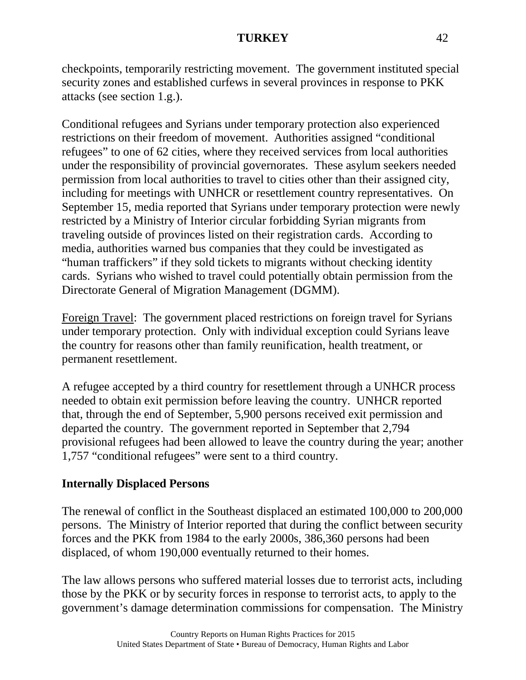checkpoints, temporarily restricting movement. The government instituted special security zones and established curfews in several provinces in response to PKK attacks (see section 1.g.).

Conditional refugees and Syrians under temporary protection also experienced restrictions on their freedom of movement. Authorities assigned "conditional refugees" to one of 62 cities, where they received services from local authorities under the responsibility of provincial governorates. These asylum seekers needed permission from local authorities to travel to cities other than their assigned city, including for meetings with UNHCR or resettlement country representatives. On September 15, media reported that Syrians under temporary protection were newly restricted by a Ministry of Interior circular forbidding Syrian migrants from traveling outside of provinces listed on their registration cards. According to media, authorities warned bus companies that they could be investigated as "human traffickers" if they sold tickets to migrants without checking identity cards. Syrians who wished to travel could potentially obtain permission from the Directorate General of Migration Management (DGMM).

Foreign Travel: The government placed restrictions on foreign travel for Syrians under temporary protection. Only with individual exception could Syrians leave the country for reasons other than family reunification, health treatment, or permanent resettlement.

A refugee accepted by a third country for resettlement through a UNHCR process needed to obtain exit permission before leaving the country. UNHCR reported that, through the end of September, 5,900 persons received exit permission and departed the country. The government reported in September that 2,794 provisional refugees had been allowed to leave the country during the year; another 1,757 "conditional refugees" were sent to a third country.

# **Internally Displaced Persons**

The renewal of conflict in the Southeast displaced an estimated 100,000 to 200,000 persons. The Ministry of Interior reported that during the conflict between security forces and the PKK from 1984 to the early 2000s, 386,360 persons had been displaced, of whom 190,000 eventually returned to their homes.

The law allows persons who suffered material losses due to terrorist acts, including those by the PKK or by security forces in response to terrorist acts, to apply to the government's damage determination commissions for compensation. The Ministry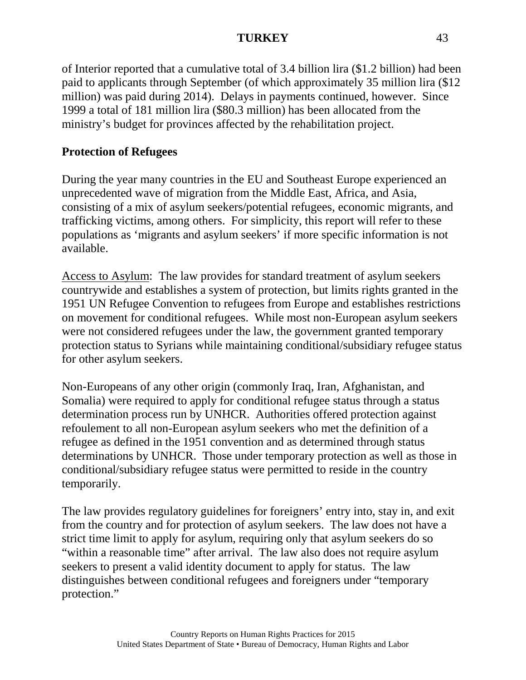of Interior reported that a cumulative total of 3.4 billion lira (\$1.2 billion) had been paid to applicants through September (of which approximately 35 million lira (\$12 million) was paid during 2014). Delays in payments continued, however. Since 1999 a total of 181 million lira (\$80.3 million) has been allocated from the ministry's budget for provinces affected by the rehabilitation project.

## **Protection of Refugees**

During the year many countries in the EU and Southeast Europe experienced an unprecedented wave of migration from the Middle East, Africa, and Asia, consisting of a mix of asylum seekers/potential refugees, economic migrants, and trafficking victims, among others. For simplicity, this report will refer to these populations as 'migrants and asylum seekers' if more specific information is not available.

Access to Asylum: The law provides for standard treatment of asylum seekers countrywide and establishes a system of protection, but limits rights granted in the 1951 UN Refugee Convention to refugees from Europe and establishes restrictions on movement for conditional refugees. While most non-European asylum seekers were not considered refugees under the law, the government granted temporary protection status to Syrians while maintaining conditional/subsidiary refugee status for other asylum seekers.

Non-Europeans of any other origin (commonly Iraq, Iran, Afghanistan, and Somalia) were required to apply for conditional refugee status through a status determination process run by UNHCR. Authorities offered protection against refoulement to all non-European asylum seekers who met the definition of a refugee as defined in the 1951 convention and as determined through status determinations by UNHCR. Those under temporary protection as well as those in conditional/subsidiary refugee status were permitted to reside in the country temporarily.

The law provides regulatory guidelines for foreigners' entry into, stay in, and exit from the country and for protection of asylum seekers. The law does not have a strict time limit to apply for asylum, requiring only that asylum seekers do so "within a reasonable time" after arrival. The law also does not require asylum seekers to present a valid identity document to apply for status. The law distinguishes between conditional refugees and foreigners under "temporary protection."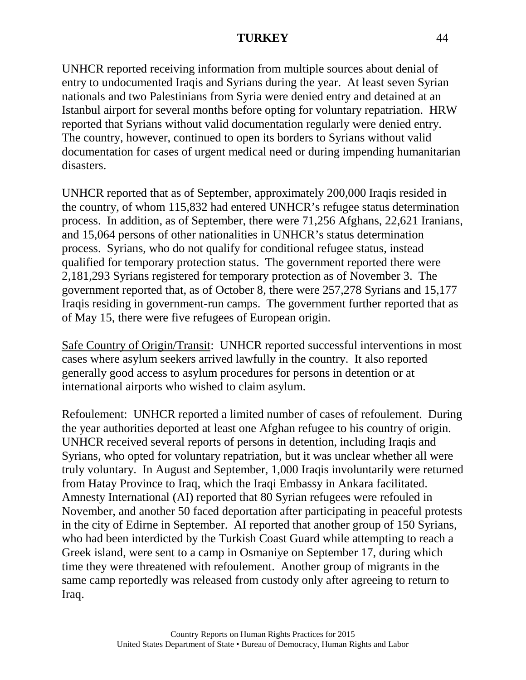UNHCR reported receiving information from multiple sources about denial of entry to undocumented Iraqis and Syrians during the year. At least seven Syrian nationals and two Palestinians from Syria were denied entry and detained at an Istanbul airport for several months before opting for voluntary repatriation. HRW reported that Syrians without valid documentation regularly were denied entry. The country, however, continued to open its borders to Syrians without valid documentation for cases of urgent medical need or during impending humanitarian disasters.

UNHCR reported that as of September, approximately 200,000 Iraqis resided in the country, of whom 115,832 had entered UNHCR's refugee status determination process. In addition, as of September, there were 71,256 Afghans, 22,621 Iranians, and 15,064 persons of other nationalities in UNHCR's status determination process. Syrians, who do not qualify for conditional refugee status, instead qualified for temporary protection status. The government reported there were 2,181,293 Syrians registered for temporary protection as of November 3. The government reported that, as of October 8, there were 257,278 Syrians and 15,177 Iraqis residing in government-run camps. The government further reported that as of May 15, there were five refugees of European origin.

Safe Country of Origin/Transit: UNHCR reported successful interventions in most cases where asylum seekers arrived lawfully in the country. It also reported generally good access to asylum procedures for persons in detention or at international airports who wished to claim asylum.

Refoulement: UNHCR reported a limited number of cases of refoulement. During the year authorities deported at least one Afghan refugee to his country of origin. UNHCR received several reports of persons in detention, including Iraqis and Syrians, who opted for voluntary repatriation, but it was unclear whether all were truly voluntary. In August and September, 1,000 Iraqis involuntarily were returned from Hatay Province to Iraq, which the Iraqi Embassy in Ankara facilitated. Amnesty International (AI) reported that 80 Syrian refugees were refouled in November, and another 50 faced deportation after participating in peaceful protests in the city of Edirne in September. AI reported that another group of 150 Syrians, who had been interdicted by the Turkish Coast Guard while attempting to reach a Greek island, were sent to a camp in Osmaniye on September 17, during which time they were threatened with refoulement. Another group of migrants in the same camp reportedly was released from custody only after agreeing to return to Iraq.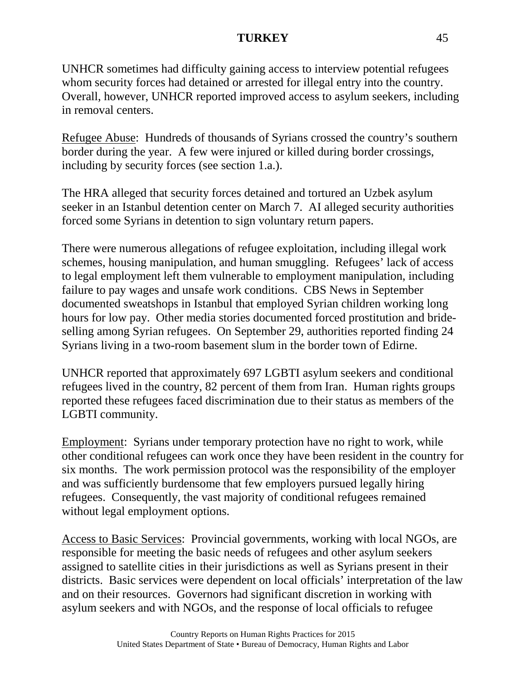UNHCR sometimes had difficulty gaining access to interview potential refugees whom security forces had detained or arrested for illegal entry into the country. Overall, however, UNHCR reported improved access to asylum seekers, including in removal centers.

Refugee Abuse: Hundreds of thousands of Syrians crossed the country's southern border during the year. A few were injured or killed during border crossings, including by security forces (see section 1.a.).

The HRA alleged that security forces detained and tortured an Uzbek asylum seeker in an Istanbul detention center on March 7. AI alleged security authorities forced some Syrians in detention to sign voluntary return papers.

There were numerous allegations of refugee exploitation, including illegal work schemes, housing manipulation, and human smuggling. Refugees' lack of access to legal employment left them vulnerable to employment manipulation, including failure to pay wages and unsafe work conditions. CBS News in September documented sweatshops in Istanbul that employed Syrian children working long hours for low pay. Other media stories documented forced prostitution and brideselling among Syrian refugees. On September 29, authorities reported finding 24 Syrians living in a two-room basement slum in the border town of Edirne.

UNHCR reported that approximately 697 LGBTI asylum seekers and conditional refugees lived in the country, 82 percent of them from Iran. Human rights groups reported these refugees faced discrimination due to their status as members of the LGBTI community.

Employment: Syrians under temporary protection have no right to work, while other conditional refugees can work once they have been resident in the country for six months. The work permission protocol was the responsibility of the employer and was sufficiently burdensome that few employers pursued legally hiring refugees. Consequently, the vast majority of conditional refugees remained without legal employment options.

Access to Basic Services: Provincial governments, working with local NGOs, are responsible for meeting the basic needs of refugees and other asylum seekers assigned to satellite cities in their jurisdictions as well as Syrians present in their districts. Basic services were dependent on local officials' interpretation of the law and on their resources. Governors had significant discretion in working with asylum seekers and with NGOs, and the response of local officials to refugee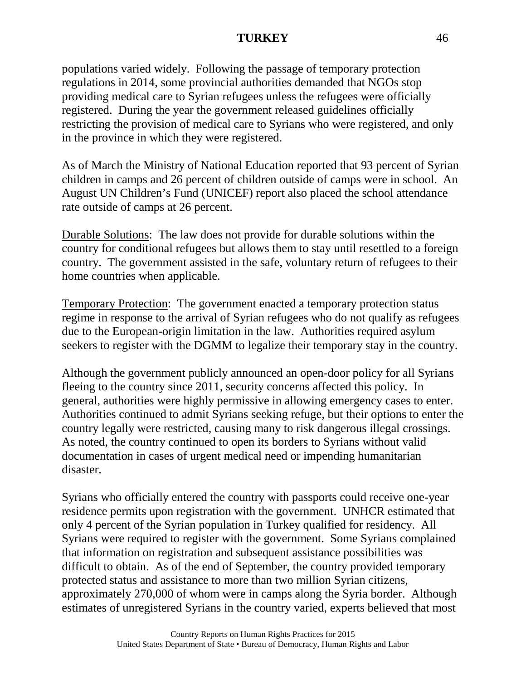populations varied widely. Following the passage of temporary protection regulations in 2014, some provincial authorities demanded that NGOs stop providing medical care to Syrian refugees unless the refugees were officially registered. During the year the government released guidelines officially restricting the provision of medical care to Syrians who were registered, and only in the province in which they were registered.

As of March the Ministry of National Education reported that 93 percent of Syrian children in camps and 26 percent of children outside of camps were in school. An August UN Children's Fund (UNICEF) report also placed the school attendance rate outside of camps at 26 percent.

Durable Solutions: The law does not provide for durable solutions within the country for conditional refugees but allows them to stay until resettled to a foreign country. The government assisted in the safe, voluntary return of refugees to their home countries when applicable.

Temporary Protection: The government enacted a temporary protection status regime in response to the arrival of Syrian refugees who do not qualify as refugees due to the European-origin limitation in the law. Authorities required asylum seekers to register with the DGMM to legalize their temporary stay in the country.

Although the government publicly announced an open-door policy for all Syrians fleeing to the country since 2011, security concerns affected this policy. In general, authorities were highly permissive in allowing emergency cases to enter. Authorities continued to admit Syrians seeking refuge, but their options to enter the country legally were restricted, causing many to risk dangerous illegal crossings. As noted, the country continued to open its borders to Syrians without valid documentation in cases of urgent medical need or impending humanitarian disaster.

Syrians who officially entered the country with passports could receive one-year residence permits upon registration with the government. UNHCR estimated that only 4 percent of the Syrian population in Turkey qualified for residency. All Syrians were required to register with the government. Some Syrians complained that information on registration and subsequent assistance possibilities was difficult to obtain. As of the end of September, the country provided temporary protected status and assistance to more than two million Syrian citizens, approximately 270,000 of whom were in camps along the Syria border. Although estimates of unregistered Syrians in the country varied, experts believed that most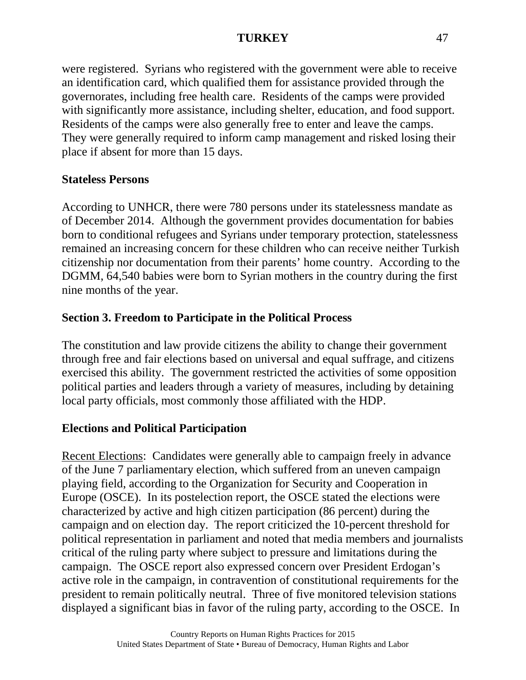were registered. Syrians who registered with the government were able to receive an identification card, which qualified them for assistance provided through the governorates, including free health care. Residents of the camps were provided with significantly more assistance, including shelter, education, and food support. Residents of the camps were also generally free to enter and leave the camps. They were generally required to inform camp management and risked losing their place if absent for more than 15 days.

### **Stateless Persons**

According to UNHCR, there were 780 persons under its statelessness mandate as of December 2014. Although the government provides documentation for babies born to conditional refugees and Syrians under temporary protection, statelessness remained an increasing concern for these children who can receive neither Turkish citizenship nor documentation from their parents' home country. According to the DGMM, 64,540 babies were born to Syrian mothers in the country during the first nine months of the year.

# **Section 3. Freedom to Participate in the Political Process**

The constitution and law provide citizens the ability to change their government through free and fair elections based on universal and equal suffrage, and citizens exercised this ability. The government restricted the activities of some opposition political parties and leaders through a variety of measures, including by detaining local party officials, most commonly those affiliated with the HDP.

### **Elections and Political Participation**

Recent Elections: Candidates were generally able to campaign freely in advance of the June 7 parliamentary election, which suffered from an uneven campaign playing field, according to the Organization for Security and Cooperation in Europe (OSCE). In its postelection report, the OSCE stated the elections were characterized by active and high citizen participation (86 percent) during the campaign and on election day. The report criticized the 10-percent threshold for political representation in parliament and noted that media members and journalists critical of the ruling party where subject to pressure and limitations during the campaign. The OSCE report also expressed concern over President Erdogan's active role in the campaign, in contravention of constitutional requirements for the president to remain politically neutral. Three of five monitored television stations displayed a significant bias in favor of the ruling party, according to the OSCE. In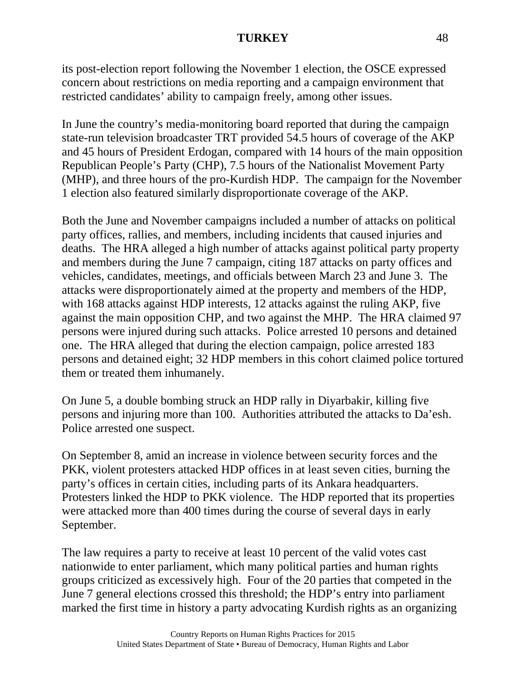its post-election report following the November 1 election, the OSCE expressed concern about restrictions on media reporting and a campaign environment that restricted candidates' ability to campaign freely, among other issues.

In June the country's media-monitoring board reported that during the campaign state-run television broadcaster TRT provided 54.5 hours of coverage of the AKP and 45 hours of President Erdogan, compared with 14 hours of the main opposition Republican People's Party (CHP), 7.5 hours of the Nationalist Movement Party (MHP), and three hours of the pro-Kurdish HDP. The campaign for the November 1 election also featured similarly disproportionate coverage of the AKP.

Both the June and November campaigns included a number of attacks on political party offices, rallies, and members, including incidents that caused injuries and deaths. The HRA alleged a high number of attacks against political party property and members during the June 7 campaign, citing 187 attacks on party offices and vehicles, candidates, meetings, and officials between March 23 and June 3. The attacks were disproportionately aimed at the property and members of the HDP, with 168 attacks against HDP interests, 12 attacks against the ruling AKP, five against the main opposition CHP, and two against the MHP. The HRA claimed 97 persons were injured during such attacks. Police arrested 10 persons and detained one. The HRA alleged that during the election campaign, police arrested 183 persons and detained eight; 32 HDP members in this cohort claimed police tortured them or treated them inhumanely.

On June 5, a double bombing struck an HDP rally in Diyarbakir, killing five persons and injuring more than 100. Authorities attributed the attacks to Da'esh. Police arrested one suspect.

On September 8, amid an increase in violence between security forces and the PKK, violent protesters attacked HDP offices in at least seven cities, burning the party's offices in certain cities, including parts of its Ankara headquarters. Protesters linked the HDP to PKK violence. The HDP reported that its properties were attacked more than 400 times during the course of several days in early September.

The law requires a party to receive at least 10 percent of the valid votes cast nationwide to enter parliament, which many political parties and human rights groups criticized as excessively high. Four of the 20 parties that competed in the June 7 general elections crossed this threshold; the HDP's entry into parliament marked the first time in history a party advocating Kurdish rights as an organizing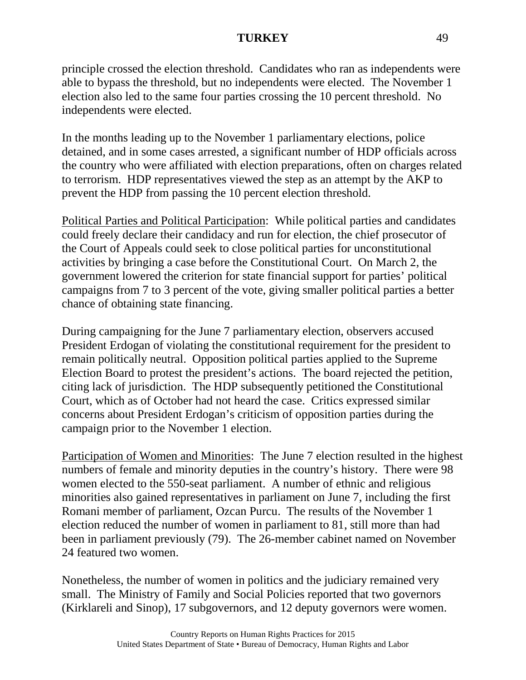principle crossed the election threshold. Candidates who ran as independents were able to bypass the threshold, but no independents were elected. The November 1 election also led to the same four parties crossing the 10 percent threshold. No independents were elected.

In the months leading up to the November 1 parliamentary elections, police detained, and in some cases arrested, a significant number of HDP officials across the country who were affiliated with election preparations, often on charges related to terrorism. HDP representatives viewed the step as an attempt by the AKP to prevent the HDP from passing the 10 percent election threshold.

Political Parties and Political Participation: While political parties and candidates could freely declare their candidacy and run for election, the chief prosecutor of the Court of Appeals could seek to close political parties for unconstitutional activities by bringing a case before the Constitutional Court. On March 2, the government lowered the criterion for state financial support for parties' political campaigns from 7 to 3 percent of the vote, giving smaller political parties a better chance of obtaining state financing.

During campaigning for the June 7 parliamentary election, observers accused President Erdogan of violating the constitutional requirement for the president to remain politically neutral. Opposition political parties applied to the Supreme Election Board to protest the president's actions. The board rejected the petition, citing lack of jurisdiction. The HDP subsequently petitioned the Constitutional Court, which as of October had not heard the case. Critics expressed similar concerns about President Erdogan's criticism of opposition parties during the campaign prior to the November 1 election.

Participation of Women and Minorities: The June 7 election resulted in the highest numbers of female and minority deputies in the country's history. There were 98 women elected to the 550-seat parliament. A number of ethnic and religious minorities also gained representatives in parliament on June 7, including the first Romani member of parliament, Ozcan Purcu. The results of the November 1 election reduced the number of women in parliament to 81, still more than had been in parliament previously (79). The 26-member cabinet named on November 24 featured two women.

Nonetheless, the number of women in politics and the judiciary remained very small. The Ministry of Family and Social Policies reported that two governors (Kirklareli and Sinop), 17 subgovernors, and 12 deputy governors were women.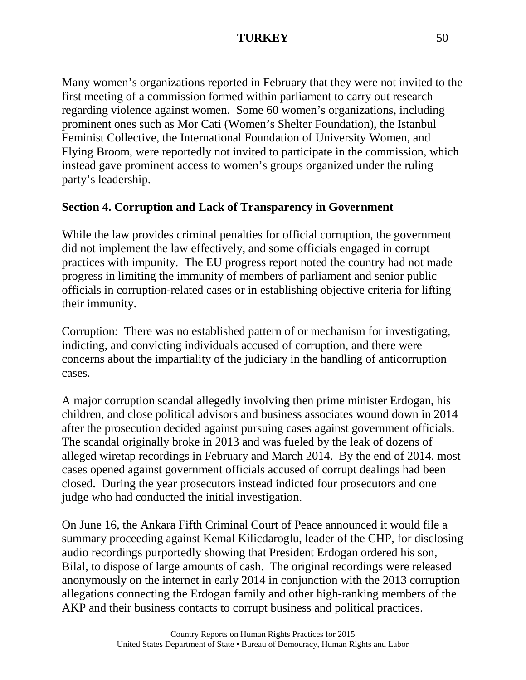Many women's organizations reported in February that they were not invited to the first meeting of a commission formed within parliament to carry out research regarding violence against women. Some 60 women's organizations, including prominent ones such as Mor Cati (Women's Shelter Foundation), the Istanbul Feminist Collective, the International Foundation of University Women, and Flying Broom, were reportedly not invited to participate in the commission, which instead gave prominent access to women's groups organized under the ruling party's leadership.

# **Section 4. Corruption and Lack of Transparency in Government**

While the law provides criminal penalties for official corruption, the government did not implement the law effectively, and some officials engaged in corrupt practices with impunity. The EU progress report noted the country had not made progress in limiting the immunity of members of parliament and senior public officials in corruption-related cases or in establishing objective criteria for lifting their immunity.

Corruption: There was no established pattern of or mechanism for investigating, indicting, and convicting individuals accused of corruption, and there were concerns about the impartiality of the judiciary in the handling of anticorruption cases.

A major corruption scandal allegedly involving then prime minister Erdogan, his children, and close political advisors and business associates wound down in 2014 after the prosecution decided against pursuing cases against government officials. The scandal originally broke in 2013 and was fueled by the leak of dozens of alleged wiretap recordings in February and March 2014. By the end of 2014, most cases opened against government officials accused of corrupt dealings had been closed. During the year prosecutors instead indicted four prosecutors and one judge who had conducted the initial investigation.

On June 16, the Ankara Fifth Criminal Court of Peace announced it would file a summary proceeding against Kemal Kilicdaroglu, leader of the CHP, for disclosing audio recordings purportedly showing that President Erdogan ordered his son, Bilal, to dispose of large amounts of cash. The original recordings were released anonymously on the internet in early 2014 in conjunction with the 2013 corruption allegations connecting the Erdogan family and other high-ranking members of the AKP and their business contacts to corrupt business and political practices.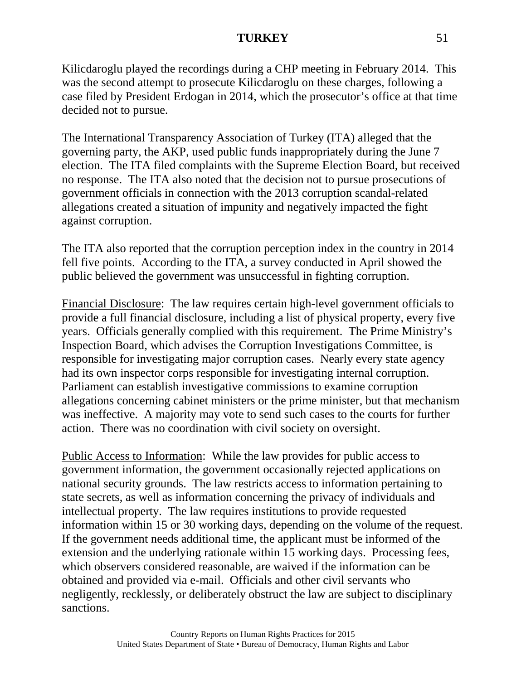Kilicdaroglu played the recordings during a CHP meeting in February 2014. This was the second attempt to prosecute Kilicdaroglu on these charges, following a case filed by President Erdogan in 2014, which the prosecutor's office at that time decided not to pursue.

The International Transparency Association of Turkey (ITA) alleged that the governing party, the AKP, used public funds inappropriately during the June 7 election. The ITA filed complaints with the Supreme Election Board, but received no response. The ITA also noted that the decision not to pursue prosecutions of government officials in connection with the 2013 corruption scandal-related allegations created a situation of impunity and negatively impacted the fight against corruption.

The ITA also reported that the corruption perception index in the country in 2014 fell five points. According to the ITA, a survey conducted in April showed the public believed the government was unsuccessful in fighting corruption.

Financial Disclosure: The law requires certain high-level government officials to provide a full financial disclosure, including a list of physical property, every five years. Officials generally complied with this requirement. The Prime Ministry's Inspection Board, which advises the Corruption Investigations Committee, is responsible for investigating major corruption cases. Nearly every state agency had its own inspector corps responsible for investigating internal corruption. Parliament can establish investigative commissions to examine corruption allegations concerning cabinet ministers or the prime minister, but that mechanism was ineffective. A majority may vote to send such cases to the courts for further action. There was no coordination with civil society on oversight.

Public Access to Information: While the law provides for public access to government information, the government occasionally rejected applications on national security grounds. The law restricts access to information pertaining to state secrets, as well as information concerning the privacy of individuals and intellectual property. The law requires institutions to provide requested information within 15 or 30 working days, depending on the volume of the request. If the government needs additional time, the applicant must be informed of the extension and the underlying rationale within 15 working days. Processing fees, which observers considered reasonable, are waived if the information can be obtained and provided via e-mail. Officials and other civil servants who negligently, recklessly, or deliberately obstruct the law are subject to disciplinary sanctions.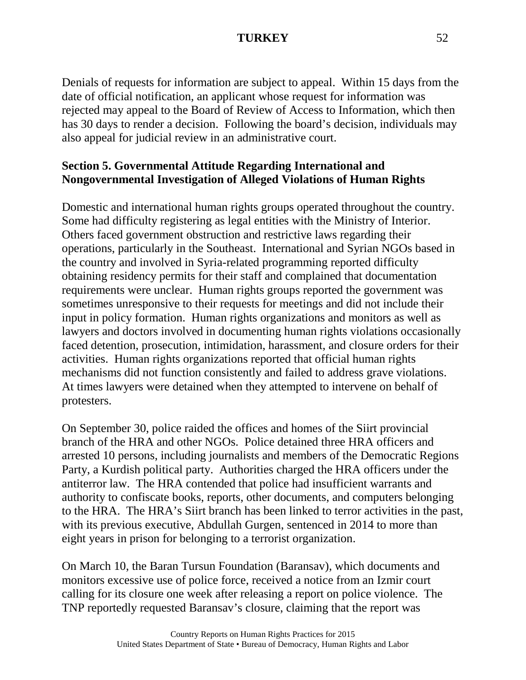Denials of requests for information are subject to appeal. Within 15 days from the date of official notification, an applicant whose request for information was rejected may appeal to the Board of Review of Access to Information, which then has 30 days to render a decision. Following the board's decision, individuals may also appeal for judicial review in an administrative court.

### **Section 5. Governmental Attitude Regarding International and Nongovernmental Investigation of Alleged Violations of Human Rights**

Domestic and international human rights groups operated throughout the country. Some had difficulty registering as legal entities with the Ministry of Interior. Others faced government obstruction and restrictive laws regarding their operations, particularly in the Southeast. International and Syrian NGOs based in the country and involved in Syria-related programming reported difficulty obtaining residency permits for their staff and complained that documentation requirements were unclear. Human rights groups reported the government was sometimes unresponsive to their requests for meetings and did not include their input in policy formation. Human rights organizations and monitors as well as lawyers and doctors involved in documenting human rights violations occasionally faced detention, prosecution, intimidation, harassment, and closure orders for their activities. Human rights organizations reported that official human rights mechanisms did not function consistently and failed to address grave violations. At times lawyers were detained when they attempted to intervene on behalf of protesters.

On September 30, police raided the offices and homes of the Siirt provincial branch of the HRA and other NGOs. Police detained three HRA officers and arrested 10 persons, including journalists and members of the Democratic Regions Party, a Kurdish political party. Authorities charged the HRA officers under the antiterror law. The HRA contended that police had insufficient warrants and authority to confiscate books, reports, other documents, and computers belonging to the HRA. The HRA's Siirt branch has been linked to terror activities in the past, with its previous executive, Abdullah Gurgen, sentenced in 2014 to more than eight years in prison for belonging to a terrorist organization.

On March 10, the Baran Tursun Foundation (Baransav), which documents and monitors excessive use of police force, received a notice from an Izmir court calling for its closure one week after releasing a report on police violence. The TNP reportedly requested Baransav's closure, claiming that the report was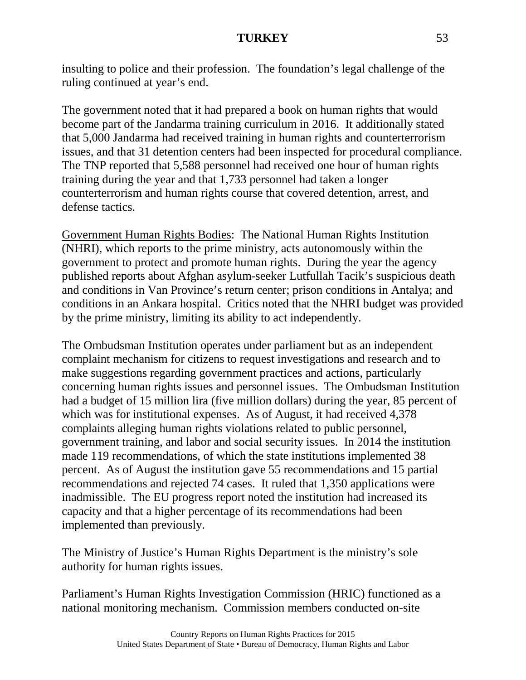insulting to police and their profession. The foundation's legal challenge of the ruling continued at year's end.

The government noted that it had prepared a book on human rights that would become part of the Jandarma training curriculum in 2016. It additionally stated that 5,000 Jandarma had received training in human rights and counterterrorism issues, and that 31 detention centers had been inspected for procedural compliance. The TNP reported that 5,588 personnel had received one hour of human rights training during the year and that 1,733 personnel had taken a longer counterterrorism and human rights course that covered detention, arrest, and defense tactics.

Government Human Rights Bodies: The National Human Rights Institution (NHRI), which reports to the prime ministry, acts autonomously within the government to protect and promote human rights. During the year the agency published reports about Afghan asylum-seeker Lutfullah Tacik's suspicious death and conditions in Van Province's return center; prison conditions in Antalya; and conditions in an Ankara hospital. Critics noted that the NHRI budget was provided by the prime ministry, limiting its ability to act independently.

The Ombudsman Institution operates under parliament but as an independent complaint mechanism for citizens to request investigations and research and to make suggestions regarding government practices and actions, particularly concerning human rights issues and personnel issues. The Ombudsman Institution had a budget of 15 million lira (five million dollars) during the year, 85 percent of which was for institutional expenses. As of August, it had received 4,378 complaints alleging human rights violations related to public personnel, government training, and labor and social security issues. In 2014 the institution made 119 recommendations, of which the state institutions implemented 38 percent. As of August the institution gave 55 recommendations and 15 partial recommendations and rejected 74 cases. It ruled that 1,350 applications were inadmissible. The EU progress report noted the institution had increased its capacity and that a higher percentage of its recommendations had been implemented than previously.

The Ministry of Justice's Human Rights Department is the ministry's sole authority for human rights issues.

Parliament's Human Rights Investigation Commission (HRIC) functioned as a national monitoring mechanism. Commission members conducted on-site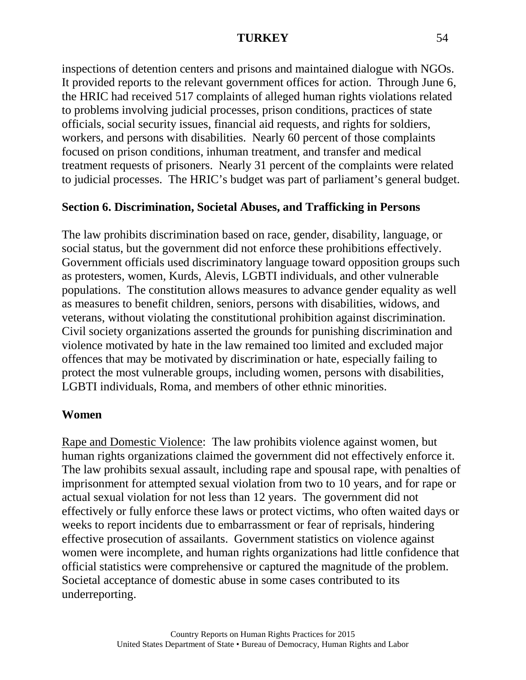inspections of detention centers and prisons and maintained dialogue with NGOs. It provided reports to the relevant government offices for action. Through June 6, the HRIC had received 517 complaints of alleged human rights violations related to problems involving judicial processes, prison conditions, practices of state officials, social security issues, financial aid requests, and rights for soldiers, workers, and persons with disabilities. Nearly 60 percent of those complaints focused on prison conditions, inhuman treatment, and transfer and medical treatment requests of prisoners. Nearly 31 percent of the complaints were related to judicial processes. The HRIC's budget was part of parliament's general budget.

### **Section 6. Discrimination, Societal Abuses, and Trafficking in Persons**

The law prohibits discrimination based on race, gender, disability, language, or social status, but the government did not enforce these prohibitions effectively. Government officials used discriminatory language toward opposition groups such as protesters, women, Kurds, Alevis, LGBTI individuals, and other vulnerable populations. The constitution allows measures to advance gender equality as well as measures to benefit children, seniors, persons with disabilities, widows, and veterans, without violating the constitutional prohibition against discrimination. Civil society organizations asserted the grounds for punishing discrimination and violence motivated by hate in the law remained too limited and excluded major offences that may be motivated by discrimination or hate, especially failing to protect the most vulnerable groups, including women, persons with disabilities, LGBTI individuals, Roma, and members of other ethnic minorities.

#### **Women**

Rape and Domestic Violence: The law prohibits violence against women, but human rights organizations claimed the government did not effectively enforce it. The law prohibits sexual assault, including rape and spousal rape, with penalties of imprisonment for attempted sexual violation from two to 10 years, and for rape or actual sexual violation for not less than 12 years. The government did not effectively or fully enforce these laws or protect victims, who often waited days or weeks to report incidents due to embarrassment or fear of reprisals, hindering effective prosecution of assailants. Government statistics on violence against women were incomplete, and human rights organizations had little confidence that official statistics were comprehensive or captured the magnitude of the problem. Societal acceptance of domestic abuse in some cases contributed to its underreporting.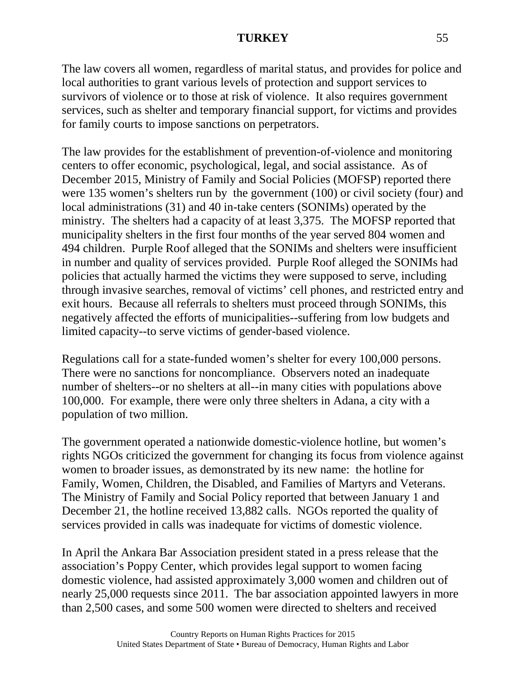The law covers all women, regardless of marital status, and provides for police and local authorities to grant various levels of protection and support services to survivors of violence or to those at risk of violence. It also requires government services, such as shelter and temporary financial support, for victims and provides for family courts to impose sanctions on perpetrators.

The law provides for the establishment of prevention-of-violence and monitoring centers to offer economic, psychological, legal, and social assistance. As of December 2015, Ministry of Family and Social Policies (MOFSP) reported there were 135 women's shelters run by the government (100) or civil society (four) and local administrations (31) and 40 in-take centers (SONIMs) operated by the ministry. The shelters had a capacity of at least 3,375. The MOFSP reported that municipality shelters in the first four months of the year served 804 women and 494 children. Purple Roof alleged that the SONIMs and shelters were insufficient in number and quality of services provided. Purple Roof alleged the SONIMs had policies that actually harmed the victims they were supposed to serve, including through invasive searches, removal of victims' cell phones, and restricted entry and exit hours. Because all referrals to shelters must proceed through SONIMs, this negatively affected the efforts of municipalities--suffering from low budgets and limited capacity--to serve victims of gender-based violence.

Regulations call for a state-funded women's shelter for every 100,000 persons. There were no sanctions for noncompliance. Observers noted an inadequate number of shelters--or no shelters at all--in many cities with populations above 100,000. For example, there were only three shelters in Adana, a city with a population of two million.

The government operated a nationwide domestic-violence hotline, but women's rights NGOs criticized the government for changing its focus from violence against women to broader issues, as demonstrated by its new name: the hotline for Family, Women, Children, the Disabled, and Families of Martyrs and Veterans. The Ministry of Family and Social Policy reported that between January 1 and December 21, the hotline received 13,882 calls. NGOs reported the quality of services provided in calls was inadequate for victims of domestic violence.

In April the Ankara Bar Association president stated in a press release that the association's Poppy Center, which provides legal support to women facing domestic violence, had assisted approximately 3,000 women and children out of nearly 25,000 requests since 2011. The bar association appointed lawyers in more than 2,500 cases, and some 500 women were directed to shelters and received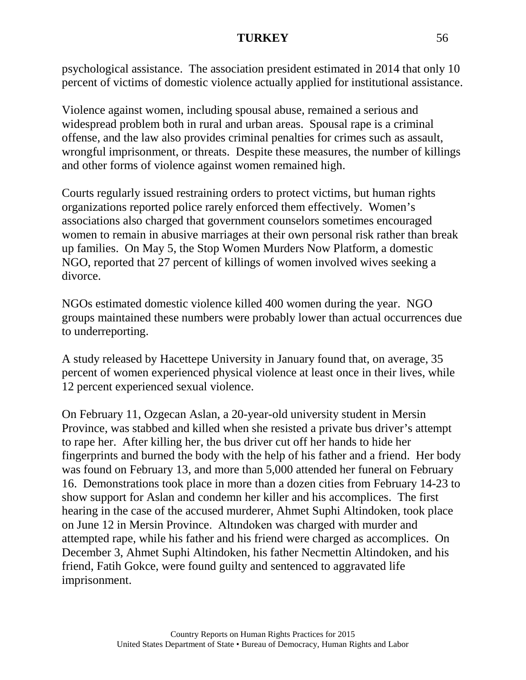psychological assistance. The association president estimated in 2014 that only 10 percent of victims of domestic violence actually applied for institutional assistance.

Violence against women, including spousal abuse, remained a serious and widespread problem both in rural and urban areas. Spousal rape is a criminal offense, and the law also provides criminal penalties for crimes such as assault, wrongful imprisonment, or threats. Despite these measures, the number of killings and other forms of violence against women remained high.

Courts regularly issued restraining orders to protect victims, but human rights organizations reported police rarely enforced them effectively. Women's associations also charged that government counselors sometimes encouraged women to remain in abusive marriages at their own personal risk rather than break up families. On May 5, the Stop Women Murders Now Platform, a domestic NGO, reported that 27 percent of killings of women involved wives seeking a divorce.

NGOs estimated domestic violence killed 400 women during the year. NGO groups maintained these numbers were probably lower than actual occurrences due to underreporting.

A study released by Hacettepe University in January found that, on average, 35 percent of women experienced physical violence at least once in their lives, while 12 percent experienced sexual violence.

On February 11, Ozgecan Aslan, a 20-year-old university student in Mersin Province, was stabbed and killed when she resisted a private bus driver's attempt to rape her. After killing her, the bus driver cut off her hands to hide her fingerprints and burned the body with the help of his father and a friend. Her body was found on February 13, and more than 5,000 attended her funeral on February 16. Demonstrations took place in more than a dozen cities from February 14-23 to show support for Aslan and condemn her killer and his accomplices. The first hearing in the case of the accused murderer, Ahmet Suphi Altindoken, took place on June 12 in Mersin Province. Altındoken was charged with murder and attempted rape, while his father and his friend were charged as accomplices. On December 3, Ahmet Suphi Altindoken, his father Necmettin Altindoken, and his friend, Fatih Gokce, were found guilty and sentenced to aggravated life imprisonment.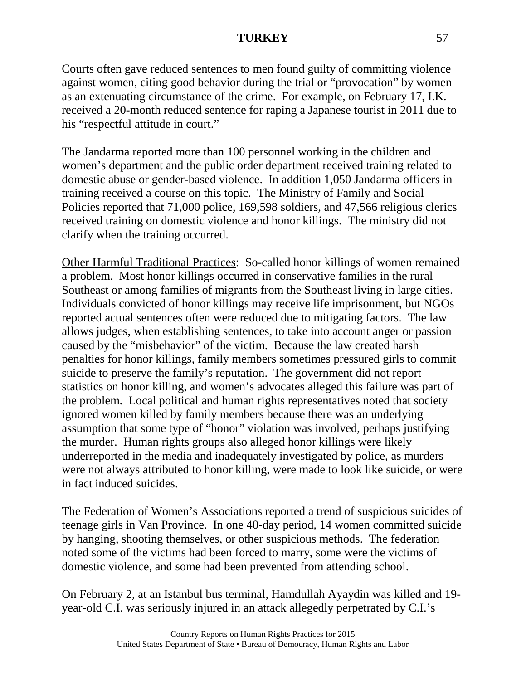Courts often gave reduced sentences to men found guilty of committing violence against women, citing good behavior during the trial or "provocation" by women as an extenuating circumstance of the crime. For example, on February 17, I.K. received a 20-month reduced sentence for raping a Japanese tourist in 2011 due to his "respectful attitude in court."

The Jandarma reported more than 100 personnel working in the children and women's department and the public order department received training related to domestic abuse or gender-based violence. In addition 1,050 Jandarma officers in training received a course on this topic. The Ministry of Family and Social Policies reported that 71,000 police, 169,598 soldiers, and 47,566 religious clerics received training on domestic violence and honor killings. The ministry did not clarify when the training occurred.

Other Harmful Traditional Practices: So-called honor killings of women remained a problem. Most honor killings occurred in conservative families in the rural Southeast or among families of migrants from the Southeast living in large cities. Individuals convicted of honor killings may receive life imprisonment, but NGOs reported actual sentences often were reduced due to mitigating factors. The law allows judges, when establishing sentences, to take into account anger or passion caused by the "misbehavior" of the victim. Because the law created harsh penalties for honor killings, family members sometimes pressured girls to commit suicide to preserve the family's reputation. The government did not report statistics on honor killing, and women's advocates alleged this failure was part of the problem. Local political and human rights representatives noted that society ignored women killed by family members because there was an underlying assumption that some type of "honor" violation was involved, perhaps justifying the murder. Human rights groups also alleged honor killings were likely underreported in the media and inadequately investigated by police, as murders were not always attributed to honor killing, were made to look like suicide, or were in fact induced suicides.

The Federation of Women's Associations reported a trend of suspicious suicides of teenage girls in Van Province. In one 40-day period, 14 women committed suicide by hanging, shooting themselves, or other suspicious methods. The federation noted some of the victims had been forced to marry, some were the victims of domestic violence, and some had been prevented from attending school.

On February 2, at an Istanbul bus terminal, Hamdullah Ayaydin was killed and 19 year-old C.I. was seriously injured in an attack allegedly perpetrated by C.I.'s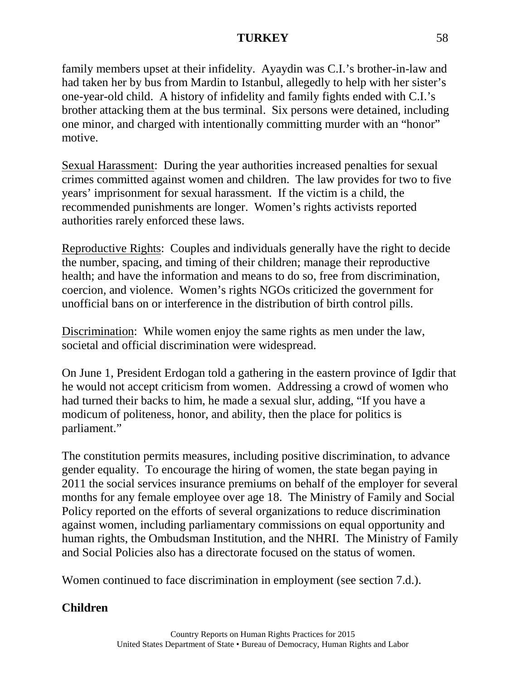family members upset at their infidelity. Ayaydin was C.I.'s brother-in-law and had taken her by bus from Mardin to Istanbul, allegedly to help with her sister's one-year-old child. A history of infidelity and family fights ended with C.I.'s brother attacking them at the bus terminal. Six persons were detained, including one minor, and charged with intentionally committing murder with an "honor" motive.

Sexual Harassment: During the year authorities increased penalties for sexual crimes committed against women and children. The law provides for two to five years' imprisonment for sexual harassment. If the victim is a child, the recommended punishments are longer. Women's rights activists reported authorities rarely enforced these laws.

Reproductive Rights: Couples and individuals generally have the right to decide the number, spacing, and timing of their children; manage their reproductive health; and have the information and means to do so, free from discrimination, coercion, and violence. Women's rights NGOs criticized the government for unofficial bans on or interference in the distribution of birth control pills.

Discrimination: While women enjoy the same rights as men under the law, societal and official discrimination were widespread.

On June 1, President Erdogan told a gathering in the eastern province of Igdir that he would not accept criticism from women. Addressing a crowd of women who had turned their backs to him, he made a sexual slur, adding, "If you have a modicum of politeness, honor, and ability, then the place for politics is parliament."

The constitution permits measures, including positive discrimination, to advance gender equality. To encourage the hiring of women, the state began paying in 2011 the social services insurance premiums on behalf of the employer for several months for any female employee over age 18. The Ministry of Family and Social Policy reported on the efforts of several organizations to reduce discrimination against women, including parliamentary commissions on equal opportunity and human rights, the Ombudsman Institution, and the NHRI. The Ministry of Family and Social Policies also has a directorate focused on the status of women.

Women continued to face discrimination in employment (see section 7.d.).

# **Children**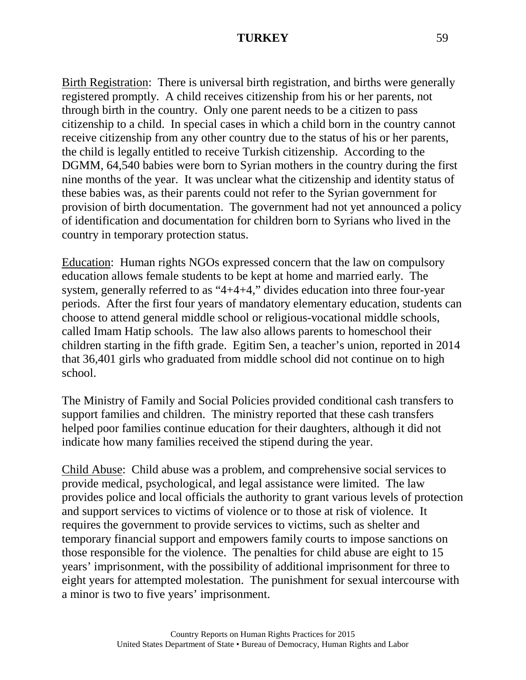Birth Registration: There is universal birth registration, and births were generally registered promptly. A child receives citizenship from his or her parents, not through birth in the country. Only one parent needs to be a citizen to pass citizenship to a child. In special cases in which a child born in the country cannot receive citizenship from any other country due to the status of his or her parents, the child is legally entitled to receive Turkish citizenship. According to the DGMM, 64,540 babies were born to Syrian mothers in the country during the first nine months of the year. It was unclear what the citizenship and identity status of these babies was, as their parents could not refer to the Syrian government for provision of birth documentation. The government had not yet announced a policy of identification and documentation for children born to Syrians who lived in the country in temporary protection status.

Education: Human rights NGOs expressed concern that the law on compulsory education allows female students to be kept at home and married early. The system, generally referred to as "4+4+4," divides education into three four-year periods. After the first four years of mandatory elementary education, students can choose to attend general middle school or religious-vocational middle schools, called Imam Hatip schools. The law also allows parents to homeschool their children starting in the fifth grade. Egitim Sen, a teacher's union, reported in 2014 that 36,401 girls who graduated from middle school did not continue on to high school.

The Ministry of Family and Social Policies provided conditional cash transfers to support families and children. The ministry reported that these cash transfers helped poor families continue education for their daughters, although it did not indicate how many families received the stipend during the year.

Child Abuse: Child abuse was a problem, and comprehensive social services to provide medical, psychological, and legal assistance were limited. The law provides police and local officials the authority to grant various levels of protection and support services to victims of violence or to those at risk of violence. It requires the government to provide services to victims, such as shelter and temporary financial support and empowers family courts to impose sanctions on those responsible for the violence. The penalties for child abuse are eight to 15 years' imprisonment, with the possibility of additional imprisonment for three to eight years for attempted molestation. The punishment for sexual intercourse with a minor is two to five years' imprisonment.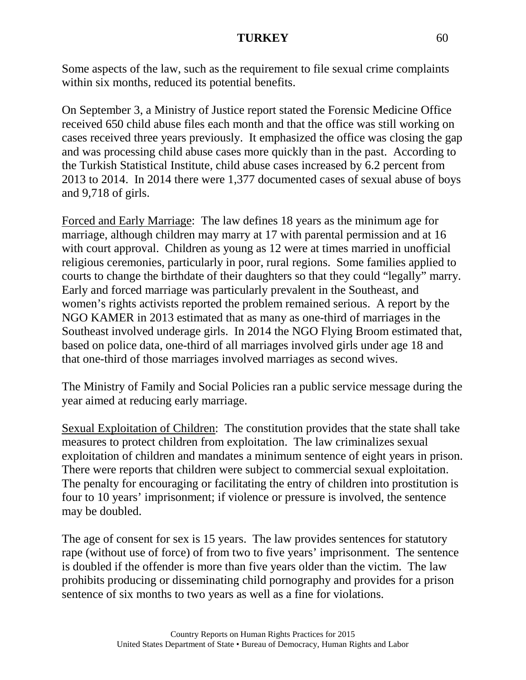Some aspects of the law, such as the requirement to file sexual crime complaints within six months, reduced its potential benefits.

On September 3, a Ministry of Justice report stated the Forensic Medicine Office received 650 child abuse files each month and that the office was still working on cases received three years previously. It emphasized the office was closing the gap and was processing child abuse cases more quickly than in the past. According to the Turkish Statistical Institute, child abuse cases increased by 6.2 percent from 2013 to 2014. In 2014 there were 1,377 documented cases of sexual abuse of boys and 9,718 of girls.

Forced and Early Marriage: The law defines 18 years as the minimum age for marriage, although children may marry at 17 with parental permission and at 16 with court approval. Children as young as 12 were at times married in unofficial religious ceremonies, particularly in poor, rural regions. Some families applied to courts to change the birthdate of their daughters so that they could "legally" marry. Early and forced marriage was particularly prevalent in the Southeast, and women's rights activists reported the problem remained serious. A report by the NGO KAMER in 2013 estimated that as many as one-third of marriages in the Southeast involved underage girls. In 2014 the NGO Flying Broom estimated that, based on police data, one-third of all marriages involved girls under age 18 and that one-third of those marriages involved marriages as second wives.

The Ministry of Family and Social Policies ran a public service message during the year aimed at reducing early marriage.

Sexual Exploitation of Children: The constitution provides that the state shall take measures to protect children from exploitation. The law criminalizes sexual exploitation of children and mandates a minimum sentence of eight years in prison. There were reports that children were subject to commercial sexual exploitation. The penalty for encouraging or facilitating the entry of children into prostitution is four to 10 years' imprisonment; if violence or pressure is involved, the sentence may be doubled.

The age of consent for sex is 15 years. The law provides sentences for statutory rape (without use of force) of from two to five years' imprisonment. The sentence is doubled if the offender is more than five years older than the victim. The law prohibits producing or disseminating child pornography and provides for a prison sentence of six months to two years as well as a fine for violations.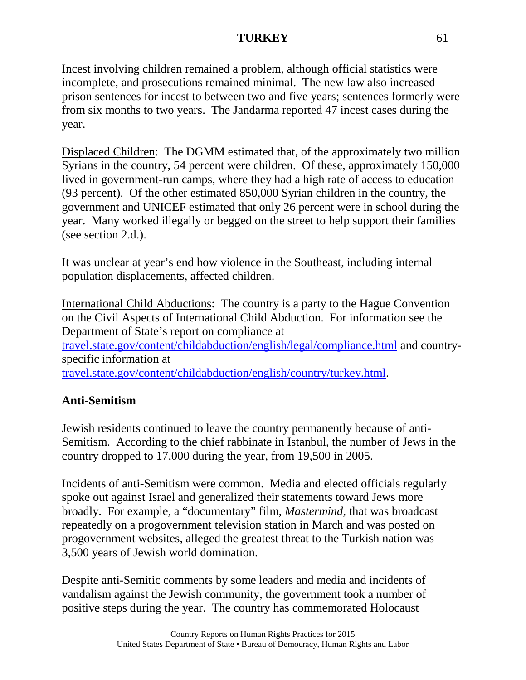Incest involving children remained a problem, although official statistics were incomplete, and prosecutions remained minimal. The new law also increased prison sentences for incest to between two and five years; sentences formerly were from six months to two years. The Jandarma reported 47 incest cases during the year.

Displaced Children: The DGMM estimated that, of the approximately two million Syrians in the country, 54 percent were children. Of these, approximately 150,000 lived in government-run camps, where they had a high rate of access to education (93 percent). Of the other estimated 850,000 Syrian children in the country, the government and UNICEF estimated that only 26 percent were in school during the year. Many worked illegally or begged on the street to help support their families (see section 2.d.).

It was unclear at year's end how violence in the Southeast, including internal population displacements, affected children.

International Child Abductions: The country is a party to the Hague Convention on the Civil Aspects of International Child Abduction. For information see the Department of State's report on compliance at [travel.state.gov/content/childabduction/english/legal/compliance.html](http://travel.state.gov/content/childabduction/english/legal/compliance.html) and countryspecific information at [travel.state.gov/content/childabduction/english/country/turkey.html.](http://travel.state.gov/content/childabduction/english/country/turkey.html)

# **Anti-Semitism**

Jewish residents continued to leave the country permanently because of anti-Semitism. According to the chief rabbinate in Istanbul, the number of Jews in the country dropped to 17,000 during the year, from 19,500 in 2005.

Incidents of anti-Semitism were common. Media and elected officials regularly spoke out against Israel and generalized their statements toward Jews more broadly. For example, a "documentary" film, *Mastermind*, that was broadcast repeatedly on a progovernment television station in March and was posted on progovernment websites, alleged the greatest threat to the Turkish nation was 3,500 years of Jewish world domination.

Despite anti-Semitic comments by some leaders and media and incidents of vandalism against the Jewish community, the government took a number of positive steps during the year. The country has commemorated Holocaust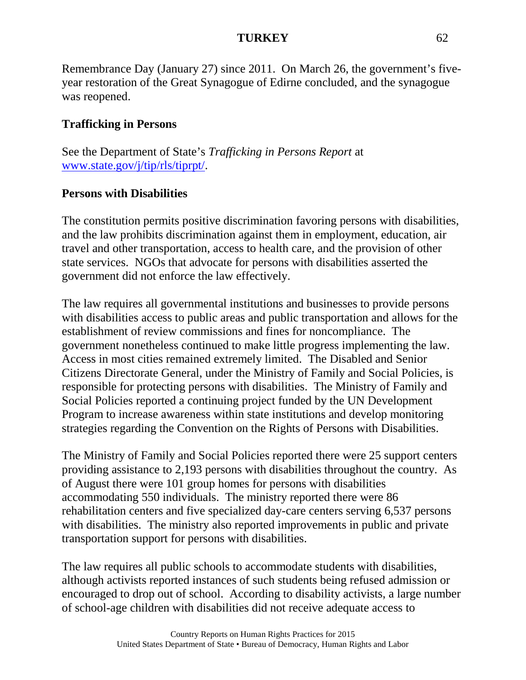Remembrance Day (January 27) since 2011. On March 26, the government's fiveyear restoration of the Great Synagogue of Edirne concluded, and the synagogue was reopened.

# **Trafficking in Persons**

See the Department of State's *Trafficking in Persons Report* at [www.state.gov/j/tip/rls/tiprpt/.](http://www.state.gov/j/tip/rls/tiprpt)

# **Persons with Disabilities**

The constitution permits positive discrimination favoring persons with disabilities, and the law prohibits discrimination against them in employment, education, air travel and other transportation, access to health care, and the provision of other state services. NGOs that advocate for persons with disabilities asserted the government did not enforce the law effectively.

The law requires all governmental institutions and businesses to provide persons with disabilities access to public areas and public transportation and allows for the establishment of review commissions and fines for noncompliance. The government nonetheless continued to make little progress implementing the law. Access in most cities remained extremely limited. The Disabled and Senior Citizens Directorate General, under the Ministry of Family and Social Policies, is responsible for protecting persons with disabilities. The Ministry of Family and Social Policies reported a continuing project funded by the UN Development Program to increase awareness within state institutions and develop monitoring strategies regarding the Convention on the Rights of Persons with Disabilities.

The Ministry of Family and Social Policies reported there were 25 support centers providing assistance to 2,193 persons with disabilities throughout the country. As of August there were 101 group homes for persons with disabilities accommodating 550 individuals. The ministry reported there were 86 rehabilitation centers and five specialized day-care centers serving 6,537 persons with disabilities. The ministry also reported improvements in public and private transportation support for persons with disabilities.

The law requires all public schools to accommodate students with disabilities, although activists reported instances of such students being refused admission or encouraged to drop out of school. According to disability activists, a large number of school-age children with disabilities did not receive adequate access to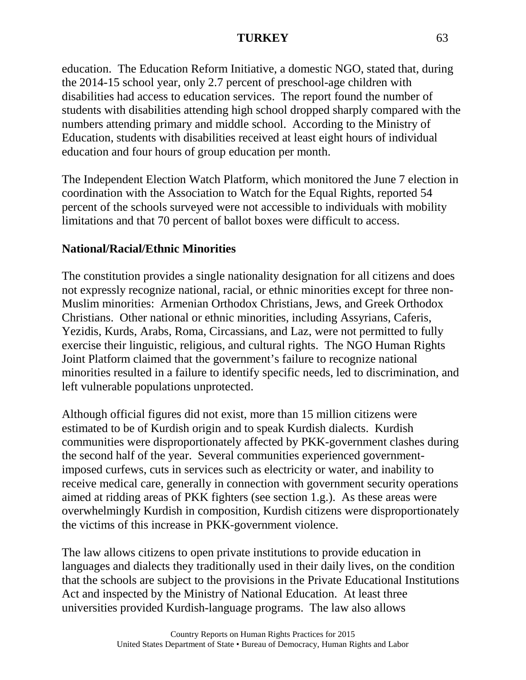education. The Education Reform Initiative, a domestic NGO, stated that, during the 2014-15 school year, only 2.7 percent of preschool-age children with disabilities had access to education services. The report found the number of students with disabilities attending high school dropped sharply compared with the numbers attending primary and middle school. According to the Ministry of Education, students with disabilities received at least eight hours of individual education and four hours of group education per month.

The Independent Election Watch Platform, which monitored the June 7 election in coordination with the Association to Watch for the Equal Rights, reported 54 percent of the schools surveyed were not accessible to individuals with mobility limitations and that 70 percent of ballot boxes were difficult to access.

### **National/Racial/Ethnic Minorities**

The constitution provides a single nationality designation for all citizens and does not expressly recognize national, racial, or ethnic minorities except for three non-Muslim minorities: Armenian Orthodox Christians, Jews, and Greek Orthodox Christians. Other national or ethnic minorities, including Assyrians, Caferis, Yezidis, Kurds, Arabs, Roma, Circassians, and Laz, were not permitted to fully exercise their linguistic, religious, and cultural rights. The NGO Human Rights Joint Platform claimed that the government's failure to recognize national minorities resulted in a failure to identify specific needs, led to discrimination, and left vulnerable populations unprotected.

Although official figures did not exist, more than 15 million citizens were estimated to be of Kurdish origin and to speak Kurdish dialects. Kurdish communities were disproportionately affected by PKK-government clashes during the second half of the year. Several communities experienced governmentimposed curfews, cuts in services such as electricity or water, and inability to receive medical care, generally in connection with government security operations aimed at ridding areas of PKK fighters (see section 1.g.). As these areas were overwhelmingly Kurdish in composition, Kurdish citizens were disproportionately the victims of this increase in PKK-government violence.

The law allows citizens to open private institutions to provide education in languages and dialects they traditionally used in their daily lives, on the condition that the schools are subject to the provisions in the Private Educational Institutions Act and inspected by the Ministry of National Education. At least three universities provided Kurdish-language programs. The law also allows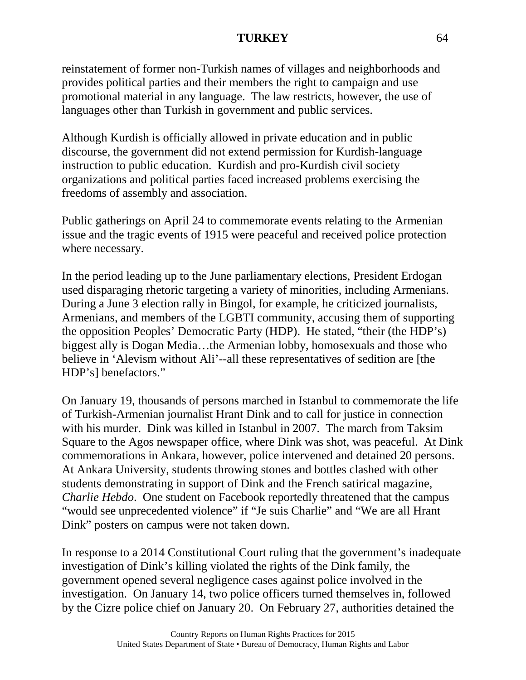reinstatement of former non-Turkish names of villages and neighborhoods and provides political parties and their members the right to campaign and use promotional material in any language. The law restricts, however, the use of languages other than Turkish in government and public services.

Although Kurdish is officially allowed in private education and in public discourse, the government did not extend permission for Kurdish-language instruction to public education. Kurdish and pro-Kurdish civil society organizations and political parties faced increased problems exercising the freedoms of assembly and association.

Public gatherings on April 24 to commemorate events relating to the Armenian issue and the tragic events of 1915 were peaceful and received police protection where necessary.

In the period leading up to the June parliamentary elections, President Erdogan used disparaging rhetoric targeting a variety of minorities, including Armenians. During a June 3 election rally in Bingol, for example, he criticized journalists, Armenians, and members of the LGBTI community, accusing them of supporting the opposition Peoples' Democratic Party (HDP). He stated, "their (the HDP's) biggest ally is Dogan Media…the Armenian lobby, homosexuals and those who believe in 'Alevism without Ali'--all these representatives of sedition are [the HDP's] benefactors."

On January 19, thousands of persons marched in Istanbul to commemorate the life of Turkish-Armenian journalist Hrant Dink and to call for justice in connection with his murder. Dink was killed in Istanbul in 2007. The march from Taksim Square to the Agos newspaper office, where Dink was shot, was peaceful. At Dink commemorations in Ankara, however, police intervened and detained 20 persons. At Ankara University, students throwing stones and bottles clashed with other students demonstrating in support of Dink and the French satirical magazine, *Charlie Hebdo*. One student on Facebook reportedly threatened that the campus "would see unprecedented violence" if "Je suis Charlie" and "We are all Hrant Dink" posters on campus were not taken down.

In response to a 2014 Constitutional Court ruling that the government's inadequate investigation of Dink's killing violated the rights of the Dink family, the government opened several negligence cases against police involved in the investigation. On January 14, two police officers turned themselves in, followed by the Cizre police chief on January 20. On February 27, authorities detained the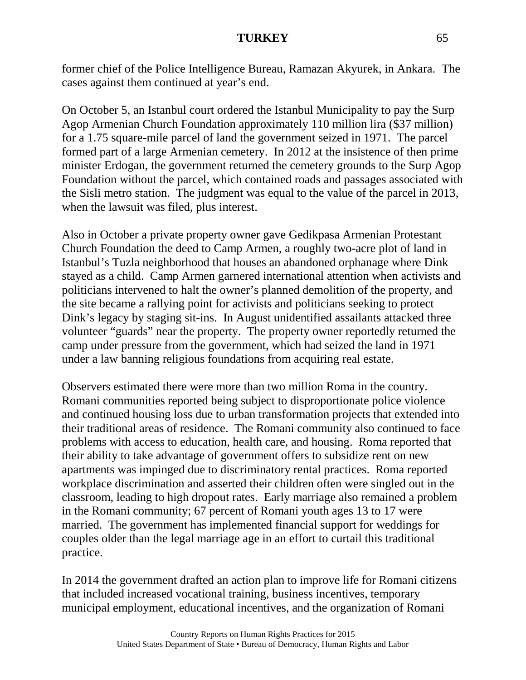former chief of the Police Intelligence Bureau, Ramazan Akyurek, in Ankara. The cases against them continued at year's end.

On October 5, an Istanbul court ordered the Istanbul Municipality to pay the Surp Agop Armenian Church Foundation approximately 110 million lira (\$37 million) for a 1.75 square-mile parcel of land the government seized in 1971. The parcel formed part of a large Armenian cemetery. In 2012 at the insistence of then prime minister Erdogan, the government returned the cemetery grounds to the Surp Agop Foundation without the parcel, which contained roads and passages associated with the Sisli metro station. The judgment was equal to the value of the parcel in 2013, when the lawsuit was filed, plus interest.

Also in October a private property owner gave Gedikpasa Armenian Protestant Church Foundation the deed to Camp Armen, a roughly two-acre plot of land in Istanbul's Tuzla neighborhood that houses an abandoned orphanage where Dink stayed as a child. Camp Armen garnered international attention when activists and politicians intervened to halt the owner's planned demolition of the property, and the site became a rallying point for activists and politicians seeking to protect Dink's legacy by staging sit-ins. In August unidentified assailants attacked three volunteer "guards" near the property. The property owner reportedly returned the camp under pressure from the government, which had seized the land in 1971 under a law banning religious foundations from acquiring real estate.

Observers estimated there were more than two million Roma in the country. Romani communities reported being subject to disproportionate police violence and continued housing loss due to urban transformation projects that extended into their traditional areas of residence. The Romani community also continued to face problems with access to education, health care, and housing. Roma reported that their ability to take advantage of government offers to subsidize rent on new apartments was impinged due to discriminatory rental practices. Roma reported workplace discrimination and asserted their children often were singled out in the classroom, leading to high dropout rates. Early marriage also remained a problem in the Romani community; 67 percent of Romani youth ages 13 to 17 were married. The government has implemented financial support for weddings for couples older than the legal marriage age in an effort to curtail this traditional practice.

In 2014 the government drafted an action plan to improve life for Romani citizens that included increased vocational training, business incentives, temporary municipal employment, educational incentives, and the organization of Romani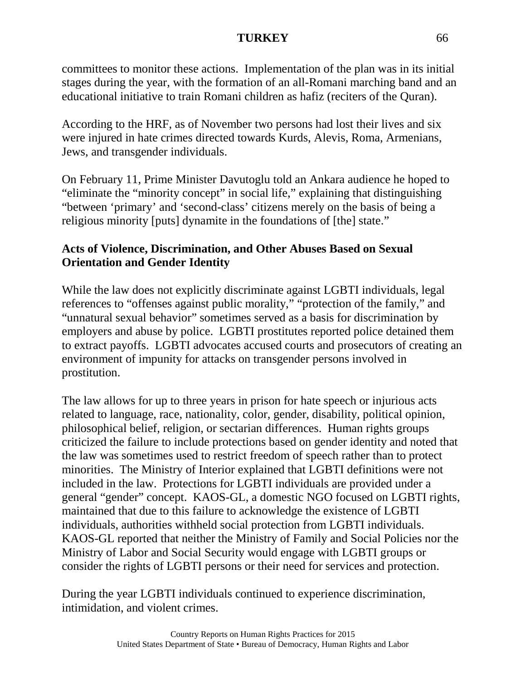committees to monitor these actions. Implementation of the plan was in its initial stages during the year, with the formation of an all-Romani marching band and an educational initiative to train Romani children as hafiz (reciters of the Quran).

According to the HRF, as of November two persons had lost their lives and six were injured in hate crimes directed towards Kurds, Alevis, Roma, Armenians, Jews, and transgender individuals.

On February 11, Prime Minister Davutoglu told an Ankara audience he hoped to "eliminate the "minority concept" in social life," explaining that distinguishing "between 'primary' and 'second-class' citizens merely on the basis of being a religious minority [puts] dynamite in the foundations of [the] state."

## **Acts of Violence, Discrimination, and Other Abuses Based on Sexual Orientation and Gender Identity**

While the law does not explicitly discriminate against LGBTI individuals, legal references to "offenses against public morality," "protection of the family," and "unnatural sexual behavior" sometimes served as a basis for discrimination by employers and abuse by police. LGBTI prostitutes reported police detained them to extract payoffs. LGBTI advocates accused courts and prosecutors of creating an environment of impunity for attacks on transgender persons involved in prostitution.

The law allows for up to three years in prison for hate speech or injurious acts related to language, race, nationality, color, gender, disability, political opinion, philosophical belief, religion, or sectarian differences. Human rights groups criticized the failure to include protections based on gender identity and noted that the law was sometimes used to restrict freedom of speech rather than to protect minorities. The Ministry of Interior explained that LGBTI definitions were not included in the law. Protections for LGBTI individuals are provided under a general "gender" concept. KAOS-GL, a domestic NGO focused on LGBTI rights, maintained that due to this failure to acknowledge the existence of LGBTI individuals, authorities withheld social protection from LGBTI individuals. KAOS-GL reported that neither the Ministry of Family and Social Policies nor the Ministry of Labor and Social Security would engage with LGBTI groups or consider the rights of LGBTI persons or their need for services and protection.

During the year LGBTI individuals continued to experience discrimination, intimidation, and violent crimes.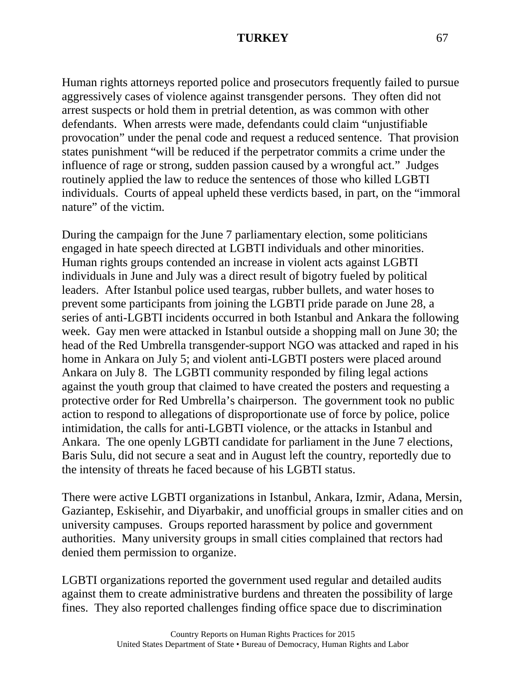Human rights attorneys reported police and prosecutors frequently failed to pursue aggressively cases of violence against transgender persons. They often did not arrest suspects or hold them in pretrial detention, as was common with other defendants. When arrests were made, defendants could claim "unjustifiable provocation" under the penal code and request a reduced sentence. That provision states punishment "will be reduced if the perpetrator commits a crime under the influence of rage or strong, sudden passion caused by a wrongful act." Judges routinely applied the law to reduce the sentences of those who killed LGBTI individuals. Courts of appeal upheld these verdicts based, in part, on the "immoral nature" of the victim.

During the campaign for the June 7 parliamentary election, some politicians engaged in hate speech directed at LGBTI individuals and other minorities. Human rights groups contended an increase in violent acts against LGBTI individuals in June and July was a direct result of bigotry fueled by political leaders. After Istanbul police used teargas, rubber bullets, and water hoses to prevent some participants from joining the LGBTI pride parade on June 28, a series of anti-LGBTI incidents occurred in both Istanbul and Ankara the following week. Gay men were attacked in Istanbul outside a shopping mall on June 30; the head of the Red Umbrella transgender-support NGO was attacked and raped in his home in Ankara on July 5; and violent anti-LGBTI posters were placed around Ankara on July 8. The LGBTI community responded by filing legal actions against the youth group that claimed to have created the posters and requesting a protective order for Red Umbrella's chairperson. The government took no public action to respond to allegations of disproportionate use of force by police, police intimidation, the calls for anti-LGBTI violence, or the attacks in Istanbul and Ankara. The one openly LGBTI candidate for parliament in the June 7 elections, Baris Sulu, did not secure a seat and in August left the country, reportedly due to the intensity of threats he faced because of his LGBTI status.

There were active LGBTI organizations in Istanbul, Ankara, Izmir, Adana, Mersin, Gaziantep, Eskisehir, and Diyarbakir, and unofficial groups in smaller cities and on university campuses. Groups reported harassment by police and government authorities. Many university groups in small cities complained that rectors had denied them permission to organize.

LGBTI organizations reported the government used regular and detailed audits against them to create administrative burdens and threaten the possibility of large fines. They also reported challenges finding office space due to discrimination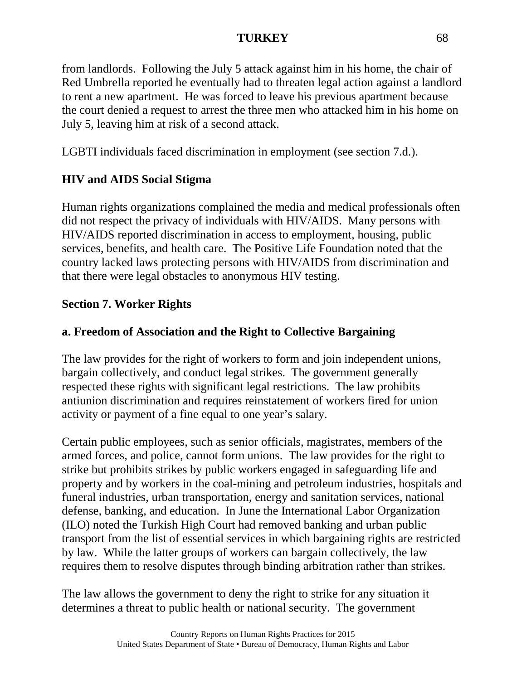from landlords. Following the July 5 attack against him in his home, the chair of Red Umbrella reported he eventually had to threaten legal action against a landlord to rent a new apartment. He was forced to leave his previous apartment because the court denied a request to arrest the three men who attacked him in his home on July 5, leaving him at risk of a second attack.

LGBTI individuals faced discrimination in employment (see section 7.d.).

# **HIV and AIDS Social Stigma**

Human rights organizations complained the media and medical professionals often did not respect the privacy of individuals with HIV/AIDS. Many persons with HIV/AIDS reported discrimination in access to employment, housing, public services, benefits, and health care. The Positive Life Foundation noted that the country lacked laws protecting persons with HIV/AIDS from discrimination and that there were legal obstacles to anonymous HIV testing.

# **Section 7. Worker Rights**

# **a. Freedom of Association and the Right to Collective Bargaining**

The law provides for the right of workers to form and join independent unions, bargain collectively, and conduct legal strikes. The government generally respected these rights with significant legal restrictions. The law prohibits antiunion discrimination and requires reinstatement of workers fired for union activity or payment of a fine equal to one year's salary.

Certain public employees, such as senior officials, magistrates, members of the armed forces, and police, cannot form unions. The law provides for the right to strike but prohibits strikes by public workers engaged in safeguarding life and property and by workers in the coal-mining and petroleum industries, hospitals and funeral industries, urban transportation, energy and sanitation services, national defense, banking, and education. In June the International Labor Organization (ILO) noted the Turkish High Court had removed banking and urban public transport from the list of essential services in which bargaining rights are restricted by law. While the latter groups of workers can bargain collectively, the law requires them to resolve disputes through binding arbitration rather than strikes.

The law allows the government to deny the right to strike for any situation it determines a threat to public health or national security. The government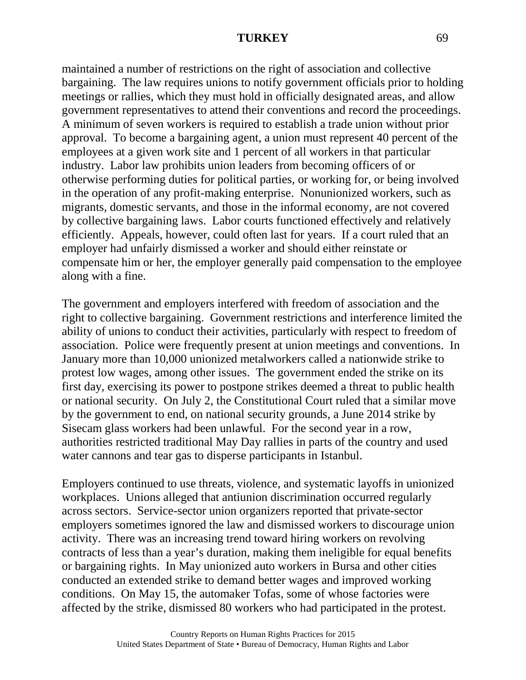maintained a number of restrictions on the right of association and collective bargaining. The law requires unions to notify government officials prior to holding meetings or rallies, which they must hold in officially designated areas, and allow government representatives to attend their conventions and record the proceedings. A minimum of seven workers is required to establish a trade union without prior approval. To become a bargaining agent, a union must represent 40 percent of the employees at a given work site and 1 percent of all workers in that particular industry. Labor law prohibits union leaders from becoming officers of or otherwise performing duties for political parties, or working for, or being involved in the operation of any profit-making enterprise. Nonunionized workers, such as migrants, domestic servants, and those in the informal economy, are not covered by collective bargaining laws. Labor courts functioned effectively and relatively efficiently. Appeals, however, could often last for years. If a court ruled that an employer had unfairly dismissed a worker and should either reinstate or compensate him or her, the employer generally paid compensation to the employee along with a fine.

The government and employers interfered with freedom of association and the right to collective bargaining. Government restrictions and interference limited the ability of unions to conduct their activities, particularly with respect to freedom of association. Police were frequently present at union meetings and conventions. In January more than 10,000 unionized metalworkers called a nationwide strike to protest low wages, among other issues. The government ended the strike on its first day, exercising its power to postpone strikes deemed a threat to public health or national security. On July 2, the Constitutional Court ruled that a similar move by the government to end, on national security grounds, a June 2014 strike by Sisecam glass workers had been unlawful. For the second year in a row, authorities restricted traditional May Day rallies in parts of the country and used water cannons and tear gas to disperse participants in Istanbul.

Employers continued to use threats, violence, and systematic layoffs in unionized workplaces. Unions alleged that antiunion discrimination occurred regularly across sectors. Service-sector union organizers reported that private-sector employers sometimes ignored the law and dismissed workers to discourage union activity. There was an increasing trend toward hiring workers on revolving contracts of less than a year's duration, making them ineligible for equal benefits or bargaining rights. In May unionized auto workers in Bursa and other cities conducted an extended strike to demand better wages and improved working conditions. On May 15, the automaker Tofas, some of whose factories were affected by the strike, dismissed 80 workers who had participated in the protest.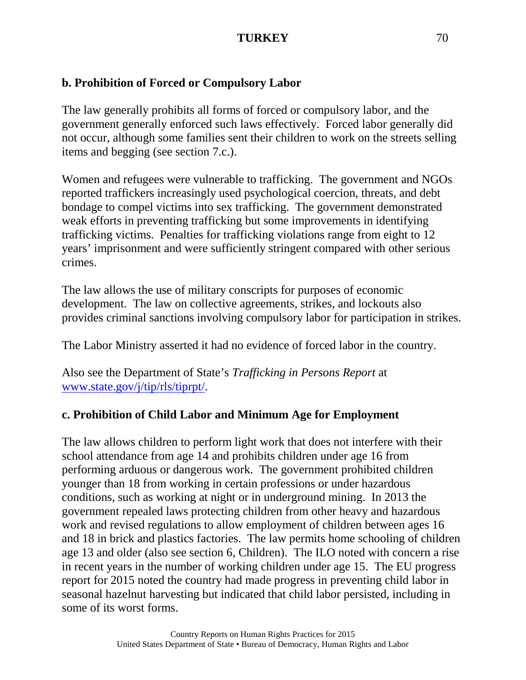# **b. Prohibition of Forced or Compulsory Labor**

The law generally prohibits all forms of forced or compulsory labor, and the government generally enforced such laws effectively. Forced labor generally did not occur, although some families sent their children to work on the streets selling items and begging (see section 7.c.).

Women and refugees were vulnerable to trafficking. The government and NGOs reported traffickers increasingly used psychological coercion, threats, and debt bondage to compel victims into sex trafficking. The government demonstrated weak efforts in preventing trafficking but some improvements in identifying trafficking victims. Penalties for trafficking violations range from eight to 12 years' imprisonment and were sufficiently stringent compared with other serious crimes.

The law allows the use of military conscripts for purposes of economic development. The law on collective agreements, strikes, and lockouts also provides criminal sanctions involving compulsory labor for participation in strikes.

The Labor Ministry asserted it had no evidence of forced labor in the country.

Also see the Department of State's *Trafficking in Persons Report* at [www.state.gov/j/tip/rls/tiprpt/.](http://www.state.gov/j/tip/rls/tiprpt/)

# **c. Prohibition of Child Labor and Minimum Age for Employment**

The law allows children to perform light work that does not interfere with their school attendance from age 14 and prohibits children under age 16 from performing arduous or dangerous work. The government prohibited children younger than 18 from working in certain professions or under hazardous conditions, such as working at night or in underground mining. In 2013 the government repealed laws protecting children from other heavy and hazardous work and revised regulations to allow employment of children between ages 16 and 18 in brick and plastics factories. The law permits home schooling of children age 13 and older (also see section 6, Children). The ILO noted with concern a rise in recent years in the number of working children under age 15. The EU progress report for 2015 noted the country had made progress in preventing child labor in seasonal hazelnut harvesting but indicated that child labor persisted, including in some of its worst forms.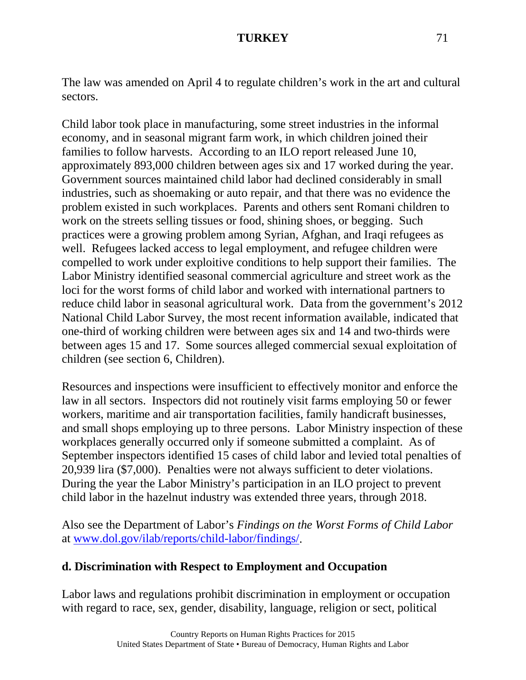The law was amended on April 4 to regulate children's work in the art and cultural sectors.

Child labor took place in manufacturing, some street industries in the informal economy, and in seasonal migrant farm work, in which children joined their families to follow harvests. According to an ILO report released June 10, approximately 893,000 children between ages six and 17 worked during the year. Government sources maintained child labor had declined considerably in small industries, such as shoemaking or auto repair, and that there was no evidence the problem existed in such workplaces. Parents and others sent Romani children to work on the streets selling tissues or food, shining shoes, or begging. Such practices were a growing problem among Syrian, Afghan, and Iraqi refugees as well. Refugees lacked access to legal employment, and refugee children were compelled to work under exploitive conditions to help support their families. The Labor Ministry identified seasonal commercial agriculture and street work as the loci for the worst forms of child labor and worked with international partners to reduce child labor in seasonal agricultural work. Data from the government's 2012 National Child Labor Survey, the most recent information available, indicated that one-third of working children were between ages six and 14 and two-thirds were between ages 15 and 17. Some sources alleged commercial sexual exploitation of children (see section 6, Children).

Resources and inspections were insufficient to effectively monitor and enforce the law in all sectors. Inspectors did not routinely visit farms employing 50 or fewer workers, maritime and air transportation facilities, family handicraft businesses, and small shops employing up to three persons. Labor Ministry inspection of these workplaces generally occurred only if someone submitted a complaint. As of September inspectors identified 15 cases of child labor and levied total penalties of 20,939 lira (\$7,000). Penalties were not always sufficient to deter violations. During the year the Labor Ministry's participation in an ILO project to prevent child labor in the hazelnut industry was extended three years, through 2018.

Also see the Department of Labor's *Findings on the Worst Forms of Child Labor* at [www.dol.gov/ilab/reports/child-labor/findings/.](http://www.dol.gov/ilab/reports/child-labor/findings/)

### **d. Discrimination with Respect to Employment and Occupation**

Labor laws and regulations prohibit discrimination in employment or occupation with regard to race, sex, gender, disability, language, religion or sect, political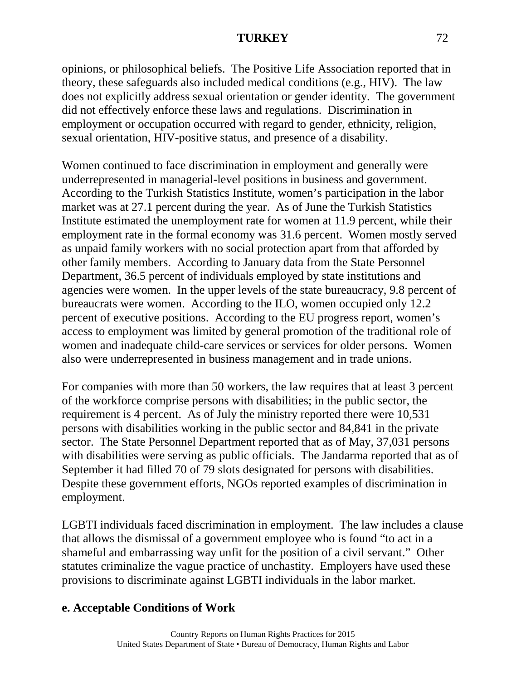opinions, or philosophical beliefs. The Positive Life Association reported that in theory, these safeguards also included medical conditions (e.g., HIV). The law does not explicitly address sexual orientation or gender identity. The government did not effectively enforce these laws and regulations. Discrimination in employment or occupation occurred with regard to gender, ethnicity, religion, sexual orientation, HIV-positive status, and presence of a disability.

Women continued to face discrimination in employment and generally were underrepresented in managerial-level positions in business and government. According to the Turkish Statistics Institute, women's participation in the labor market was at 27.1 percent during the year. As of June the Turkish Statistics Institute estimated the unemployment rate for women at 11.9 percent, while their employment rate in the formal economy was 31.6 percent. Women mostly served as unpaid family workers with no social protection apart from that afforded by other family members. According to January data from the State Personnel Department, 36.5 percent of individuals employed by state institutions and agencies were women. In the upper levels of the state bureaucracy, 9.8 percent of bureaucrats were women. According to the ILO, women occupied only 12.2 percent of executive positions. According to the EU progress report, women's access to employment was limited by general promotion of the traditional role of women and inadequate child-care services or services for older persons. Women also were underrepresented in business management and in trade unions.

For companies with more than 50 workers, the law requires that at least 3 percent of the workforce comprise persons with disabilities; in the public sector, the requirement is 4 percent. As of July the ministry reported there were 10,531 persons with disabilities working in the public sector and 84,841 in the private sector. The State Personnel Department reported that as of May, 37,031 persons with disabilities were serving as public officials. The Jandarma reported that as of September it had filled 70 of 79 slots designated for persons with disabilities. Despite these government efforts, NGOs reported examples of discrimination in employment.

LGBTI individuals faced discrimination in employment. The law includes a clause that allows the dismissal of a government employee who is found "to act in a shameful and embarrassing way unfit for the position of a civil servant." Other statutes criminalize the vague practice of unchastity. Employers have used these provisions to discriminate against LGBTI individuals in the labor market.

# **e. Acceptable Conditions of Work**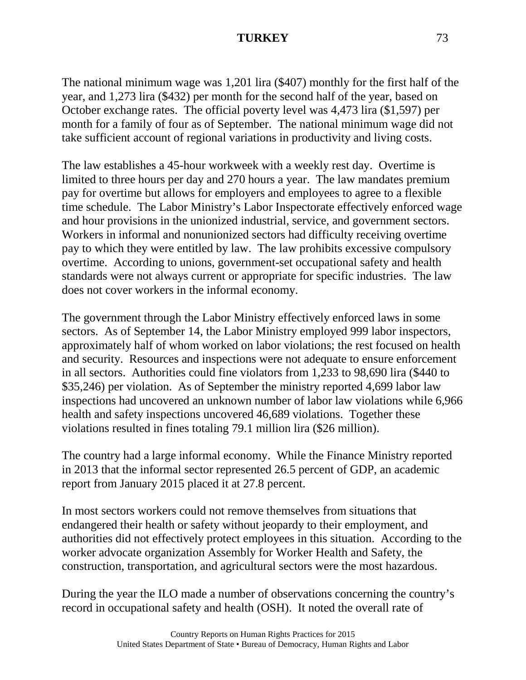## **TURKEY** 73

The national minimum wage was 1,201 lira (\$407) monthly for the first half of the year, and 1,273 lira (\$432) per month for the second half of the year, based on October exchange rates. The official poverty level was 4,473 lira (\$1,597) per month for a family of four as of September. The national minimum wage did not take sufficient account of regional variations in productivity and living costs.

The law establishes a 45-hour workweek with a weekly rest day. Overtime is limited to three hours per day and 270 hours a year. The law mandates premium pay for overtime but allows for employers and employees to agree to a flexible time schedule. The Labor Ministry's Labor Inspectorate effectively enforced wage and hour provisions in the unionized industrial, service, and government sectors. Workers in informal and nonunionized sectors had difficulty receiving overtime pay to which they were entitled by law. The law prohibits excessive compulsory overtime. According to unions, government-set occupational safety and health standards were not always current or appropriate for specific industries. The law does not cover workers in the informal economy.

The government through the Labor Ministry effectively enforced laws in some sectors. As of September 14, the Labor Ministry employed 999 labor inspectors, approximately half of whom worked on labor violations; the rest focused on health and security. Resources and inspections were not adequate to ensure enforcement in all sectors. Authorities could fine violators from 1,233 to 98,690 lira (\$440 to \$35,246) per violation. As of September the ministry reported 4,699 labor law inspections had uncovered an unknown number of labor law violations while 6,966 health and safety inspections uncovered 46,689 violations. Together these violations resulted in fines totaling 79.1 million lira (\$26 million).

The country had a large informal economy. While the Finance Ministry reported in 2013 that the informal sector represented 26.5 percent of GDP, an academic report from January 2015 placed it at 27.8 percent.

In most sectors workers could not remove themselves from situations that endangered their health or safety without jeopardy to their employment, and authorities did not effectively protect employees in this situation. According to the worker advocate organization Assembly for Worker Health and Safety, the construction, transportation, and agricultural sectors were the most hazardous.

During the year the ILO made a number of observations concerning the country's record in occupational safety and health (OSH). It noted the overall rate of